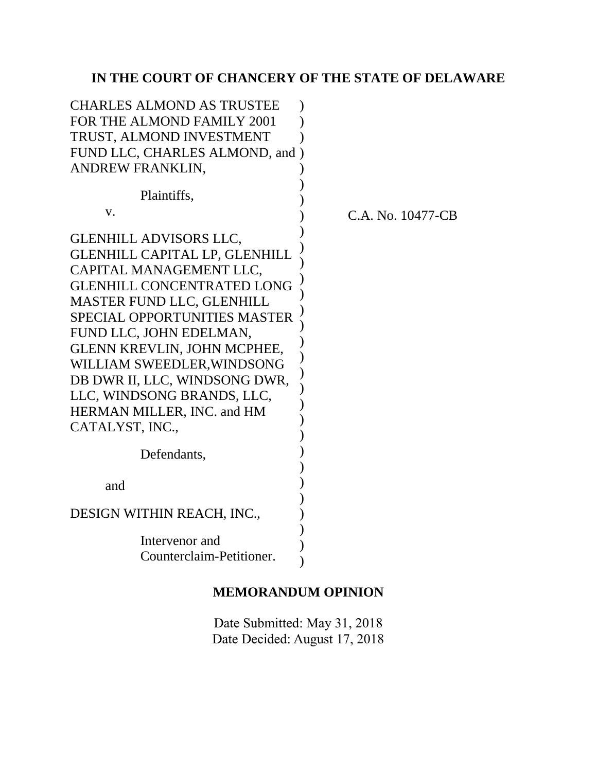# **IN THE COURT OF CHANCERY OF THE STATE OF DELAWARE**

| <b>CHARLES ALMOND AS TRUSTEE</b>     |                   |
|--------------------------------------|-------------------|
| FOR THE ALMOND FAMILY 2001           |                   |
| TRUST, ALMOND INVESTMENT             |                   |
| FUND LLC, CHARLES ALMOND, and )      |                   |
| ANDREW FRANKLIN,                     |                   |
|                                      |                   |
| Plaintiffs,                          |                   |
| V.                                   | C.A. No. 10477-CB |
| <b>GLENHILL ADVISORS LLC,</b>        |                   |
| <b>GLENHILL CAPITAL LP, GLENHILL</b> |                   |
| CAPITAL MANAGEMENT LLC.              |                   |
| <b>GLENHILL CONCENTRATED LONG</b>    |                   |
| <b>MASTER FUND LLC, GLENHILL</b>     |                   |
| <b>SPECIAL OPPORTUNITIES MASTER</b>  |                   |
| FUND LLC, JOHN EDELMAN,              |                   |
| <b>GLENN KREVLIN, JOHN MCPHEE,</b>   |                   |
| WILLIAM SWEEDLER, WINDSONG           |                   |
| DB DWR II, LLC, WINDSONG DWR,        |                   |
| LLC, WINDSONG BRANDS, LLC,           |                   |
| HERMAN MILLER, INC. and HM           |                   |
| CATALYST, INC.,                      |                   |
| Defendants,                          |                   |
|                                      |                   |
| and                                  |                   |
|                                      |                   |
| DESIGN WITHIN REACH, INC.,           |                   |
| Intervenor and                       |                   |
| Counterclaim-Petitioner.             |                   |
|                                      |                   |
|                                      |                   |

# **MEMORANDUM OPINION**

Date Submitted: May 31, 2018 Date Decided: August 17, 2018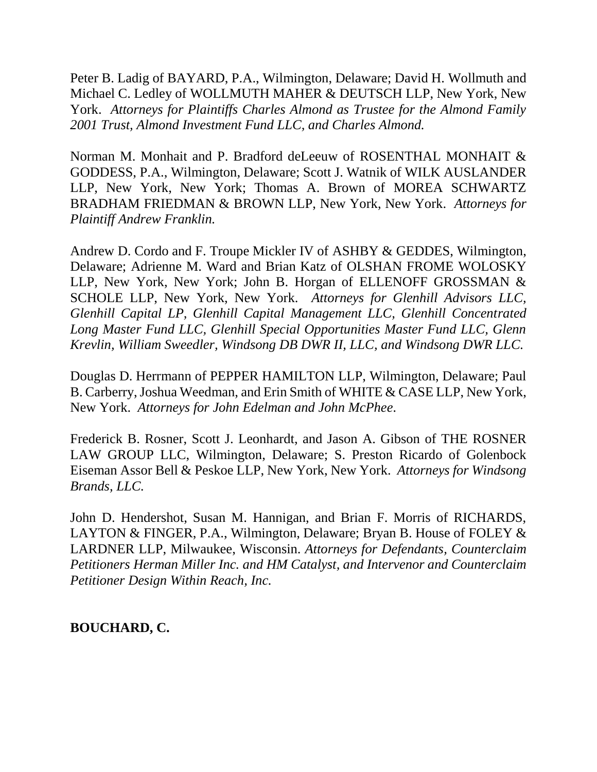Peter B. Ladig of BAYARD, P.A., Wilmington, Delaware; David H. Wollmuth and Michael C. Ledley of WOLLMUTH MAHER & DEUTSCH LLP, New York, New York. *Attorneys for Plaintiffs Charles Almond as Trustee for the Almond Family 2001 Trust, Almond Investment Fund LLC, and Charles Almond.*

Norman M. Monhait and P. Bradford deLeeuw of ROSENTHAL MONHAIT & GODDESS, P.A., Wilmington, Delaware; Scott J. Watnik of WILK AUSLANDER LLP, New York, New York; Thomas A. Brown of MOREA SCHWARTZ BRADHAM FRIEDMAN & BROWN LLP, New York, New York. *Attorneys for Plaintiff Andrew Franklin.*

Andrew D. Cordo and F. Troupe Mickler IV of ASHBY & GEDDES, Wilmington, Delaware; Adrienne M. Ward and Brian Katz of OLSHAN FROME WOLOSKY LLP, New York, New York; John B. Horgan of ELLENOFF GROSSMAN & SCHOLE LLP, New York, New York. *Attorneys for Glenhill Advisors LLC, Glenhill Capital LP, Glenhill Capital Management LLC, Glenhill Concentrated Long Master Fund LLC, Glenhill Special Opportunities Master Fund LLC, Glenn Krevlin, William Sweedler, Windsong DB DWR II, LLC, and Windsong DWR LLC.*

Douglas D. Herrmann of PEPPER HAMILTON LLP, Wilmington, Delaware; Paul B. Carberry, Joshua Weedman, and Erin Smith of WHITE & CASE LLP, New York, New York. *Attorneys for John Edelman and John McPhee.* 

Frederick B. Rosner, Scott J. Leonhardt, and Jason A. Gibson of THE ROSNER LAW GROUP LLC, Wilmington, Delaware; S. Preston Ricardo of Golenbock Eiseman Assor Bell & Peskoe LLP, New York, New York. *Attorneys for Windsong Brands, LLC.* 

John D. Hendershot, Susan M. Hannigan, and Brian F. Morris of RICHARDS, LAYTON & FINGER, P.A., Wilmington, Delaware; Bryan B. House of FOLEY & LARDNER LLP, Milwaukee, Wisconsin. *Attorneys for Defendants, Counterclaim Petitioners Herman Miller Inc. and HM Catalyst, and Intervenor and Counterclaim Petitioner Design Within Reach, Inc.*

# **BOUCHARD, C.**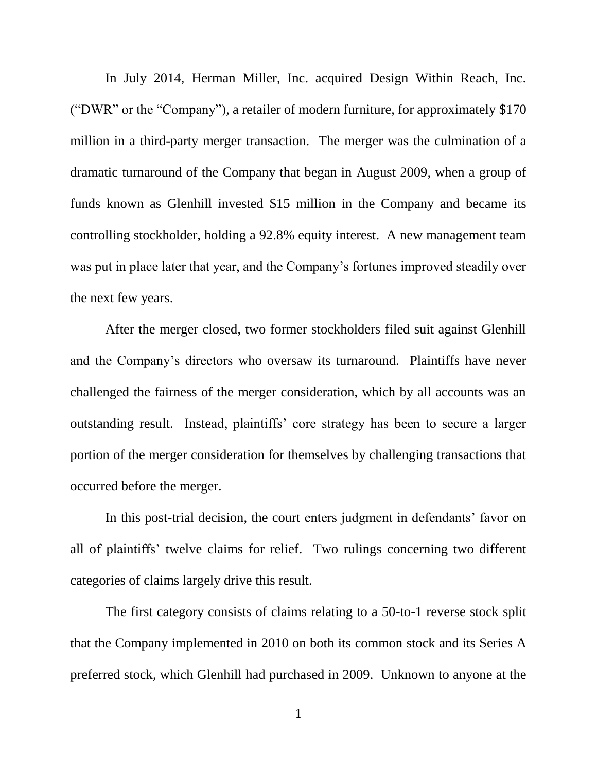In July 2014, Herman Miller, Inc. acquired Design Within Reach, Inc. ("DWR" or the "Company"), a retailer of modern furniture, for approximately \$170 million in a third-party merger transaction. The merger was the culmination of a dramatic turnaround of the Company that began in August 2009, when a group of funds known as Glenhill invested \$15 million in the Company and became its controlling stockholder, holding a 92.8% equity interest. A new management team was put in place later that year, and the Company's fortunes improved steadily over the next few years.

After the merger closed, two former stockholders filed suit against Glenhill and the Company's directors who oversaw its turnaround. Plaintiffs have never challenged the fairness of the merger consideration, which by all accounts was an outstanding result. Instead, plaintiffs' core strategy has been to secure a larger portion of the merger consideration for themselves by challenging transactions that occurred before the merger.

In this post-trial decision, the court enters judgment in defendants' favor on all of plaintiffs' twelve claims for relief. Two rulings concerning two different categories of claims largely drive this result.

The first category consists of claims relating to a 50-to-1 reverse stock split that the Company implemented in 2010 on both its common stock and its Series A preferred stock, which Glenhill had purchased in 2009. Unknown to anyone at the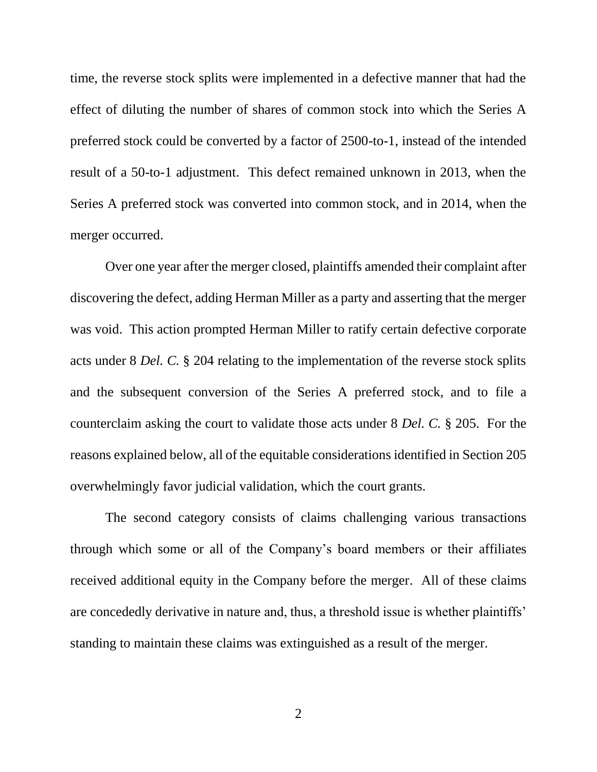time, the reverse stock splits were implemented in a defective manner that had the effect of diluting the number of shares of common stock into which the Series A preferred stock could be converted by a factor of 2500-to-1, instead of the intended result of a 50-to-1 adjustment. This defect remained unknown in 2013, when the Series A preferred stock was converted into common stock, and in 2014, when the merger occurred.

Over one year after the merger closed, plaintiffs amended their complaint after discovering the defect, adding Herman Miller as a party and asserting that the merger was void. This action prompted Herman Miller to ratify certain defective corporate acts under 8 *Del. C.* § 204 relating to the implementation of the reverse stock splits and the subsequent conversion of the Series A preferred stock, and to file a counterclaim asking the court to validate those acts under 8 *Del. C.* § 205. For the reasons explained below, all of the equitable considerations identified in Section 205 overwhelmingly favor judicial validation, which the court grants.

The second category consists of claims challenging various transactions through which some or all of the Company's board members or their affiliates received additional equity in the Company before the merger. All of these claims are concededly derivative in nature and, thus, a threshold issue is whether plaintiffs' standing to maintain these claims was extinguished as a result of the merger.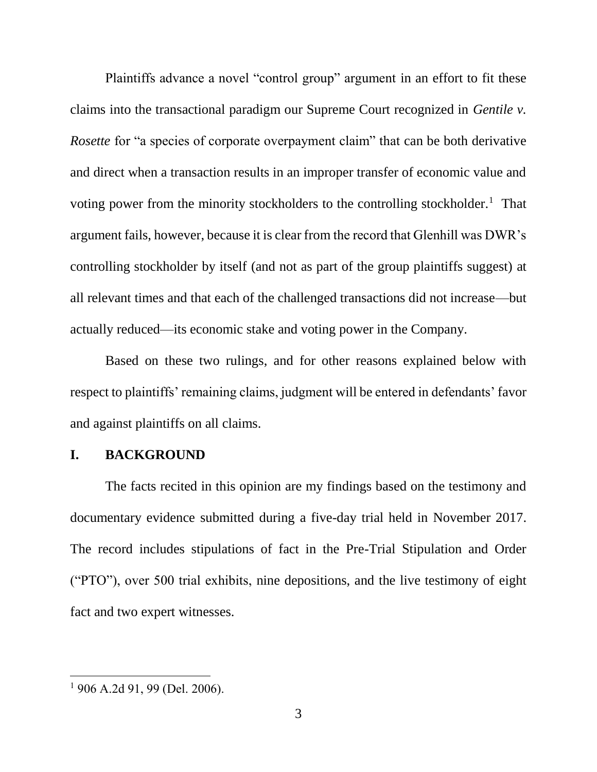Plaintiffs advance a novel "control group" argument in an effort to fit these claims into the transactional paradigm our Supreme Court recognized in *Gentile v. Rosette* for "a species of corporate overpayment claim" that can be both derivative and direct when a transaction results in an improper transfer of economic value and voting power from the minority stockholders to the controlling stockholder.<sup>1</sup> That argument fails, however, because it is clear from the record that Glenhill was DWR's controlling stockholder by itself (and not as part of the group plaintiffs suggest) at all relevant times and that each of the challenged transactions did not increase—but actually reduced—its economic stake and voting power in the Company.

Based on these two rulings, and for other reasons explained below with respect to plaintiffs' remaining claims, judgment will be entered in defendants' favor and against plaintiffs on all claims.

### **I. BACKGROUND**

The facts recited in this opinion are my findings based on the testimony and documentary evidence submitted during a five-day trial held in November 2017. The record includes stipulations of fact in the Pre-Trial Stipulation and Order ("PTO"), over 500 trial exhibits, nine depositions, and the live testimony of eight fact and two expert witnesses.

<sup>1</sup> 906 A.2d 91, 99 (Del. 2006).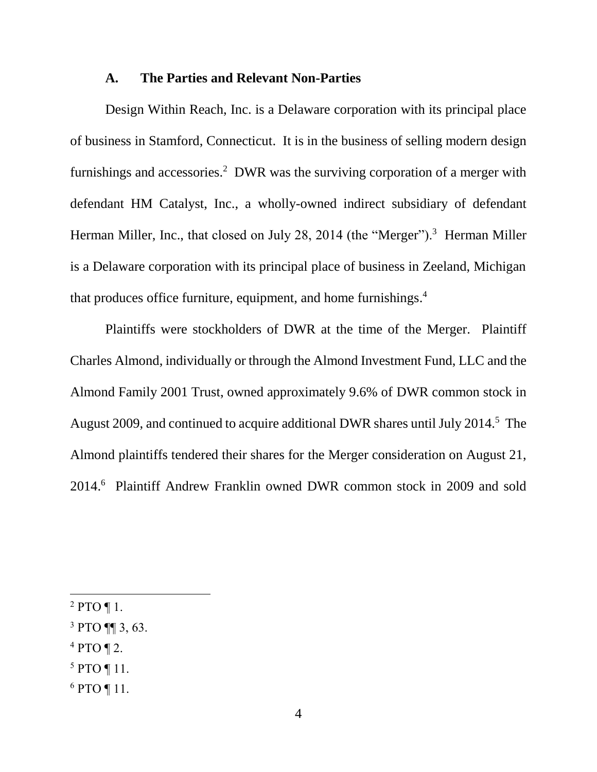#### **A. The Parties and Relevant Non-Parties**

Design Within Reach, Inc. is a Delaware corporation with its principal place of business in Stamford, Connecticut. It is in the business of selling modern design furnishings and accessories.<sup>2</sup> DWR was the surviving corporation of a merger with defendant HM Catalyst, Inc., a wholly-owned indirect subsidiary of defendant Herman Miller, Inc., that closed on July 28, 2014 (the "Merger").<sup>3</sup> Herman Miller is a Delaware corporation with its principal place of business in Zeeland, Michigan that produces office furniture, equipment, and home furnishings. 4

Plaintiffs were stockholders of DWR at the time of the Merger. Plaintiff Charles Almond, individually or through the Almond Investment Fund, LLC and the Almond Family 2001 Trust, owned approximately 9.6% of DWR common stock in August 2009, and continued to acquire additional DWR shares until July 2014.<sup>5</sup> The Almond plaintiffs tendered their shares for the Merger consideration on August 21, 2014.<sup>6</sup> Plaintiff Andrew Franklin owned DWR common stock in 2009 and sold

- $4$  PTO ¶ 2.
- <sup>5</sup> PTO ¶ 11.
- <sup>6</sup> PTO ¶ 11.

 $2$  PTO ¶ 1.

<sup>3</sup> PTO ¶¶ 3, 63.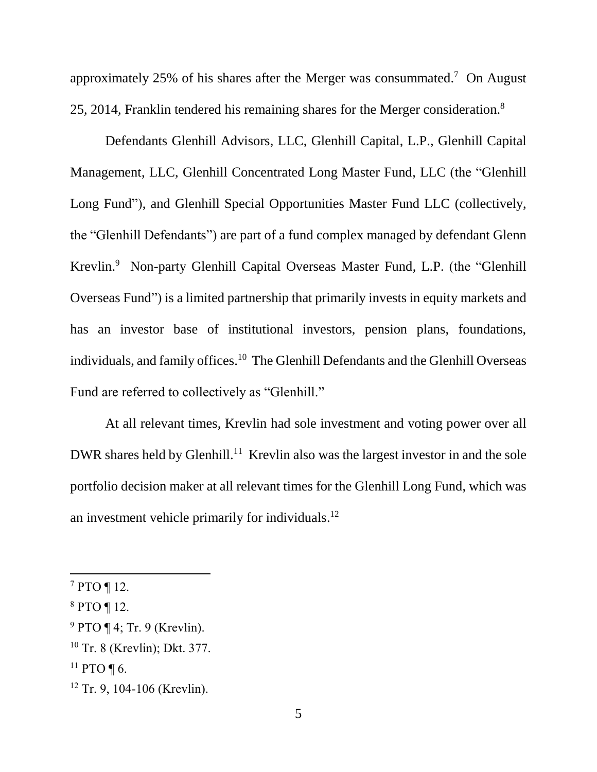approximately 25% of his shares after the Merger was consummated.<sup>7</sup> On August 25, 2014, Franklin tendered his remaining shares for the Merger consideration.<sup>8</sup>

Defendants Glenhill Advisors, LLC, Glenhill Capital, L.P., Glenhill Capital Management, LLC, Glenhill Concentrated Long Master Fund, LLC (the "Glenhill Long Fund"), and Glenhill Special Opportunities Master Fund LLC (collectively, the "Glenhill Defendants") are part of a fund complex managed by defendant Glenn Krevlin. 9 Non-party Glenhill Capital Overseas Master Fund, L.P. (the "Glenhill Overseas Fund") is a limited partnership that primarily invests in equity markets and has an investor base of institutional investors, pension plans, foundations, individuals, and family offices.<sup>10</sup> The Glenhill Defendants and the Glenhill Overseas Fund are referred to collectively as "Glenhill."

At all relevant times, Krevlin had sole investment and voting power over all DWR shares held by Glenhill.<sup>11</sup> Krevlin also was the largest investor in and the sole portfolio decision maker at all relevant times for the Glenhill Long Fund, which was an investment vehicle primarily for individuals.<sup>12</sup>

<sup>7</sup> PTO ¶ 12.

<sup>8</sup> PTO ¶ 12.

 $9$  PTO ¶ 4; Tr. 9 (Krevlin).

<sup>10</sup> Tr. 8 (Krevlin); Dkt. 377.

<sup>&</sup>lt;sup>11</sup> PTO ¶ 6.

<sup>12</sup> Tr. 9, 104-106 (Krevlin).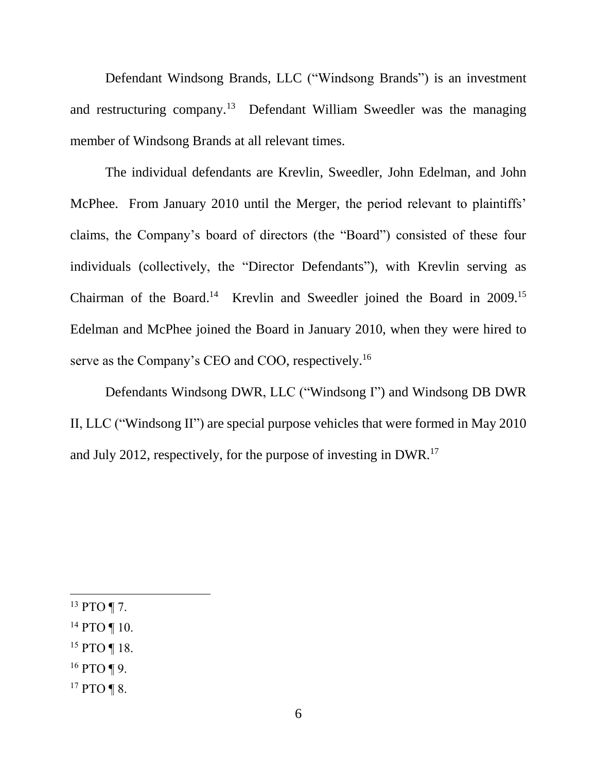Defendant Windsong Brands, LLC ("Windsong Brands") is an investment and restructuring company.<sup>13</sup> Defendant William Sweedler was the managing member of Windsong Brands at all relevant times.

The individual defendants are Krevlin, Sweedler, John Edelman, and John McPhee. From January 2010 until the Merger, the period relevant to plaintiffs' claims, the Company's board of directors (the "Board") consisted of these four individuals (collectively, the "Director Defendants"), with Krevlin serving as Chairman of the Board.<sup>14</sup> Krevlin and Sweedler joined the Board in 2009.<sup>15</sup> Edelman and McPhee joined the Board in January 2010, when they were hired to serve as the Company's CEO and COO, respectively.<sup>16</sup>

Defendants Windsong DWR, LLC ("Windsong I") and Windsong DB DWR II, LLC ("Windsong II") are special purpose vehicles that were formed in May 2010 and July 2012, respectively, for the purpose of investing in DWR.<sup>17</sup>

 $13$  PTO ¶ 7.

- $14$  PTO ¶ 10.
- <sup>15</sup> PTO ¶ 18.
- <sup>16</sup> PTO ¶ 9.
- <sup>17</sup> PTO ¶ 8.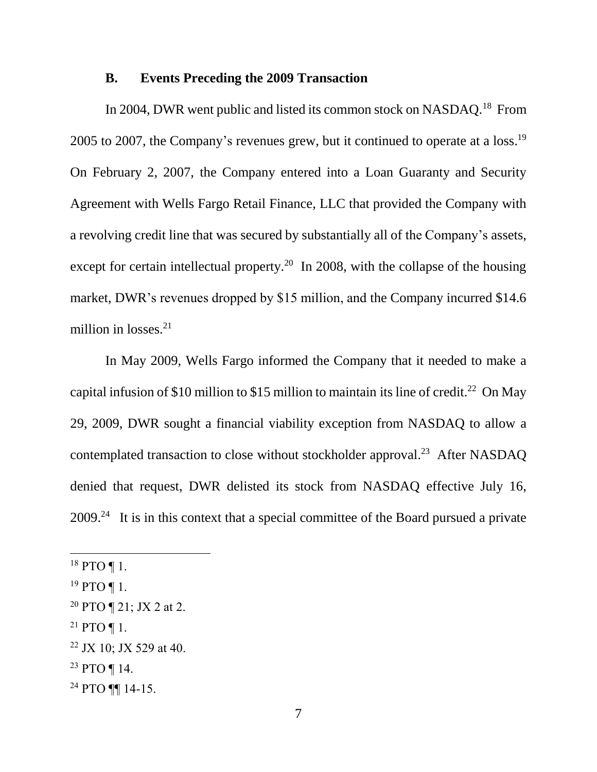#### **B. Events Preceding the 2009 Transaction**

In 2004, DWR went public and listed its common stock on NASDAQ.<sup>18</sup> From 2005 to 2007, the Company's revenues grew, but it continued to operate at a  $loss.<sup>19</sup>$ On February 2, 2007, the Company entered into a Loan Guaranty and Security Agreement with Wells Fargo Retail Finance, LLC that provided the Company with a revolving credit line that was secured by substantially all of the Company's assets, except for certain intellectual property.<sup>20</sup> In 2008, with the collapse of the housing market, DWR's revenues dropped by \$15 million, and the Company incurred \$14.6 million in losses.<sup>21</sup>

In May 2009, Wells Fargo informed the Company that it needed to make a capital infusion of \$10 million to \$15 million to maintain its line of credit.<sup>22</sup> On May 29, 2009, DWR sought a financial viability exception from NASDAQ to allow a contemplated transaction to close without stockholder approval.<sup>23</sup> After NASDAO denied that request, DWR delisted its stock from NASDAQ effective July 16,  $2009<sup>24</sup>$  It is in this context that a special committee of the Board pursued a private

 $\overline{a}$ 

<sup>23</sup> PTO ¶ 14.

 $18$  PTO ¶ 1.

 $19$  PTO ¶ 1.

<sup>&</sup>lt;sup>20</sup> PTO  $\P$  21; JX 2 at 2.

<sup>&</sup>lt;sup>21</sup> PTO ¶ 1.

<sup>22</sup> JX 10; JX 529 at 40.

<sup>24</sup> PTO ¶¶ 14-15.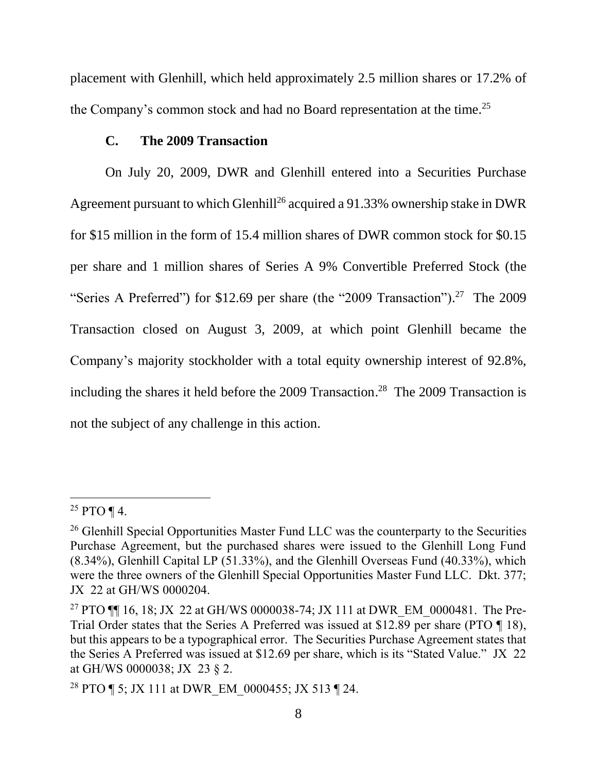placement with Glenhill, which held approximately 2.5 million shares or 17.2% of the Company's common stock and had no Board representation at the time.<sup>25</sup>

### **C. The 2009 Transaction**

On July 20, 2009, DWR and Glenhill entered into a Securities Purchase Agreement pursuant to which Glenhill<sup>26</sup> acquired a 91.33% ownership stake in DWR for \$15 million in the form of 15.4 million shares of DWR common stock for \$0.15 per share and 1 million shares of Series A 9% Convertible Preferred Stock (the "Series A Preferred") for \$12.69 per share (the "2009 Transaction").<sup>27</sup> The 2009 Transaction closed on August 3, 2009, at which point Glenhill became the Company's majority stockholder with a total equity ownership interest of 92.8%, including the shares it held before the 2009 Transaction. 28 The 2009 Transaction is not the subject of any challenge in this action.

 $25$  PTO ¶ 4.

<sup>&</sup>lt;sup>26</sup> Glenhill Special Opportunities Master Fund LLC was the counterparty to the Securities Purchase Agreement, but the purchased shares were issued to the Glenhill Long Fund (8.34%), Glenhill Capital LP (51.33%), and the Glenhill Overseas Fund (40.33%), which were the three owners of the Glenhill Special Opportunities Master Fund LLC. Dkt. 377; JX 22 at GH/WS 0000204.

<sup>&</sup>lt;sup>27</sup> PTO ¶[ 16, 18; JX 22 at GH/WS 0000038-74; JX 111 at DWR EM 0000481. The Pre-Trial Order states that the Series A Preferred was issued at \$12.89 per share (PTO ¶ 18), but this appears to be a typographical error. The Securities Purchase Agreement states that the Series A Preferred was issued at \$12.69 per share, which is its "Stated Value." JX 22 at GH/WS 0000038; JX 23 § 2.

<sup>&</sup>lt;sup>28</sup> PTO ¶ 5; JX 111 at DWR EM 0000455; JX 513 ¶ 24.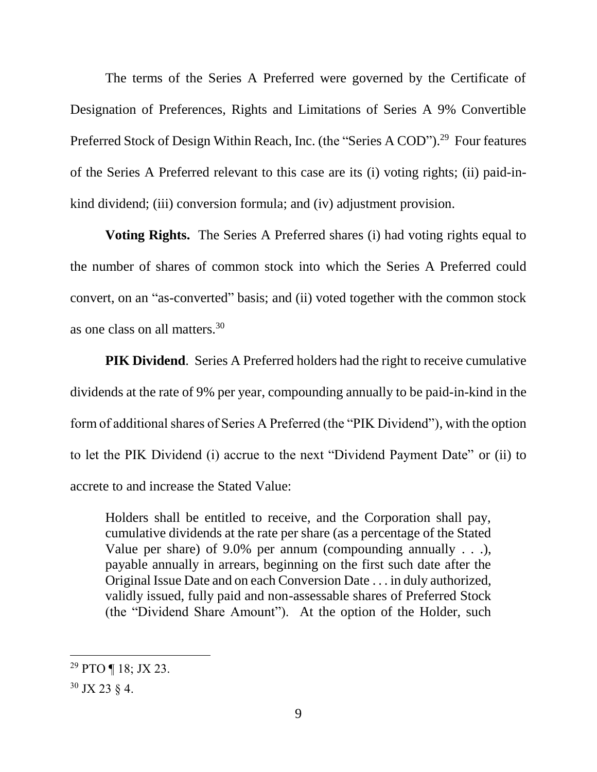The terms of the Series A Preferred were governed by the Certificate of Designation of Preferences, Rights and Limitations of Series A 9% Convertible Preferred Stock of Design Within Reach, Inc. (the "Series A COD").<sup>29</sup> Four features of the Series A Preferred relevant to this case are its (i) voting rights; (ii) paid-inkind dividend; (iii) conversion formula; and (iv) adjustment provision.

**Voting Rights.** The Series A Preferred shares (i) had voting rights equal to the number of shares of common stock into which the Series A Preferred could convert, on an "as-converted" basis; and (ii) voted together with the common stock as one class on all matters.<sup>30</sup>

**PIK Dividend.** Series A Preferred holders had the right to receive cumulative dividends at the rate of 9% per year, compounding annually to be paid-in-kind in the form of additional shares of Series A Preferred (the "PIK Dividend"), with the option to let the PIK Dividend (i) accrue to the next "Dividend Payment Date" or (ii) to accrete to and increase the Stated Value:

Holders shall be entitled to receive, and the Corporation shall pay, cumulative dividends at the rate per share (as a percentage of the Stated Value per share) of 9.0% per annum (compounding annually . . .), payable annually in arrears, beginning on the first such date after the Original Issue Date and on each Conversion Date . . . in duly authorized, validly issued, fully paid and non-assessable shares of Preferred Stock (the "Dividend Share Amount"). At the option of the Holder, such

<sup>&</sup>lt;sup>29</sup> PTO  $\P$  18; JX 23.

 $30$  JX 23  $\S$  4.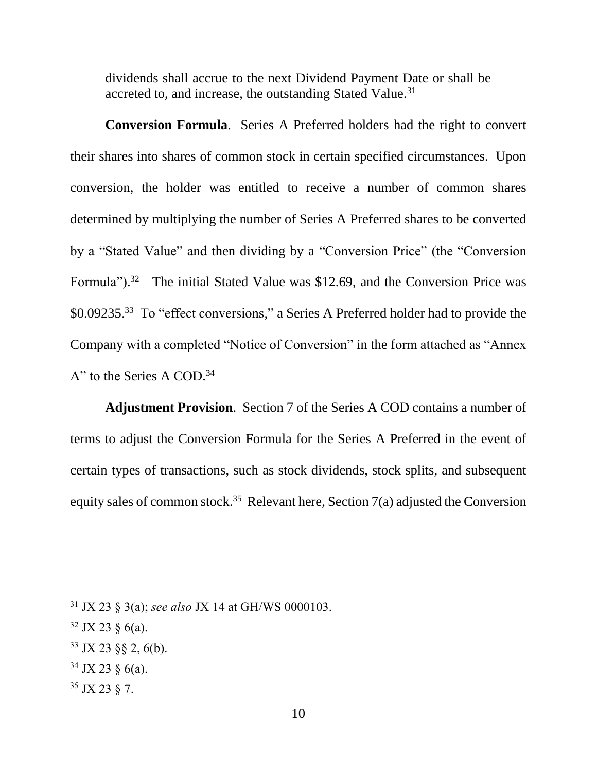dividends shall accrue to the next Dividend Payment Date or shall be accreted to, and increase, the outstanding Stated Value.<sup>31</sup>

**Conversion Formula**. Series A Preferred holders had the right to convert their shares into shares of common stock in certain specified circumstances. Upon conversion, the holder was entitled to receive a number of common shares determined by multiplying the number of Series A Preferred shares to be converted by a "Stated Value" and then dividing by a "Conversion Price" (the "Conversion Formula").<sup>32</sup> The initial Stated Value was \$12.69, and the Conversion Price was \$0.09235.<sup>33</sup> To "effect conversions," a Series A Preferred holder had to provide the Company with a completed "Notice of Conversion" in the form attached as "Annex A" to the Series A COD. 34

**Adjustment Provision**. Section 7 of the Series A COD contains a number of terms to adjust the Conversion Formula for the Series A Preferred in the event of certain types of transactions, such as stock dividends, stock splits, and subsequent equity sales of common stock.<sup>35</sup> Relevant here, Section 7(a) adjusted the Conversion

- $34$  JX 23 § 6(a).
- <sup>35</sup> JX 23 § 7.

<sup>31</sup> JX 23 § 3(a); *see also* JX 14 at GH/WS 0000103.

 $32$  JX 23  $\frac{6}{a}$ .

<sup>33</sup> JX 23 §§ 2, 6(b).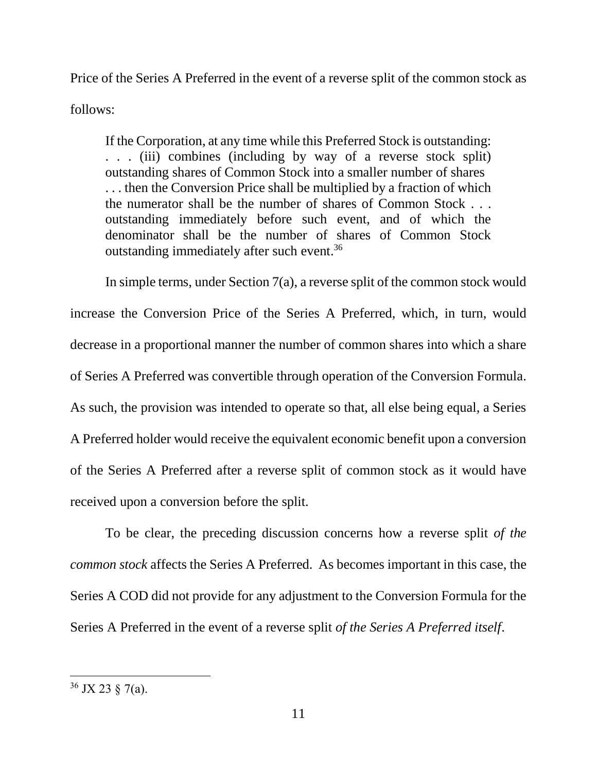Price of the Series A Preferred in the event of a reverse split of the common stock as follows:

If the Corporation, at any time while this Preferred Stock is outstanding: . . . (iii) combines (including by way of a reverse stock split) outstanding shares of Common Stock into a smaller number of shares . . . then the Conversion Price shall be multiplied by a fraction of which the numerator shall be the number of shares of Common Stock . . . outstanding immediately before such event, and of which the denominator shall be the number of shares of Common Stock outstanding immediately after such event.<sup>36</sup>

In simple terms, under Section 7(a), a reverse split of the common stock would increase the Conversion Price of the Series A Preferred, which, in turn, would decrease in a proportional manner the number of common shares into which a share of Series A Preferred was convertible through operation of the Conversion Formula. As such, the provision was intended to operate so that, all else being equal, a Series A Preferred holder would receive the equivalent economic benefit upon a conversion of the Series A Preferred after a reverse split of common stock as it would have received upon a conversion before the split.

To be clear, the preceding discussion concerns how a reverse split *of the common stock* affects the Series A Preferred. As becomes important in this case, the Series A COD did not provide for any adjustment to the Conversion Formula for the Series A Preferred in the event of a reverse split *of the Series A Preferred itself*.

 $36$  JX 23  $\S$  7(a).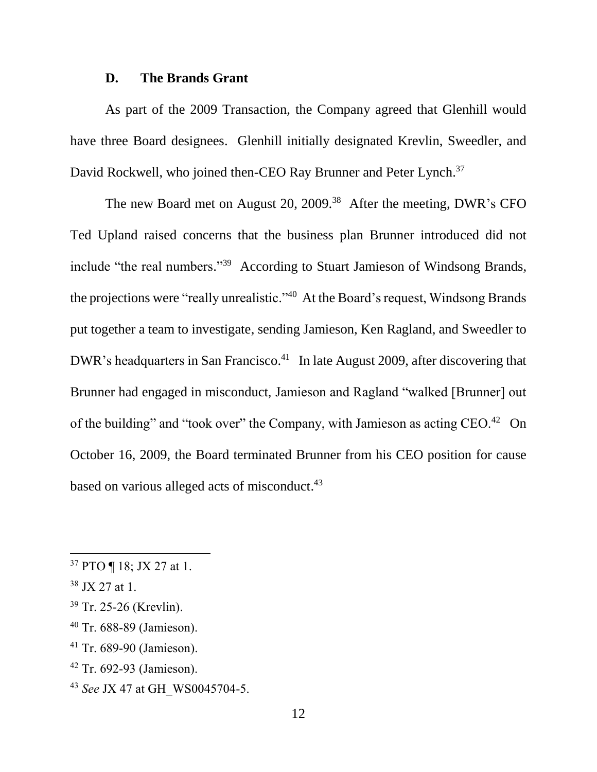#### **D. The Brands Grant**

As part of the 2009 Transaction, the Company agreed that Glenhill would have three Board designees. Glenhill initially designated Krevlin, Sweedler, and David Rockwell, who joined then-CEO Ray Brunner and Peter Lynch.<sup>37</sup>

The new Board met on August 20, 2009.<sup>38</sup> After the meeting, DWR's CFO Ted Upland raised concerns that the business plan Brunner introduced did not include "the real numbers." <sup>39</sup> According to Stuart Jamieson of Windsong Brands, the projections were "really unrealistic."<sup>40</sup> At the Board's request, Windsong Brands put together a team to investigate, sending Jamieson, Ken Ragland, and Sweedler to DWR's headquarters in San Francisco.<sup>41</sup> In late August 2009, after discovering that Brunner had engaged in misconduct, Jamieson and Ragland "walked [Brunner] out of the building" and "took over" the Company, with Jamieson as acting CEO.<sup>42</sup> On October 16, 2009, the Board terminated Brunner from his CEO position for cause based on various alleged acts of misconduct.<sup>43</sup>

- <sup>41</sup> Tr. 689-90 (Jamieson).
- <sup>42</sup> Tr. 692-93 (Jamieson).
- <sup>43</sup> *See* JX 47 at GH\_WS0045704-5.

 $37$  PTO  $\P$  18; JX 27 at 1.

<sup>38</sup> JX 27 at 1.

<sup>39</sup> Tr. 25-26 (Krevlin).

<sup>40</sup> Tr. 688-89 (Jamieson).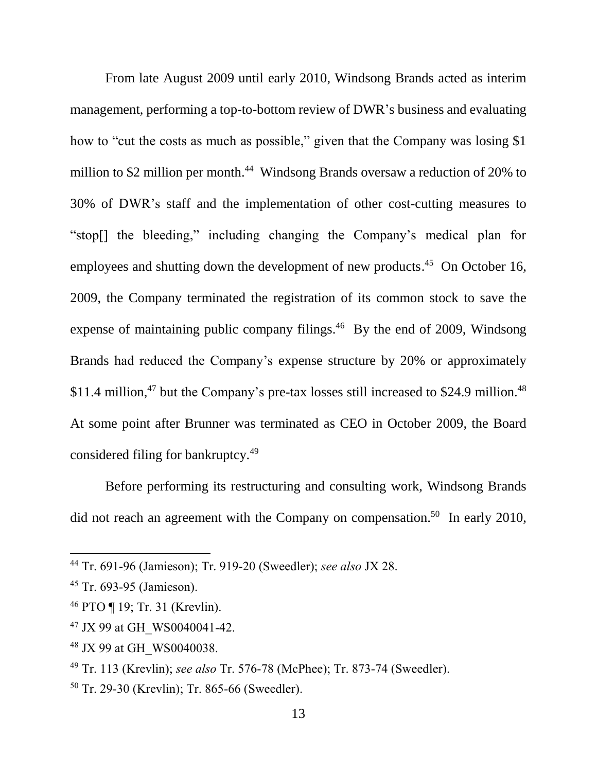From late August 2009 until early 2010, Windsong Brands acted as interim management, performing a top-to-bottom review of DWR's business and evaluating how to "cut the costs as much as possible," given that the Company was losing \$1 million to \$2 million per month.<sup>44</sup> Windsong Brands oversaw a reduction of 20% to 30% of DWR's staff and the implementation of other cost-cutting measures to "stop[] the bleeding," including changing the Company's medical plan for employees and shutting down the development of new products.<sup>45</sup> On October 16, 2009, the Company terminated the registration of its common stock to save the expense of maintaining public company filings.<sup>46</sup> By the end of 2009, Windsong Brands had reduced the Company's expense structure by 20% or approximately \$11.4 million, $47$  but the Company's pre-tax losses still increased to \$24.9 million. $48$ At some point after Brunner was terminated as CEO in October 2009, the Board considered filing for bankruptcy.<sup>49</sup>

Before performing its restructuring and consulting work, Windsong Brands did not reach an agreement with the Company on compensation.<sup>50</sup> In early 2010,

<sup>44</sup> Tr. 691-96 (Jamieson); Tr. 919-20 (Sweedler); *see also* JX 28.

<sup>45</sup> Tr. 693-95 (Jamieson).

<sup>46</sup> PTO ¶ 19; Tr. 31 (Krevlin).

<sup>&</sup>lt;sup>47</sup> JX 99 at GH\_WS0040041-42.

<sup>&</sup>lt;sup>48</sup> JX 99 at GH\_WS0040038.

<sup>49</sup> Tr. 113 (Krevlin); *see also* Tr. 576-78 (McPhee); Tr. 873-74 (Sweedler).

<sup>50</sup> Tr. 29-30 (Krevlin); Tr. 865-66 (Sweedler).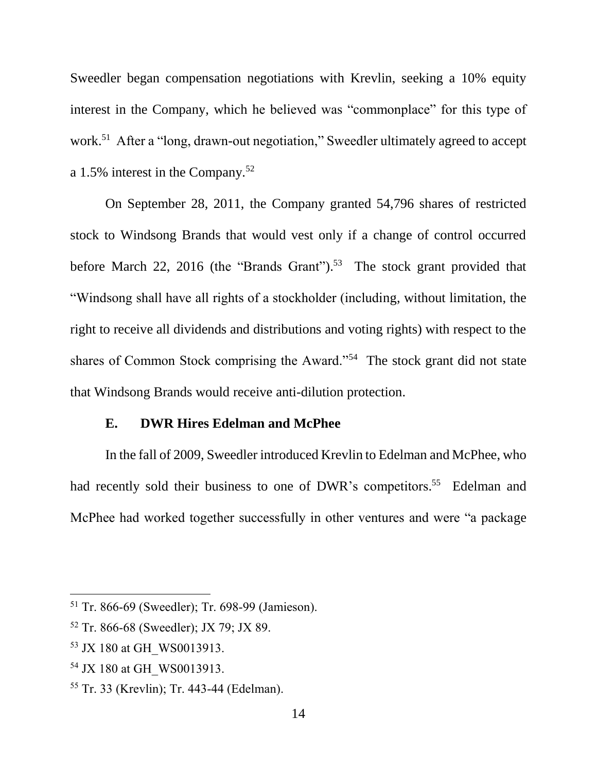Sweedler began compensation negotiations with Krevlin, seeking a 10% equity interest in the Company, which he believed was "commonplace" for this type of work.<sup>51</sup> After a "long, drawn-out negotiation," Sweedler ultimately agreed to accept a 1.5% interest in the Company.<sup>52</sup>

On September 28, 2011, the Company granted 54,796 shares of restricted stock to Windsong Brands that would vest only if a change of control occurred before March 22, 2016 (the "Brands Grant").<sup>53</sup> The stock grant provided that "Windsong shall have all rights of a stockholder (including, without limitation, the right to receive all dividends and distributions and voting rights) with respect to the shares of Common Stock comprising the Award."<sup>54</sup> The stock grant did not state that Windsong Brands would receive anti-dilution protection.

#### **E. DWR Hires Edelman and McPhee**

In the fall of 2009, Sweedler introduced Krevlin to Edelman and McPhee, who had recently sold their business to one of DWR's competitors.<sup>55</sup> Edelman and McPhee had worked together successfully in other ventures and were "a package

<sup>51</sup> Tr. 866-69 (Sweedler); Tr. 698-99 (Jamieson).

<sup>52</sup> Tr. 866-68 (Sweedler); JX 79; JX 89.

<sup>&</sup>lt;sup>53</sup> JX 180 at GH\_WS0013913.

<sup>&</sup>lt;sup>54</sup> JX 180 at GH\_WS0013913.

<sup>55</sup> Tr. 33 (Krevlin); Tr. 443-44 (Edelman).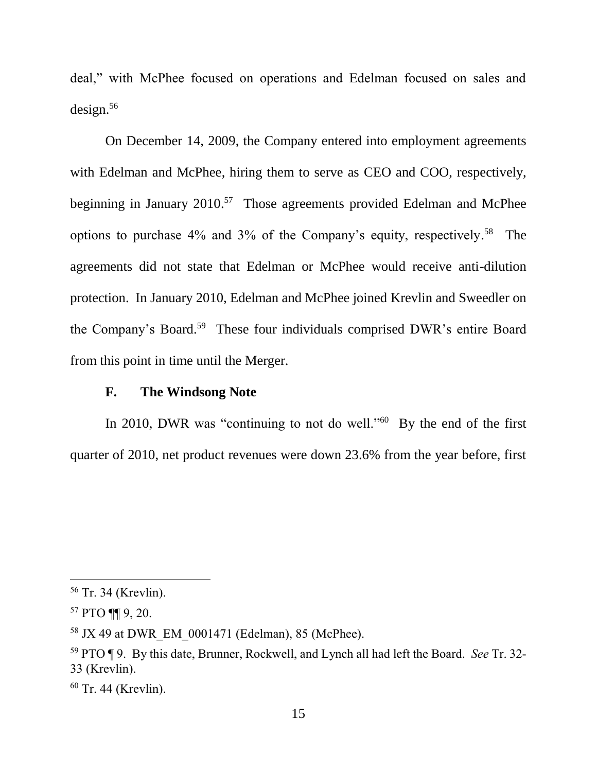deal," with McPhee focused on operations and Edelman focused on sales and design.<sup>56</sup>

On December 14, 2009, the Company entered into employment agreements with Edelman and McPhee, hiring them to serve as CEO and COO, respectively, beginning in January 2010.<sup>57</sup> Those agreements provided Edelman and McPhee options to purchase 4% and 3% of the Company's equity, respectively. <sup>58</sup> The agreements did not state that Edelman or McPhee would receive anti-dilution protection. In January 2010, Edelman and McPhee joined Krevlin and Sweedler on the Company's Board.<sup>59</sup> These four individuals comprised DWR's entire Board from this point in time until the Merger.

#### **F. The Windsong Note**

In 2010, DWR was "continuing to not do well."<sup>60</sup> By the end of the first quarter of 2010, net product revenues were down 23.6% from the year before, first

<sup>56</sup> Tr. 34 (Krevlin).

<sup>57</sup> PTO ¶¶ 9, 20.

<sup>&</sup>lt;sup>58</sup> JX 49 at DWR EM 0001471 (Edelman), 85 (McPhee).

<sup>59</sup> PTO ¶ 9. By this date, Brunner, Rockwell, and Lynch all had left the Board. *See* Tr. 32- 33 (Krevlin).

<sup>60</sup> Tr. 44 (Krevlin).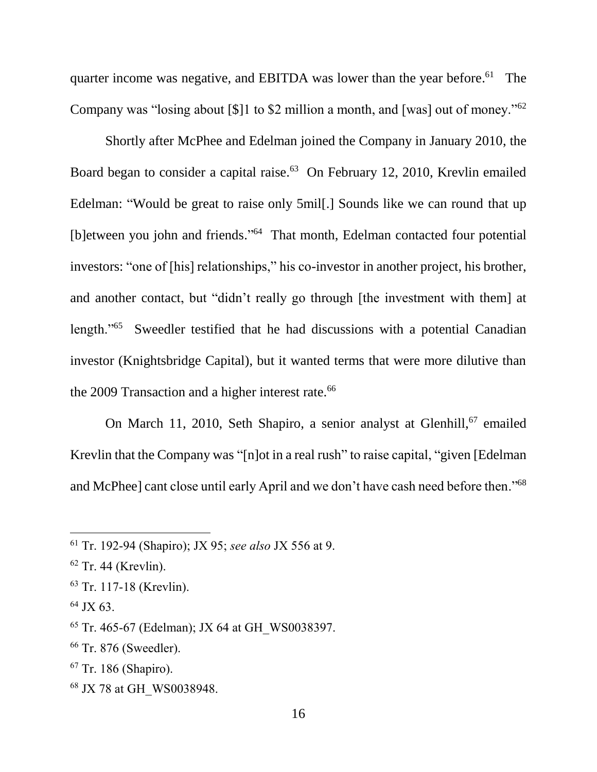quarter income was negative, and EBITDA was lower than the year before.<sup>61</sup> The Company was "losing about [\$]1 to \$2 million a month, and [was] out of money." $62$ 

Shortly after McPhee and Edelman joined the Company in January 2010, the Board began to consider a capital raise.<sup>63</sup> On February 12, 2010, Krevlin emailed Edelman: "Would be great to raise only 5mil[.] Sounds like we can round that up [b]etween you john and friends."<sup>64</sup> That month, Edelman contacted four potential investors: "one of [his] relationships," his co-investor in another project, his brother, and another contact, but "didn't really go through [the investment with them] at length."<sup>65</sup> Sweedler testified that he had discussions with a potential Canadian investor (Knightsbridge Capital), but it wanted terms that were more dilutive than the 2009 Transaction and a higher interest rate.<sup>66</sup>

On March 11, 2010, Seth Shapiro, a senior analyst at Glenhill, <sup>67</sup> emailed Krevlin that the Company was "[n]ot in a real rush" to raise capital, "given [Edelman and McPhee] cant close until early April and we don't have cash need before then."<sup>68</sup>

 $\overline{a}$ 

<sup>68</sup> JX 78 at GH\_WS0038948.

<sup>61</sup> Tr. 192-94 (Shapiro); JX 95; *see also* JX 556 at 9.

 $62$  Tr. 44 (Krevlin).

<sup>63</sup> Tr. 117-18 (Krevlin).

 $64$  JX 63.

 $65$  Tr. 465-67 (Edelman); JX 64 at GH\_WS0038397.

<sup>66</sup> Tr. 876 (Sweedler).

<sup>67</sup> Tr. 186 (Shapiro).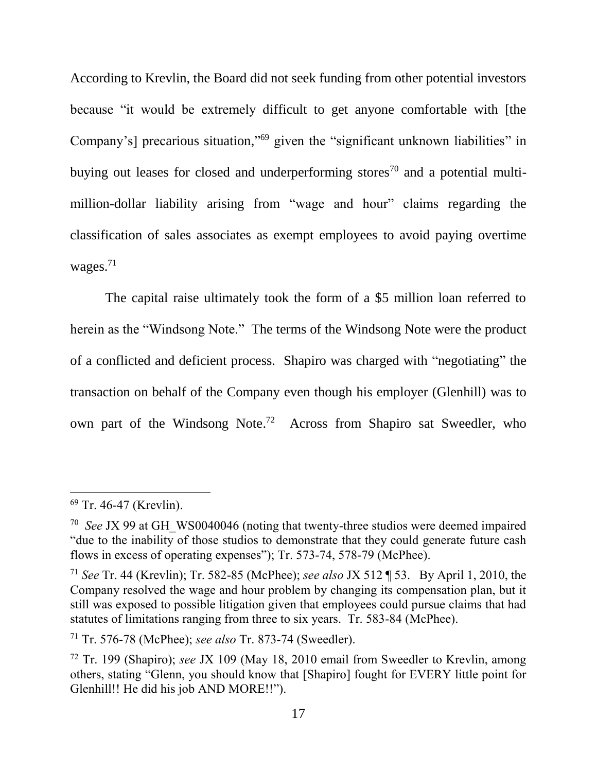According to Krevlin, the Board did not seek funding from other potential investors because "it would be extremely difficult to get anyone comfortable with [the Company's] precarious situation,"<sup>69</sup> given the "significant unknown liabilities" in buying out leases for closed and underperforming stores<sup>70</sup> and a potential multimillion-dollar liability arising from "wage and hour" claims regarding the classification of sales associates as exempt employees to avoid paying overtime wages.<sup>71</sup>

The capital raise ultimately took the form of a \$5 million loan referred to herein as the "Windsong Note." The terms of the Windsong Note were the product of a conflicted and deficient process. Shapiro was charged with "negotiating" the transaction on behalf of the Company even though his employer (Glenhill) was to own part of the Windsong Note.<sup>72</sup> Across from Shapiro sat Sweedler, who

<sup>&</sup>lt;sup>69</sup> Tr. 46-47 (Krevlin).

<sup>70</sup> *See* JX 99 at GH\_WS0040046 (noting that twenty-three studios were deemed impaired "due to the inability of those studios to demonstrate that they could generate future cash flows in excess of operating expenses"); Tr. 573-74, 578-79 (McPhee).

<sup>71</sup> *See* Tr. 44 (Krevlin); Tr. 582-85 (McPhee); *see also* JX 512 ¶ 53. By April 1, 2010, the Company resolved the wage and hour problem by changing its compensation plan, but it still was exposed to possible litigation given that employees could pursue claims that had statutes of limitations ranging from three to six years. Tr. 583-84 (McPhee).

<sup>71</sup> Tr. 576-78 (McPhee); *see also* Tr. 873-74 (Sweedler).

<sup>72</sup> Tr. 199 (Shapiro); *see* JX 109 (May 18, 2010 email from Sweedler to Krevlin, among others, stating "Glenn, you should know that [Shapiro] fought for EVERY little point for Glenhill!! He did his job AND MORE!!").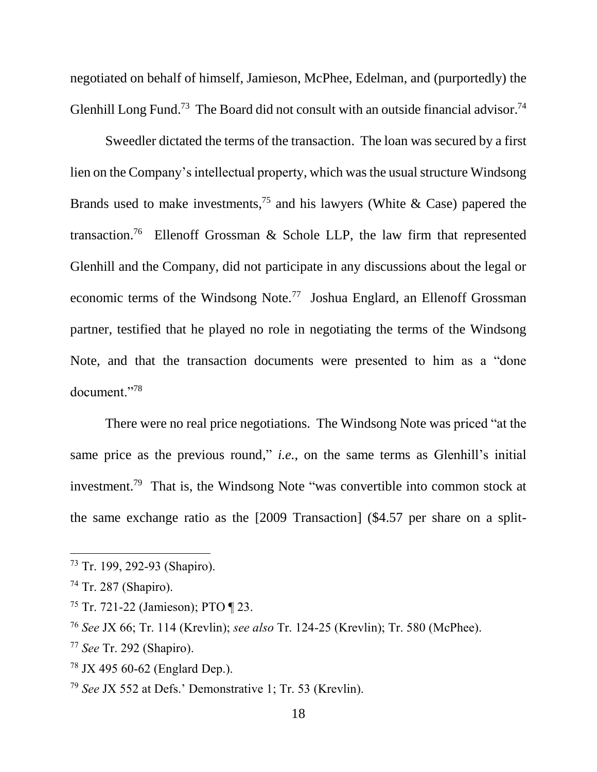negotiated on behalf of himself, Jamieson, McPhee, Edelman, and (purportedly) the Glenhill Long Fund.<sup>73</sup> The Board did not consult with an outside financial advisor.<sup>74</sup>

Sweedler dictated the terms of the transaction. The loan was secured by a first lien on the Company's intellectual property, which was the usual structure Windsong Brands used to make investments,<sup>75</sup> and his lawyers (White & Case) papered the transaction.<sup>76</sup> Ellenoff Grossman & Schole LLP, the law firm that represented Glenhill and the Company, did not participate in any discussions about the legal or economic terms of the Windsong Note.<sup>77</sup> Joshua Englard, an Ellenoff Grossman partner, testified that he played no role in negotiating the terms of the Windsong Note, and that the transaction documents were presented to him as a "done document."<sup>78</sup>

There were no real price negotiations. The Windsong Note was priced "at the same price as the previous round," *i.e.*, on the same terms as Glenhill's initial investment.<sup>79</sup> That is, the Windsong Note "was convertible into common stock at the same exchange ratio as the [2009 Transaction] (\$4.57 per share on a split-

<sup>73</sup> Tr. 199, 292-93 (Shapiro).

<sup>74</sup> Tr. 287 (Shapiro).

<sup>75</sup> Tr. 721-22 (Jamieson); PTO ¶ 23.

<sup>76</sup> *See* JX 66; Tr. 114 (Krevlin); *see also* Tr. 124-25 (Krevlin); Tr. 580 (McPhee).

<sup>77</sup> *See* Tr. 292 (Shapiro).

<sup>78</sup> JX 495 60-62 (Englard Dep.).

<sup>79</sup> *See* JX 552 at Defs.' Demonstrative 1; Tr. 53 (Krevlin).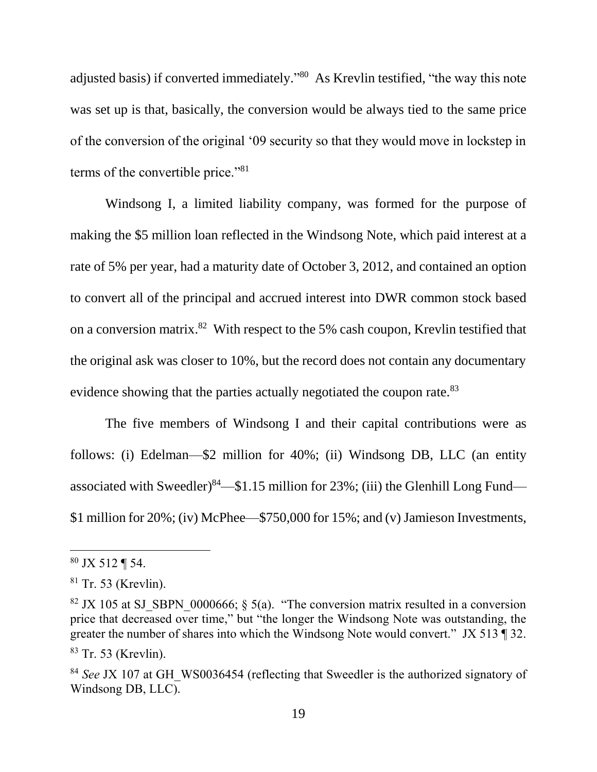adjusted basis) if converted immediately."<sup>80</sup> As Krevlin testified, "the way this note was set up is that, basically, the conversion would be always tied to the same price of the conversion of the original '09 security so that they would move in lockstep in terms of the convertible price."<sup>81</sup>

Windsong I, a limited liability company, was formed for the purpose of making the \$5 million loan reflected in the Windsong Note, which paid interest at a rate of 5% per year, had a maturity date of October 3, 2012, and contained an option to convert all of the principal and accrued interest into DWR common stock based on a conversion matrix.<sup>82</sup> With respect to the 5% cash coupon, Krevlin testified that the original ask was closer to 10%, but the record does not contain any documentary evidence showing that the parties actually negotiated the coupon rate.<sup>83</sup>

The five members of Windsong I and their capital contributions were as follows: (i) Edelman—\$2 million for 40%; (ii) Windsong DB, LLC (an entity associated with Sweedler)<sup>84</sup>—\$1.15 million for 23%; (iii) the Glenhill Long Fund— \$1 million for 20%; (iv) McPhee—\$750,000 for 15%; and (v) Jamieson Investments,

 $80$  JX 512 ¶ 54.

 $81$  Tr. 53 (Krevlin).

<sup>&</sup>lt;sup>82</sup> JX 105 at SJ\_SBPN\_0000666;  $\frac{5}{a}$ . "The conversion matrix resulted in a conversion price that decreased over time," but "the longer the Windsong Note was outstanding, the greater the number of shares into which the Windsong Note would convert." JX 513 ¶ 32. <sup>83</sup> Tr. 53 (Krevlin).

<sup>&</sup>lt;sup>84</sup> *See JX 107 at GH\_WS0036454 (reflecting that Sweedler is the authorized signatory of* Windsong DB, LLC).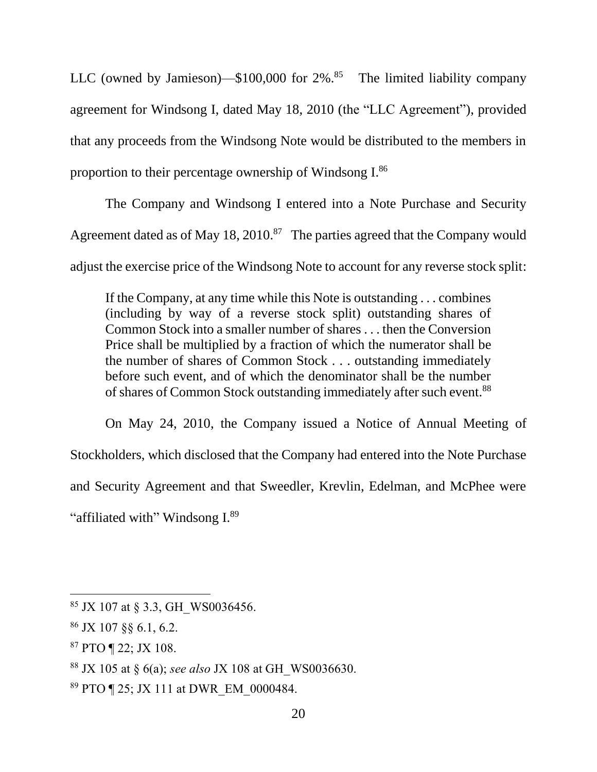LLC (owned by Jamieson)— $$100,000$  for  $2\%$ .<sup>85</sup> The limited liability company agreement for Windsong I, dated May 18, 2010 (the "LLC Agreement"), provided that any proceeds from the Windsong Note would be distributed to the members in proportion to their percentage ownership of Windsong I.<sup>86</sup>

The Company and Windsong I entered into a Note Purchase and Security Agreement dated as of May 18, 2010.<sup>87</sup> The parties agreed that the Company would adjust the exercise price of the Windsong Note to account for any reverse stock split:

If the Company, at any time while this Note is outstanding . . . combines (including by way of a reverse stock split) outstanding shares of Common Stock into a smaller number of shares . . . then the Conversion Price shall be multiplied by a fraction of which the numerator shall be the number of shares of Common Stock . . . outstanding immediately before such event, and of which the denominator shall be the number of shares of Common Stock outstanding immediately after such event.<sup>88</sup>

On May 24, 2010, the Company issued a Notice of Annual Meeting of Stockholders, which disclosed that the Company had entered into the Note Purchase and Security Agreement and that Sweedler, Krevlin, Edelman, and McPhee were "affiliated with" Windsong I.<sup>89</sup>

 $85$  JX 107 at § 3.3, GH\_WS0036456.

<sup>86</sup> JX 107 §§ 6.1, 6.2.

<sup>87</sup> PTO ¶ 22; JX 108.

<sup>88</sup> JX 105 at § 6(a); *see also* JX 108 at GH\_WS0036630.

<sup>89</sup> PTO ¶ 25; JX 111 at DWR\_EM\_0000484.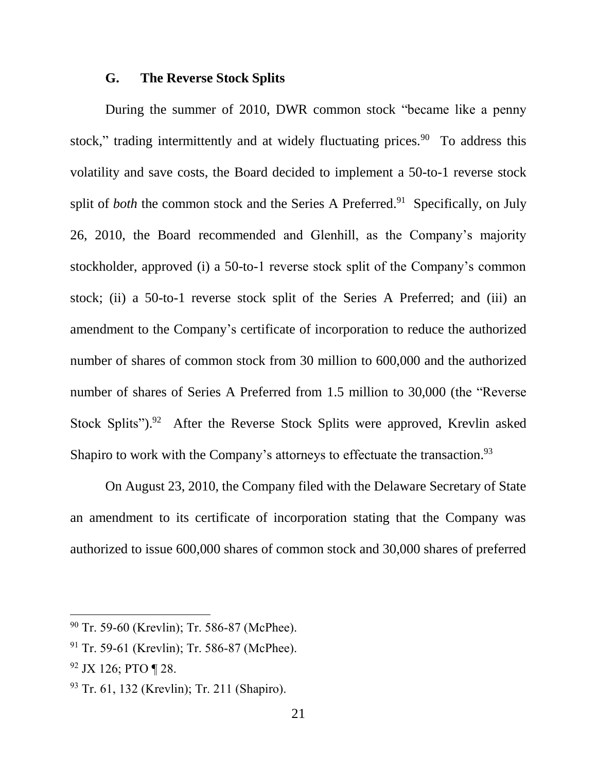#### **G. The Reverse Stock Splits**

During the summer of 2010, DWR common stock "became like a penny stock," trading intermittently and at widely fluctuating prices. $90$  To address this volatility and save costs, the Board decided to implement a 50-to-1 reverse stock split of *both* the common stock and the Series A Preferred.<sup>91</sup> Specifically, on July 26, 2010, the Board recommended and Glenhill, as the Company's majority stockholder, approved (i) a 50-to-1 reverse stock split of the Company's common stock; (ii) a 50-to-1 reverse stock split of the Series A Preferred; and (iii) an amendment to the Company's certificate of incorporation to reduce the authorized number of shares of common stock from 30 million to 600,000 and the authorized number of shares of Series A Preferred from 1.5 million to 30,000 (the "Reverse Stock Splits").<sup>92</sup> After the Reverse Stock Splits were approved, Krevlin asked Shapiro to work with the Company's attorneys to effectuate the transaction.<sup>93</sup>

On August 23, 2010, the Company filed with the Delaware Secretary of State an amendment to its certificate of incorporation stating that the Company was authorized to issue 600,000 shares of common stock and 30,000 shares of preferred

<sup>&</sup>lt;sup>90</sup> Tr. 59-60 (Krevlin); Tr. 586-87 (McPhee).

<sup>&</sup>lt;sup>91</sup> Tr. 59-61 (Krevlin); Tr. 586-87 (McPhee).

 $92$  JX 126; PTO ¶ 28.

<sup>93</sup> Tr. 61, 132 (Krevlin); Tr. 211 (Shapiro).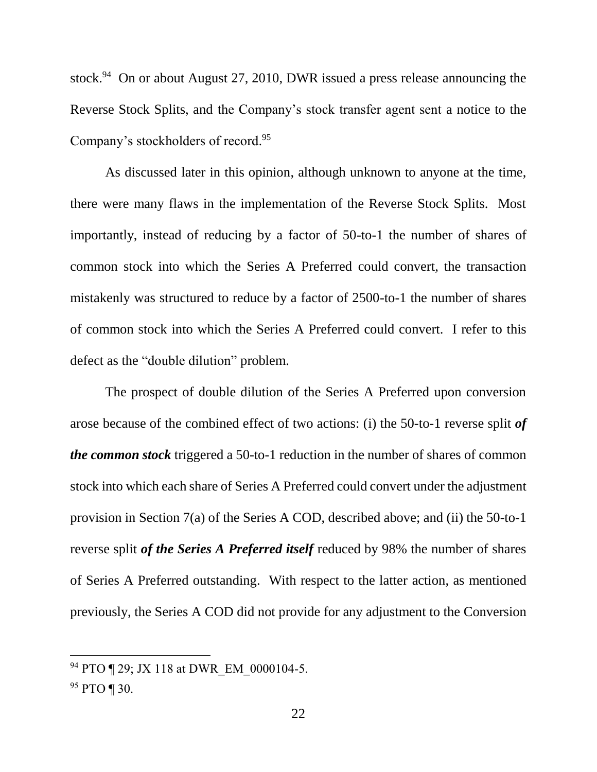stock.<sup>94</sup> On or about August 27, 2010, DWR issued a press release announcing the Reverse Stock Splits, and the Company's stock transfer agent sent a notice to the Company's stockholders of record.<sup>95</sup>

As discussed later in this opinion, although unknown to anyone at the time, there were many flaws in the implementation of the Reverse Stock Splits. Most importantly, instead of reducing by a factor of 50-to-1 the number of shares of common stock into which the Series A Preferred could convert, the transaction mistakenly was structured to reduce by a factor of 2500-to-1 the number of shares of common stock into which the Series A Preferred could convert. I refer to this defect as the "double dilution" problem.

The prospect of double dilution of the Series A Preferred upon conversion arose because of the combined effect of two actions: (i) the 50-to-1 reverse split *of the common stock* triggered a 50-to-1 reduction in the number of shares of common stock into which each share of Series A Preferred could convert under the adjustment provision in Section 7(a) of the Series A COD, described above; and (ii) the 50-to-1 reverse split *of the Series A Preferred itself* reduced by 98% the number of shares of Series A Preferred outstanding. With respect to the latter action, as mentioned previously, the Series A COD did not provide for any adjustment to the Conversion

<sup>&</sup>lt;sup>94</sup> PTO ¶ 29; JX 118 at DWR EM 0000104-5.

<sup>95</sup> PTO ¶ 30.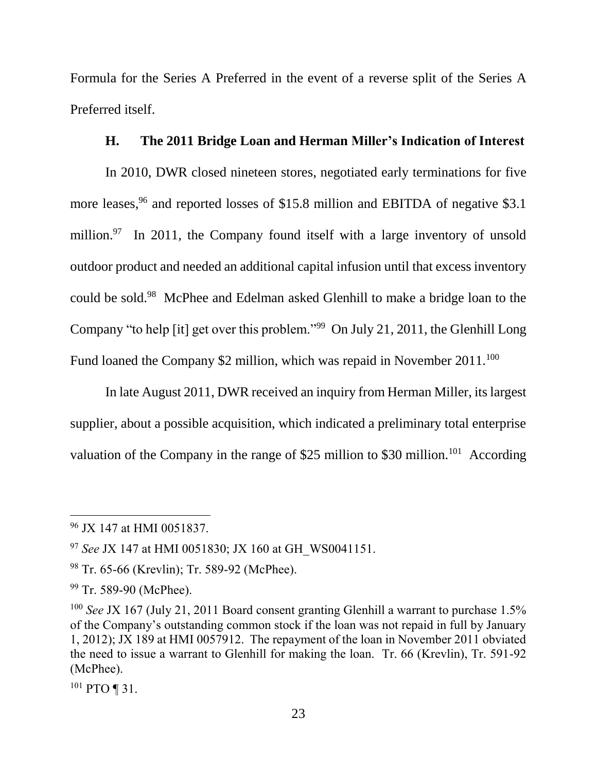Formula for the Series A Preferred in the event of a reverse split of the Series A Preferred itself.

# **H. The 2011 Bridge Loan and Herman Miller's Indication of Interest**

In 2010, DWR closed nineteen stores, negotiated early terminations for five more leases,<sup>96</sup> and reported losses of \$15.8 million and EBITDA of negative \$3.1 million.<sup>97</sup> In 2011, the Company found itself with a large inventory of unsold outdoor product and needed an additional capital infusion until that excess inventory could be sold.<sup>98</sup> McPhee and Edelman asked Glenhill to make a bridge loan to the Company "to help [it] get over this problem."<sup>99</sup> On July 21, 2011, the Glenhill Long Fund loaned the Company \$2 million, which was repaid in November  $2011^{100}$ 

In late August 2011, DWR received an inquiry from Herman Miller, its largest supplier, about a possible acquisition, which indicated a preliminary total enterprise valuation of the Company in the range of \$25 million to \$30 million.<sup>101</sup> According

<sup>101</sup> PTO ¶ 31.

<sup>96</sup> JX 147 at HMI 0051837.

<sup>97</sup> *See* JX 147 at HMI 0051830; JX 160 at GH\_WS0041151.

<sup>98</sup> Tr. 65-66 (Krevlin); Tr. 589-92 (McPhee).

<sup>&</sup>lt;sup>99</sup> Tr. 589-90 (McPhee).

<sup>&</sup>lt;sup>100</sup> See JX 167 (July 21, 2011 Board consent granting Glenhill a warrant to purchase 1.5% of the Company's outstanding common stock if the loan was not repaid in full by January 1, 2012); JX 189 at HMI 0057912. The repayment of the loan in November 2011 obviated the need to issue a warrant to Glenhill for making the loan. Tr. 66 (Krevlin), Tr. 591-92 (McPhee).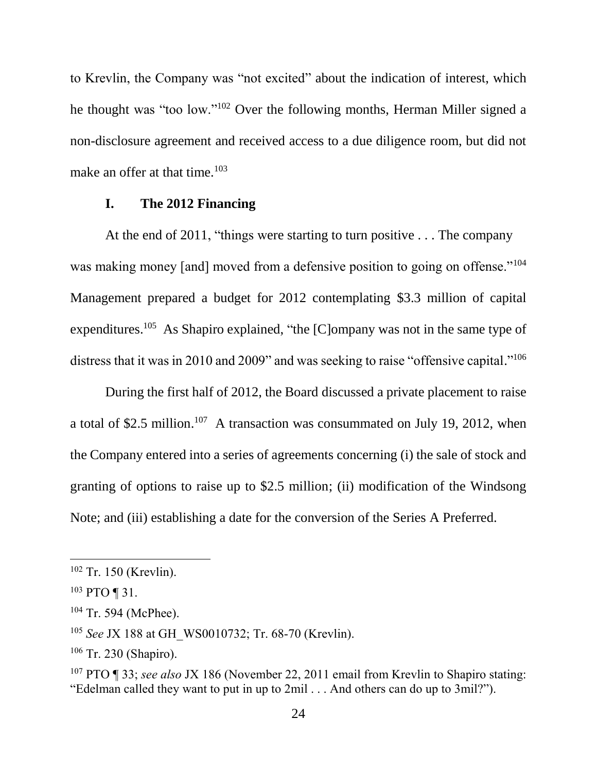to Krevlin, the Company was "not excited" about the indication of interest, which he thought was "too low."<sup>102</sup> Over the following months, Herman Miller signed a non-disclosure agreement and received access to a due diligence room, but did not make an offer at that time. $103$ 

#### **I. The 2012 Financing**

At the end of 2011, "things were starting to turn positive . . . The company was making money [and] moved from a defensive position to going on offense."<sup>104</sup> Management prepared a budget for 2012 contemplating \$3.3 million of capital expenditures.<sup>105</sup> As Shapiro explained, "the [C]ompany was not in the same type of distress that it was in 2010 and 2009" and was seeking to raise "offensive capital."<sup>106</sup>

During the first half of 2012, the Board discussed a private placement to raise a total of \$2.5 million.<sup>107</sup> A transaction was consummated on July 19, 2012, when the Company entered into a series of agreements concerning (i) the sale of stock and granting of options to raise up to \$2.5 million; (ii) modification of the Windsong Note; and (iii) establishing a date for the conversion of the Series A Preferred.

<sup>102</sup> Tr. 150 (Krevlin).

<sup>103</sup> PTO ¶ 31.

<sup>104</sup> Tr. 594 (McPhee).

<sup>105</sup> *See* JX 188 at GH\_WS0010732; Tr. 68-70 (Krevlin).

<sup>106</sup> Tr. 230 (Shapiro).

<sup>107</sup> PTO ¶ 33; *see also* JX 186 (November 22, 2011 email from Krevlin to Shapiro stating: "Edelman called they want to put in up to 2mil . . . And others can do up to 3mil?").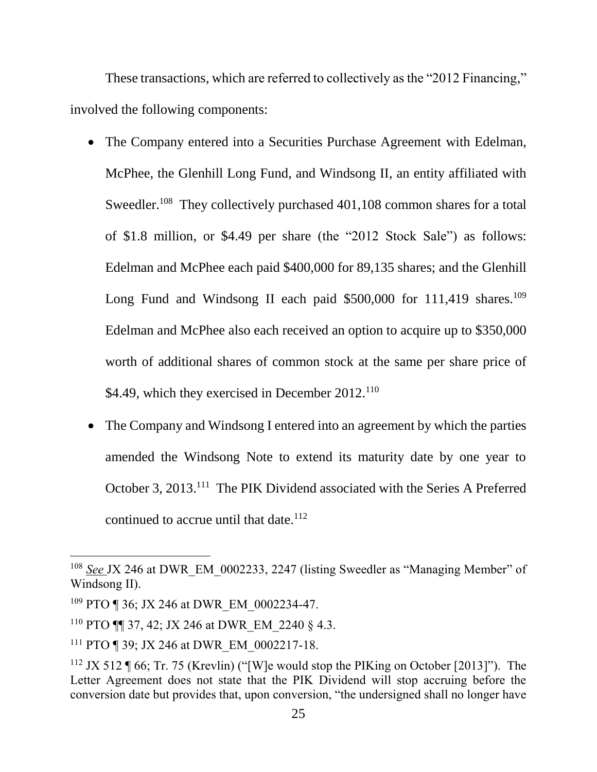These transactions, which are referred to collectively as the "2012 Financing," involved the following components:

- The Company entered into a Securities Purchase Agreement with Edelman, McPhee, the Glenhill Long Fund, and Windsong II, an entity affiliated with Sweedler.<sup>108</sup> They collectively purchased 401,108 common shares for a total of \$1.8 million, or \$4.49 per share (the "2012 Stock Sale") as follows: Edelman and McPhee each paid \$400,000 for 89,135 shares; and the Glenhill Long Fund and Windsong II each paid  $$500,000$  for 111,419 shares.<sup>109</sup> Edelman and McPhee also each received an option to acquire up to \$350,000 worth of additional shares of common stock at the same per share price of \$4.49, which they exercised in December 2012.<sup>110</sup>
- The Company and Windsong I entered into an agreement by which the parties amended the Windsong Note to extend its maturity date by one year to October 3, 2013.<sup>111</sup> The PIK Dividend associated with the Series A Preferred continued to accrue until that date.<sup>112</sup>

<sup>&</sup>lt;sup>108</sup> See JX 246 at DWR EM 0002233, 2247 (listing Sweedler as "Managing Member" of Windsong II).

<sup>&</sup>lt;sup>109</sup> PTO ¶ 36; JX 246 at DWR EM 0002234-47.

<sup>&</sup>lt;sup>110</sup> PTO **[1]** 37, 42; JX 246 at DWR EM 2240  $\&$  4.3.

<sup>&</sup>lt;sup>111</sup> PTO ¶ 39; JX 246 at DWR EM 0002217-18.

<sup>&</sup>lt;sup>112</sup> JX 512 ¶ 66; Tr. 75 (Krevlin) ("[W]e would stop the PIKing on October [2013]"). The Letter Agreement does not state that the PIK Dividend will stop accruing before the conversion date but provides that, upon conversion, "the undersigned shall no longer have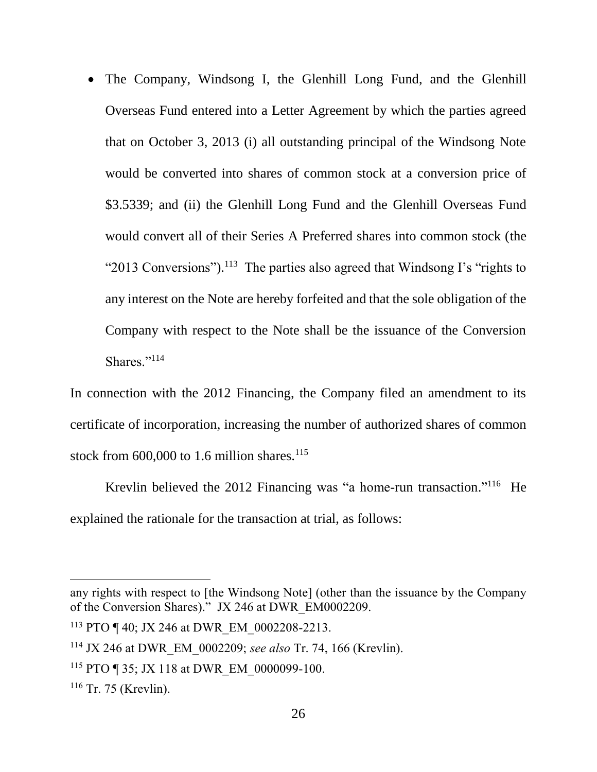• The Company, Windsong I, the Glenhill Long Fund, and the Glenhill Overseas Fund entered into a Letter Agreement by which the parties agreed that on October 3, 2013 (i) all outstanding principal of the Windsong Note would be converted into shares of common stock at a conversion price of \$3.5339; and (ii) the Glenhill Long Fund and the Glenhill Overseas Fund would convert all of their Series A Preferred shares into common stock (the "2013 Conversions").<sup>113</sup> The parties also agreed that Windsong I's "rights to any interest on the Note are hereby forfeited and that the sole obligation of the Company with respect to the Note shall be the issuance of the Conversion Shares."<sup>114</sup>

In connection with the 2012 Financing, the Company filed an amendment to its certificate of incorporation, increasing the number of authorized shares of common stock from  $600,000$  to 1.6 million shares.<sup>115</sup>

Krevlin believed the 2012 Financing was "a home-run transaction."<sup>116</sup> He explained the rationale for the transaction at trial, as follows:

any rights with respect to [the Windsong Note] (other than the issuance by the Company of the Conversion Shares)." JX 246 at DWR\_EM0002209.

<sup>&</sup>lt;sup>113</sup> PTO ¶ 40; JX 246 at DWR EM 0002208-2213.

<sup>114</sup> JX 246 at DWR\_EM\_0002209; *see also* Tr. 74, 166 (Krevlin).

<sup>&</sup>lt;sup>115</sup> PTO ¶ 35; JX 118 at DWR EM 0000099-100.

<sup>116</sup> Tr. 75 (Krevlin).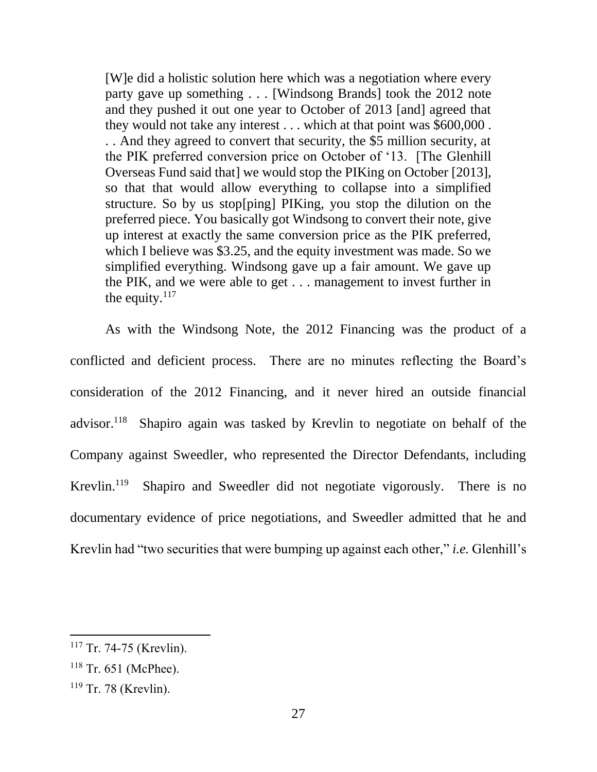[W]e did a holistic solution here which was a negotiation where every party gave up something . . . [Windsong Brands] took the 2012 note and they pushed it out one year to October of 2013 [and] agreed that they would not take any interest . . . which at that point was \$600,000 . . . And they agreed to convert that security, the \$5 million security, at the PIK preferred conversion price on October of '13. [The Glenhill Overseas Fund said that] we would stop the PIKing on October [2013], so that that would allow everything to collapse into a simplified structure. So by us stop[ping] PIKing, you stop the dilution on the preferred piece. You basically got Windsong to convert their note, give up interest at exactly the same conversion price as the PIK preferred, which I believe was \$3.25, and the equity investment was made. So we simplified everything. Windsong gave up a fair amount. We gave up the PIK, and we were able to get . . . management to invest further in the equity. $117$ 

As with the Windsong Note, the 2012 Financing was the product of a conflicted and deficient process. There are no minutes reflecting the Board's consideration of the 2012 Financing, and it never hired an outside financial advisor.<sup>118</sup> Shapiro again was tasked by Krevlin to negotiate on behalf of the Company against Sweedler, who represented the Director Defendants, including Krevlin. $119$  Shapiro and Sweedler did not negotiate vigorously. There is no documentary evidence of price negotiations, and Sweedler admitted that he and Krevlin had "two securities that were bumping up against each other," *i.e.* Glenhill's

<sup>&</sup>lt;sup>117</sup> Tr. 74-75 (Krevlin).

 $118$  Tr. 651 (McPhee).

<sup>119</sup> Tr. 78 (Krevlin).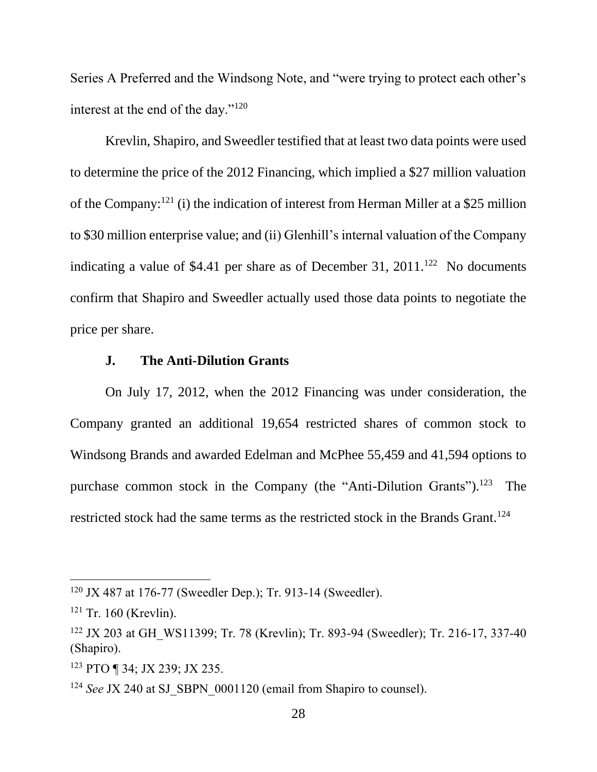Series A Preferred and the Windsong Note, and "were trying to protect each other's interest at the end of the day."<sup>120</sup>

Krevlin, Shapiro, and Sweedler testified that at least two data points were used to determine the price of the 2012 Financing, which implied a \$27 million valuation of the Company:<sup>121</sup> (i) the indication of interest from Herman Miller at a \$25 million to \$30 million enterprise value; and (ii) Glenhill's internal valuation of the Company indicating a value of \$4.41 per share as of December 31,  $2011$ .<sup>122</sup> No documents confirm that Shapiro and Sweedler actually used those data points to negotiate the price per share.

## **J. The Anti-Dilution Grants**

On July 17, 2012, when the 2012 Financing was under consideration, the Company granted an additional 19,654 restricted shares of common stock to Windsong Brands and awarded Edelman and McPhee 55,459 and 41,594 options to purchase common stock in the Company (the "Anti-Dilution Grants").<sup>123</sup> The restricted stock had the same terms as the restricted stock in the Brands Grant.<sup>124</sup>

<sup>120</sup> JX 487 at 176-77 (Sweedler Dep.); Tr. 913-14 (Sweedler).

 $121$  Tr. 160 (Krevlin).

<sup>&</sup>lt;sup>122</sup> JX 203 at GH\_WS11399; Tr. 78 (Krevlin); Tr. 893-94 (Sweedler); Tr. 216-17, 337-40 (Shapiro).

<sup>123</sup> PTO ¶ 34; JX 239; JX 235.

<sup>&</sup>lt;sup>124</sup> *See JX* 240 at SJ SBPN 0001120 (email from Shapiro to counsel).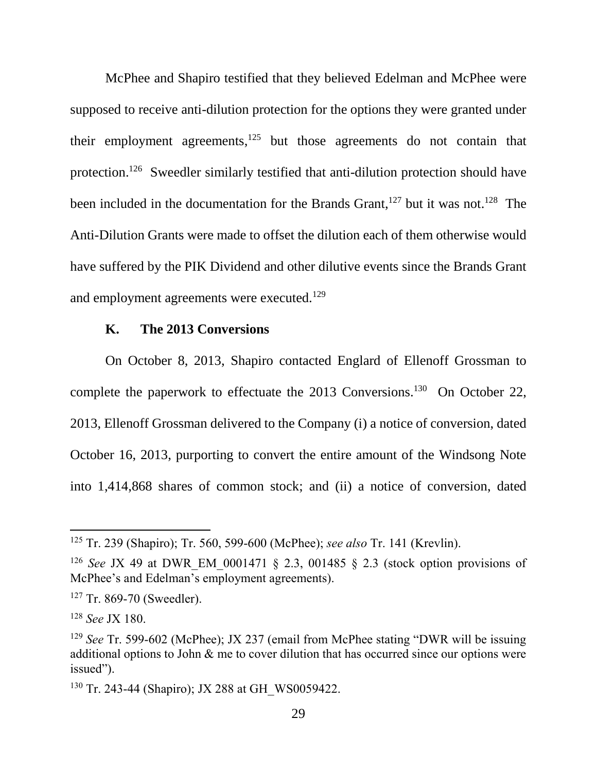McPhee and Shapiro testified that they believed Edelman and McPhee were supposed to receive anti-dilution protection for the options they were granted under their employment agreements,  $125$  but those agreements do not contain that protection.<sup>126</sup> Sweedler similarly testified that anti-dilution protection should have been included in the documentation for the Brands Grant,<sup>127</sup> but it was not.<sup>128</sup> The Anti-Dilution Grants were made to offset the dilution each of them otherwise would have suffered by the PIK Dividend and other dilutive events since the Brands Grant and employment agreements were executed.<sup>129</sup>

## **K. The 2013 Conversions**

On October 8, 2013, Shapiro contacted Englard of Ellenoff Grossman to complete the paperwork to effectuate the 2013 Conversions.<sup>130</sup> On October 22, 2013, Ellenoff Grossman delivered to the Company (i) a notice of conversion, dated October 16, 2013, purporting to convert the entire amount of the Windsong Note into 1,414,868 shares of common stock; and (ii) a notice of conversion, dated

<sup>125</sup> Tr. 239 (Shapiro); Tr. 560, 599-600 (McPhee); *see also* Tr. 141 (Krevlin).

<sup>&</sup>lt;sup>126</sup> *See* JX 49 at DWR EM 0001471 § 2.3, 001485 § 2.3 (stock option provisions of McPhee's and Edelman's employment agreements).

<sup>&</sup>lt;sup>127</sup> Tr. 869-70 (Sweedler).

<sup>128</sup> *See* JX 180.

<sup>129</sup> *See* Tr. 599-602 (McPhee); JX 237 (email from McPhee stating "DWR will be issuing additional options to John & me to cover dilution that has occurred since our options were issued").

<sup>&</sup>lt;sup>130</sup> Tr. 243-44 (Shapiro); JX 288 at GH\_WS0059422.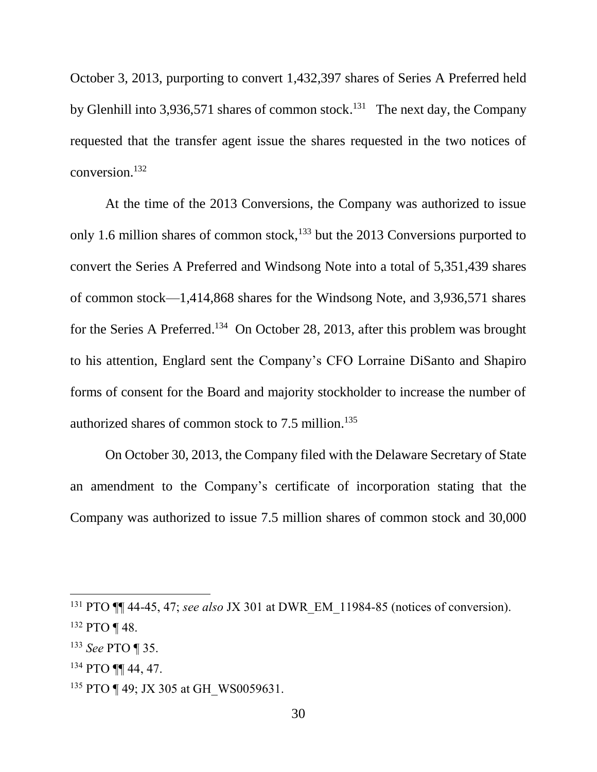October 3, 2013, purporting to convert 1,432,397 shares of Series A Preferred held by Glenhill into 3,936,571 shares of common stock.<sup>131</sup> The next day, the Company requested that the transfer agent issue the shares requested in the two notices of conversion.<sup>132</sup>

At the time of the 2013 Conversions, the Company was authorized to issue only 1.6 million shares of common stock, $133$  but the 2013 Conversions purported to convert the Series A Preferred and Windsong Note into a total of 5,351,439 shares of common stock—1,414,868 shares for the Windsong Note, and 3,936,571 shares for the Series A Preferred.<sup>134</sup> On October 28, 2013, after this problem was brought to his attention, Englard sent the Company's CFO Lorraine DiSanto and Shapiro forms of consent for the Board and majority stockholder to increase the number of authorized shares of common stock to 7.5 million. 135

On October 30, 2013, the Company filed with the Delaware Secretary of State an amendment to the Company's certificate of incorporation stating that the Company was authorized to issue 7.5 million shares of common stock and 30,000

<sup>131</sup> PTO ¶¶ 44-45, 47; *see also* JX 301 at DWR\_EM\_11984-85 (notices of conversion).

 $132$  PTO ¶ 48.

<sup>133</sup> *See* PTO ¶ 35.

<sup>134</sup> PTO ¶¶ 44, 47.

<sup>&</sup>lt;sup>135</sup> PTO ¶ 49; JX 305 at GH\_WS0059631.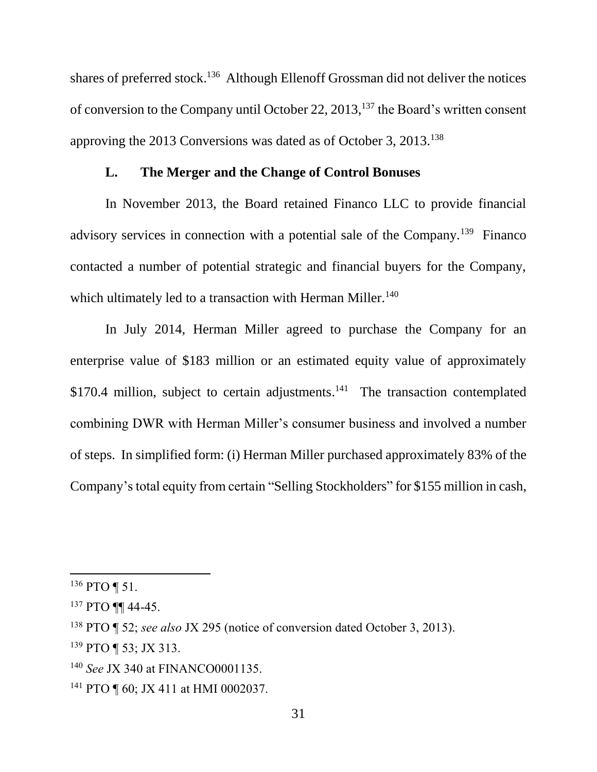shares of preferred stock.<sup>136</sup> Although Ellenoff Grossman did not deliver the notices of conversion to the Company until October 22, 2013,<sup>137</sup> the Board's written consent approving the 2013 Conversions was dated as of October 3, 2013.<sup>138</sup>

### **L. The Merger and the Change of Control Bonuses**

In November 2013, the Board retained Financo LLC to provide financial advisory services in connection with a potential sale of the Company.<sup>139</sup> Financo contacted a number of potential strategic and financial buyers for the Company, which ultimately led to a transaction with Herman Miller.<sup>140</sup>

In July 2014, Herman Miller agreed to purchase the Company for an enterprise value of \$183 million or an estimated equity value of approximately  $$170.4$  million, subject to certain adjustments.<sup>141</sup> The transaction contemplated combining DWR with Herman Miller's consumer business and involved a number of steps. In simplified form: (i) Herman Miller purchased approximately 83% of the Company's total equity from certain "Selling Stockholders" for \$155 million in cash,

 $136$  PTO ¶ 51.

<sup>137</sup> PTO **¶¶** 44-45.

<sup>138</sup> PTO ¶ 52; *see also* JX 295 (notice of conversion dated October 3, 2013).

<sup>139</sup> PTO ¶ 53; JX 313.

<sup>140</sup> *See* JX 340 at FINANCO0001135.

<sup>&</sup>lt;sup>141</sup> PTO ¶ 60; JX 411 at HMI 0002037.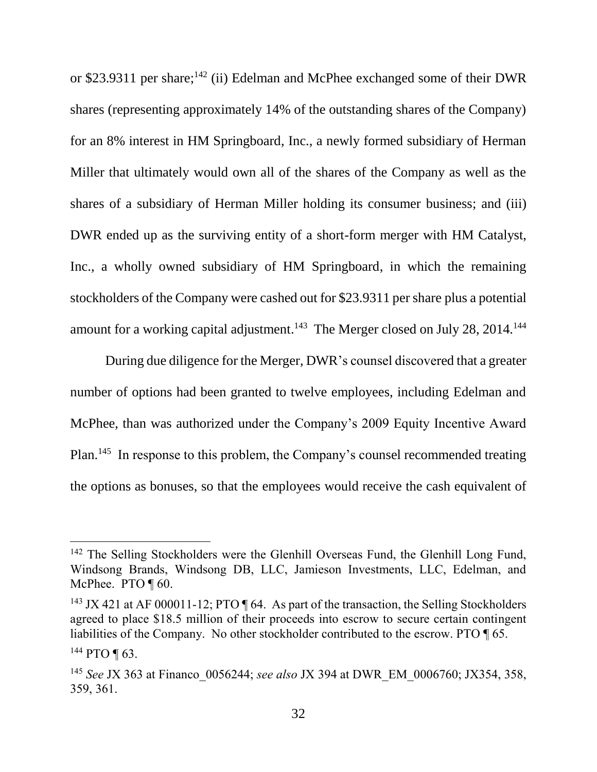or \$23.9311 per share;<sup>142</sup> (ii) Edelman and McPhee exchanged some of their DWR shares (representing approximately 14% of the outstanding shares of the Company) for an 8% interest in HM Springboard, Inc., a newly formed subsidiary of Herman Miller that ultimately would own all of the shares of the Company as well as the shares of a subsidiary of Herman Miller holding its consumer business; and (iii) DWR ended up as the surviving entity of a short-form merger with HM Catalyst, Inc., a wholly owned subsidiary of HM Springboard, in which the remaining stockholders of the Company were cashed out for \$23.9311 per share plus a potential amount for a working capital adjustment.<sup>143</sup> The Merger closed on July 28, 2014.<sup>144</sup>

During due diligence for the Merger, DWR's counsel discovered that a greater number of options had been granted to twelve employees, including Edelman and McPhee, than was authorized under the Company's 2009 Equity Incentive Award Plan.<sup>145</sup> In response to this problem, the Company's counsel recommended treating the options as bonuses, so that the employees would receive the cash equivalent of

<sup>&</sup>lt;sup>142</sup> The Selling Stockholders were the Glenhill Overseas Fund, the Glenhill Long Fund, Windsong Brands, Windsong DB, LLC, Jamieson Investments, LLC, Edelman, and McPhee. PTO ¶ 60.

<sup>&</sup>lt;sup>143</sup> JX 421 at AF 000011-12; PTO  $\P$  64. As part of the transaction, the Selling Stockholders agreed to place \$18.5 million of their proceeds into escrow to secure certain contingent liabilities of the Company. No other stockholder contributed to the escrow. PTO ¶ 65. <sup>144</sup> PTO ¶ 63.

<sup>145</sup> *See* JX 363 at Financo\_0056244; *see also* JX 394 at DWR\_EM\_0006760; JX354, 358, 359, 361.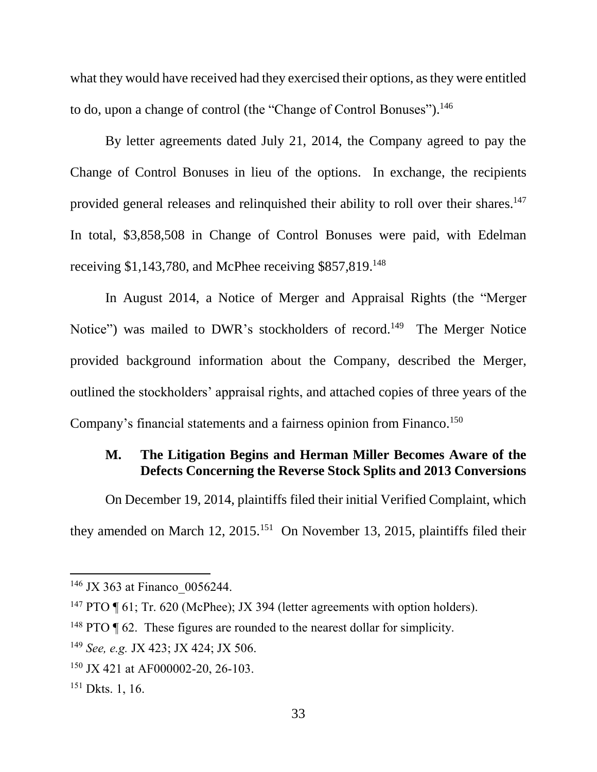what they would have received had they exercised their options, as they were entitled to do, upon a change of control (the "Change of Control Bonuses").<sup>146</sup>

By letter agreements dated July 21, 2014, the Company agreed to pay the Change of Control Bonuses in lieu of the options. In exchange, the recipients provided general releases and relinquished their ability to roll over their shares.<sup>147</sup> In total, \$3,858,508 in Change of Control Bonuses were paid, with Edelman receiving \$1,143,780, and McPhee receiving \$857,819.<sup>148</sup>

In August 2014, a Notice of Merger and Appraisal Rights (the "Merger Notice") was mailed to DWR's stockholders of record.<sup>149</sup> The Merger Notice provided background information about the Company, described the Merger, outlined the stockholders' appraisal rights, and attached copies of three years of the Company's financial statements and a fairness opinion from Financo. 150

# **M. The Litigation Begins and Herman Miller Becomes Aware of the Defects Concerning the Reverse Stock Splits and 2013 Conversions**

On December 19, 2014, plaintiffs filed their initial Verified Complaint, which they amended on March 12,  $2015$ .<sup>151</sup> On November 13, 2015, plaintiffs filed their

<sup>&</sup>lt;sup>146</sup> JX 363 at Financo 0056244.

<sup>&</sup>lt;sup>147</sup> PTO ¶ 61; Tr. 620 (McPhee); JX 394 (letter agreements with option holders).

<sup>&</sup>lt;sup>148</sup> PTO  $\P$  62. These figures are rounded to the nearest dollar for simplicity.

<sup>149</sup> *See, e.g.* JX 423; JX 424; JX 506.

<sup>&</sup>lt;sup>150</sup> JX 421 at AF000002-20, 26-103.

<sup>151</sup> Dkts. 1, 16.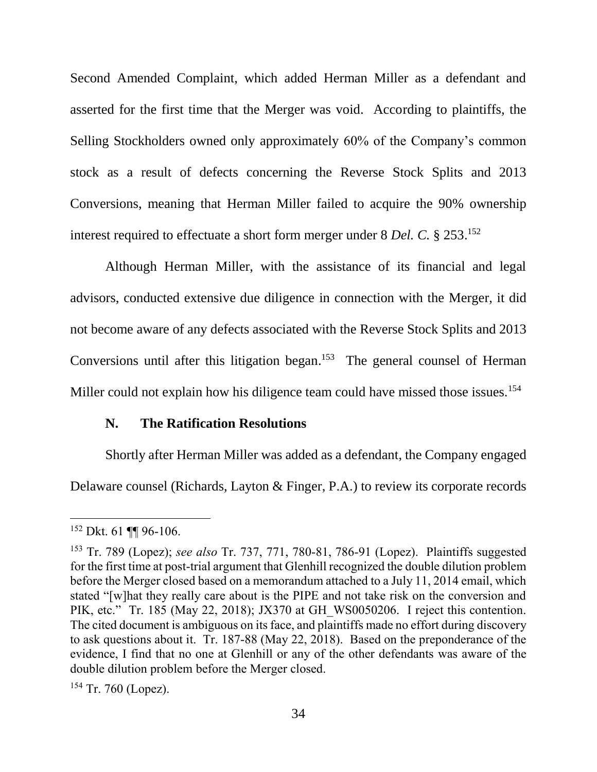Second Amended Complaint, which added Herman Miller as a defendant and asserted for the first time that the Merger was void. According to plaintiffs, the Selling Stockholders owned only approximately 60% of the Company's common stock as a result of defects concerning the Reverse Stock Splits and 2013 Conversions, meaning that Herman Miller failed to acquire the 90% ownership interest required to effectuate a short form merger under 8 *Del. C.* § 253. 152

Although Herman Miller, with the assistance of its financial and legal advisors, conducted extensive due diligence in connection with the Merger, it did not become aware of any defects associated with the Reverse Stock Splits and 2013 Conversions until after this litigation began.<sup>153</sup> The general counsel of Herman Miller could not explain how his diligence team could have missed those issues.<sup>154</sup>

#### **N. The Ratification Resolutions**

Shortly after Herman Miller was added as a defendant, the Company engaged Delaware counsel (Richards, Layton & Finger, P.A.) to review its corporate records

 $\overline{a}$ 

 $154$  Tr. 760 (Lopez).

<sup>152</sup> Dkt. 61 ¶¶ 96-106.

<sup>153</sup> Tr. 789 (Lopez); *see also* Tr. 737, 771, 780-81, 786-91 (Lopez). Plaintiffs suggested for the first time at post-trial argument that Glenhill recognized the double dilution problem before the Merger closed based on a memorandum attached to a July 11, 2014 email, which stated "[w]hat they really care about is the PIPE and not take risk on the conversion and PIK, etc." Tr. 185 (May 22, 2018); JX370 at GH\_WS0050206. I reject this contention. The cited document is ambiguous on its face, and plaintiffs made no effort during discovery to ask questions about it. Tr. 187-88 (May 22, 2018). Based on the preponderance of the evidence, I find that no one at Glenhill or any of the other defendants was aware of the double dilution problem before the Merger closed.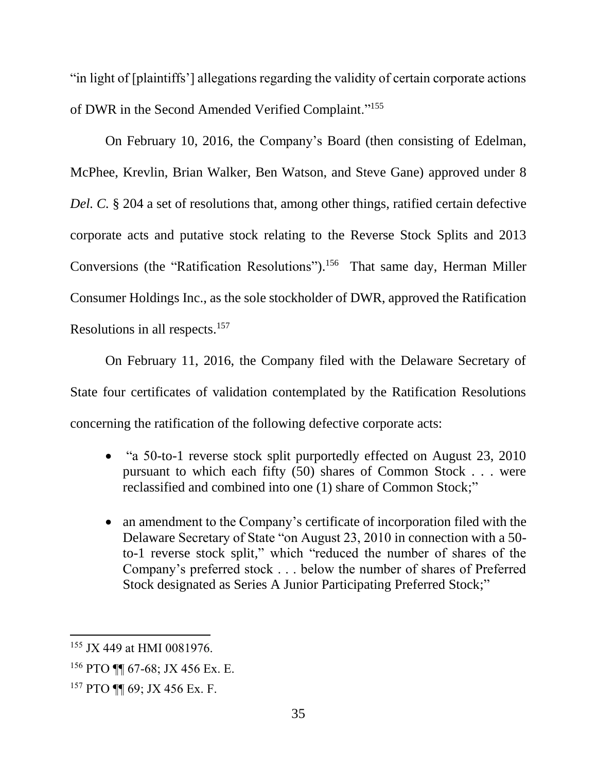"in light of [plaintiffs'] allegations regarding the validity of certain corporate actions of DWR in the Second Amended Verified Complaint."<sup>155</sup>

On February 10, 2016, the Company's Board (then consisting of Edelman, McPhee, Krevlin, Brian Walker, Ben Watson, and Steve Gane) approved under 8 *Del. C.* § 204 a set of resolutions that, among other things, ratified certain defective corporate acts and putative stock relating to the Reverse Stock Splits and 2013 Conversions (the "Ratification Resolutions"). 156 That same day, Herman Miller Consumer Holdings Inc., as the sole stockholder of DWR, approved the Ratification Resolutions in all respects.<sup>157</sup>

On February 11, 2016, the Company filed with the Delaware Secretary of State four certificates of validation contemplated by the Ratification Resolutions concerning the ratification of the following defective corporate acts:

- "a 50-to-1 reverse stock split purportedly effected on August 23, 2010 pursuant to which each fifty (50) shares of Common Stock . . . were reclassified and combined into one (1) share of Common Stock;"
- an amendment to the Company's certificate of incorporation filed with the Delaware Secretary of State "on August 23, 2010 in connection with a 50 to-1 reverse stock split," which "reduced the number of shares of the Company's preferred stock . . . below the number of shares of Preferred Stock designated as Series A Junior Participating Preferred Stock;"

<sup>155</sup> JX 449 at HMI 0081976.

<sup>156</sup> PTO ¶¶ 67-68; JX 456 Ex. E.

<sup>157</sup> PTO ¶¶ 69; JX 456 Ex. F.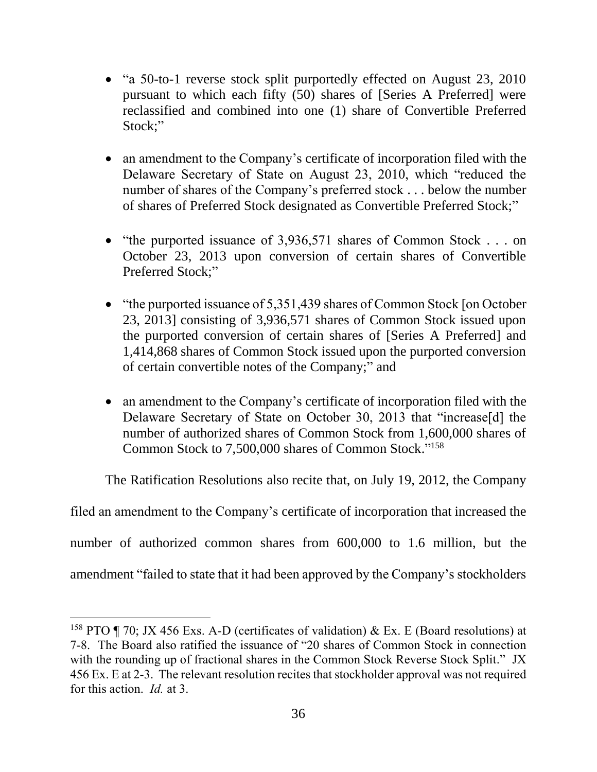- "a 50-to-1 reverse stock split purportedly effected on August 23, 2010 pursuant to which each fifty (50) shares of [Series A Preferred] were reclassified and combined into one (1) share of Convertible Preferred Stock;"
- an amendment to the Company's certificate of incorporation filed with the Delaware Secretary of State on August 23, 2010, which "reduced the number of shares of the Company's preferred stock . . . below the number of shares of Preferred Stock designated as Convertible Preferred Stock;"
- "the purported issuance of  $3,936,571$  shares of Common Stock . . . on October 23, 2013 upon conversion of certain shares of Convertible Preferred Stock;"
- "the purported issuance of 5,351,439 shares of Common Stock [on October 23, 2013] consisting of 3,936,571 shares of Common Stock issued upon the purported conversion of certain shares of [Series A Preferred] and 1,414,868 shares of Common Stock issued upon the purported conversion of certain convertible notes of the Company;" and
- an amendment to the Company's certificate of incorporation filed with the Delaware Secretary of State on October 30, 2013 that "increase[d] the number of authorized shares of Common Stock from 1,600,000 shares of Common Stock to 7,500,000 shares of Common Stock." 158

The Ratification Resolutions also recite that, on July 19, 2012, the Company

filed an amendment to the Company's certificate of incorporation that increased the number of authorized common shares from 600,000 to 1.6 million, but the amendment "failed to state that it had been approved by the Company's stockholders

<sup>&</sup>lt;sup>158</sup> PTO ¶ 70; JX 456 Exs. A-D (certificates of validation) & Ex. E (Board resolutions) at 7-8. The Board also ratified the issuance of "20 shares of Common Stock in connection with the rounding up of fractional shares in the Common Stock Reverse Stock Split." JX 456 Ex. E at 2-3. The relevant resolution recites that stockholder approval was not required for this action. *Id.* at 3.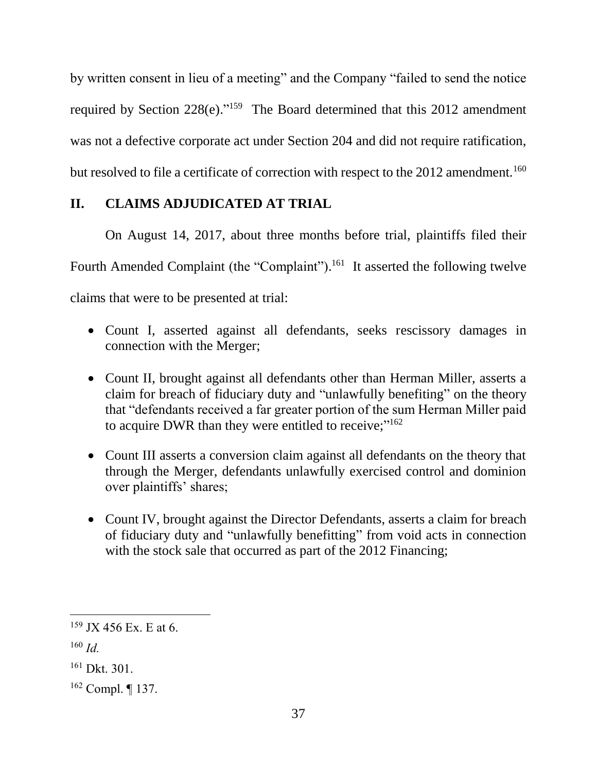by written consent in lieu of a meeting" and the Company "failed to send the notice required by Section  $228(e)$ ."<sup>159</sup> The Board determined that this  $2012$  amendment was not a defective corporate act under Section 204 and did not require ratification, but resolved to file a certificate of correction with respect to the 2012 amendment.<sup>160</sup>

# **II. CLAIMS ADJUDICATED AT TRIAL**

On August 14, 2017, about three months before trial, plaintiffs filed their Fourth Amended Complaint (the "Complaint").<sup>161</sup> It asserted the following twelve claims that were to be presented at trial:

- Count I, asserted against all defendants, seeks rescissory damages in connection with the Merger;
- Count II, brought against all defendants other than Herman Miller, asserts a claim for breach of fiduciary duty and "unlawfully benefiting" on the theory that "defendants received a far greater portion of the sum Herman Miller paid to acquire DWR than they were entitled to receive;"<sup>162</sup>
- Count III asserts a conversion claim against all defendants on the theory that through the Merger, defendants unlawfully exercised control and dominion over plaintiffs' shares;
- Count IV, brought against the Director Defendants, asserts a claim for breach of fiduciary duty and "unlawfully benefitting" from void acts in connection with the stock sale that occurred as part of the 2012 Financing;

 $159$  JX 456 Ex. E at 6.

<sup>160</sup> *Id.*

<sup>161</sup> Dkt. 301.

<sup>162</sup> Compl. ¶ 137.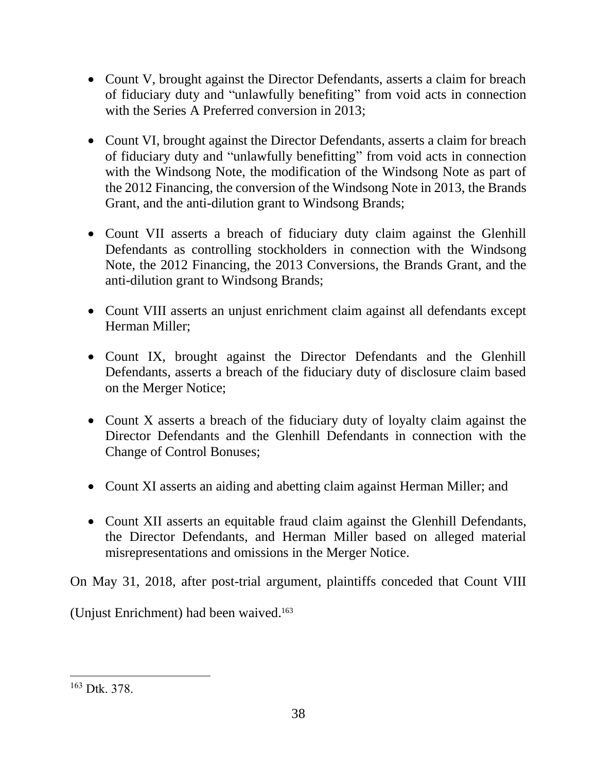- Count V, brought against the Director Defendants, asserts a claim for breach of fiduciary duty and "unlawfully benefiting" from void acts in connection with the Series A Preferred conversion in 2013;
- Count VI, brought against the Director Defendants, asserts a claim for breach of fiduciary duty and "unlawfully benefitting" from void acts in connection with the Windsong Note, the modification of the Windsong Note as part of the 2012 Financing, the conversion of the Windsong Note in 2013, the Brands Grant, and the anti-dilution grant to Windsong Brands;
- Count VII asserts a breach of fiduciary duty claim against the Glenhill Defendants as controlling stockholders in connection with the Windsong Note, the 2012 Financing, the 2013 Conversions, the Brands Grant, and the anti-dilution grant to Windsong Brands;
- Count VIII asserts an unjust enrichment claim against all defendants except Herman Miller;
- Count IX, brought against the Director Defendants and the Glenhill Defendants, asserts a breach of the fiduciary duty of disclosure claim based on the Merger Notice;
- Count X asserts a breach of the fiduciary duty of loyalty claim against the Director Defendants and the Glenhill Defendants in connection with the Change of Control Bonuses;
- Count XI asserts an aiding and abetting claim against Herman Miller; and
- Count XII asserts an equitable fraud claim against the Glenhill Defendants, the Director Defendants, and Herman Miller based on alleged material misrepresentations and omissions in the Merger Notice.

On May 31, 2018, after post-trial argument, plaintiffs conceded that Count VIII

(Unjust Enrichment) had been waived.<sup>163</sup>

<sup>163</sup> Dtk. 378.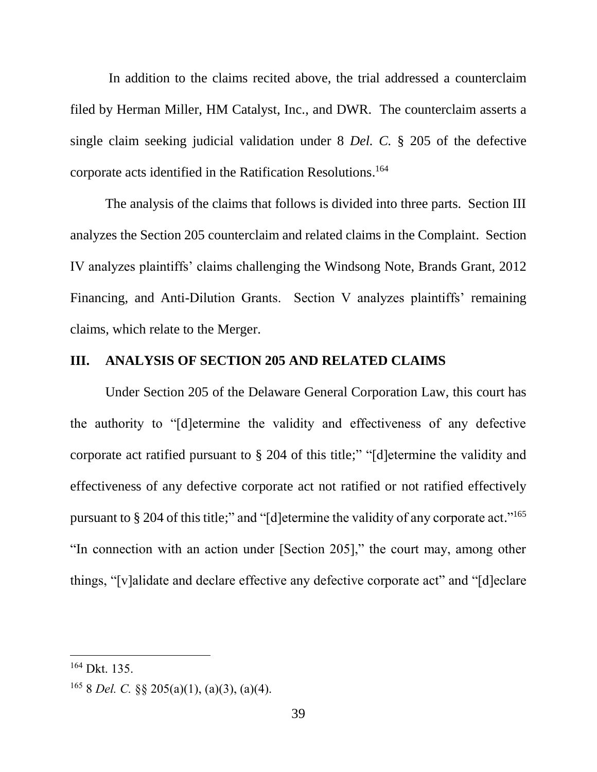In addition to the claims recited above, the trial addressed a counterclaim filed by Herman Miller, HM Catalyst, Inc., and DWR. The counterclaim asserts a single claim seeking judicial validation under 8 *Del. C.* § 205 of the defective corporate acts identified in the Ratification Resolutions. 164

The analysis of the claims that follows is divided into three parts. Section III analyzes the Section 205 counterclaim and related claims in the Complaint. Section IV analyzes plaintiffs' claims challenging the Windsong Note, Brands Grant, 2012 Financing, and Anti-Dilution Grants. Section V analyzes plaintiffs' remaining claims, which relate to the Merger.

#### **III. ANALYSIS OF SECTION 205 AND RELATED CLAIMS**

Under Section 205 of the Delaware General Corporation Law, this court has the authority to "[d]etermine the validity and effectiveness of any defective corporate act ratified pursuant to § 204 of this title;" "[d]etermine the validity and effectiveness of any defective corporate act not ratified or not ratified effectively pursuant to § 204 of this title;" and "[d]etermine the validity of any corporate act."<sup>165</sup> "In connection with an action under [Section 205]," the court may, among other things, "[v]alidate and declare effective any defective corporate act" and "[d]eclare

<sup>164</sup> Dkt. 135.

<sup>165</sup> 8 *Del. C.* §§ 205(a)(1), (a)(3), (a)(4).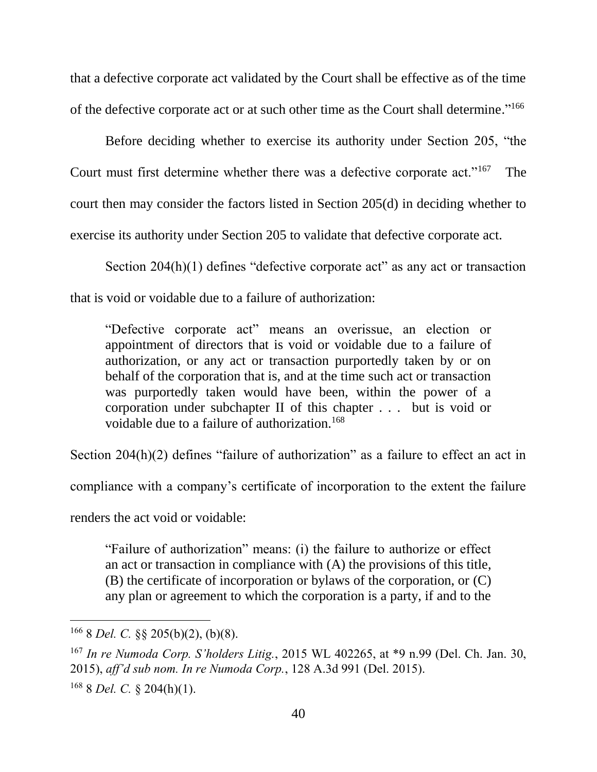that a defective corporate act validated by the Court shall be effective as of the time of the defective corporate act or at such other time as the Court shall determine."<sup>166</sup>

Before deciding whether to exercise its authority under Section 205, "the Court must first determine whether there was a defective corporate act."<sup>167</sup> The court then may consider the factors listed in Section 205(d) in deciding whether to exercise its authority under Section 205 to validate that defective corporate act.

Section 204(h)(1) defines "defective corporate act" as any act or transaction that is void or voidable due to a failure of authorization:

"Defective corporate act" means an overissue, an election or appointment of directors that is void or voidable due to a failure of authorization, or any act or transaction purportedly taken by or on behalf of the corporation that is, and at the time such act or transaction was purportedly taken would have been, within the power of a corporation under subchapter II of this chapter . . . but is void or voidable due to a failure of authorization.<sup>168</sup>

Section 204(h)(2) defines "failure of authorization" as a failure to effect an act in

compliance with a company's certificate of incorporation to the extent the failure

renders the act void or voidable:

"Failure of authorization" means: (i) the failure to authorize or effect an act or transaction in compliance with (A) the provisions of this title, (B) the certificate of incorporation or bylaws of the corporation, or (C) any plan or agreement to which the corporation is a party, if and to the

<sup>166</sup> 8 *Del. C.* §§ 205(b)(2), (b)(8).

<sup>167</sup> *In re Numoda Corp. S'holders Litig.*, 2015 WL 402265, at \*9 n.99 (Del. Ch. Jan. 30, 2015), *aff'd sub nom. In re Numoda Corp.*, 128 A.3d 991 (Del. 2015). <sup>168</sup> 8 *Del. C.* § 204(h)(1).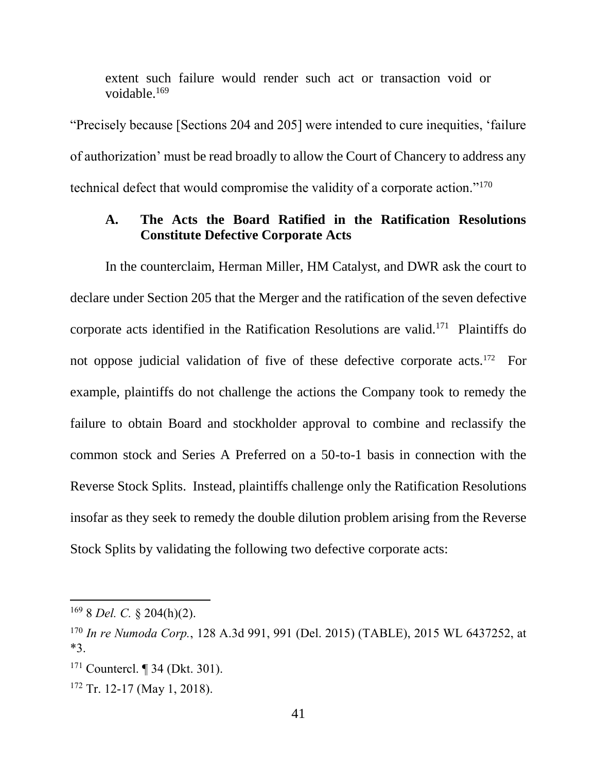extent such failure would render such act or transaction void or voidable.<sup>169</sup>

"Precisely because [Sections 204 and 205] were intended to cure inequities, 'failure of authorization' must be read broadly to allow the Court of Chancery to address any technical defect that would compromise the validity of a corporate action."<sup>170</sup>

### **A. The Acts the Board Ratified in the Ratification Resolutions Constitute Defective Corporate Acts**

In the counterclaim, Herman Miller, HM Catalyst, and DWR ask the court to declare under Section 205 that the Merger and the ratification of the seven defective corporate acts identified in the Ratification Resolutions are valid.<sup>171</sup> Plaintiffs do not oppose judicial validation of five of these defective corporate acts.<sup>172</sup> For example, plaintiffs do not challenge the actions the Company took to remedy the failure to obtain Board and stockholder approval to combine and reclassify the common stock and Series A Preferred on a 50-to-1 basis in connection with the Reverse Stock Splits. Instead, plaintiffs challenge only the Ratification Resolutions insofar as they seek to remedy the double dilution problem arising from the Reverse Stock Splits by validating the following two defective corporate acts:

 $\overline{a}$ 

 $172$  Tr. 12-17 (May 1, 2018).

<sup>169</sup> 8 *Del. C.* § 204(h)(2).

<sup>170</sup> *In re Numoda Corp.*, 128 A.3d 991, 991 (Del. 2015) (TABLE), 2015 WL 6437252, at \*3.

<sup>171</sup> Countercl. ¶ 34 (Dkt. 301).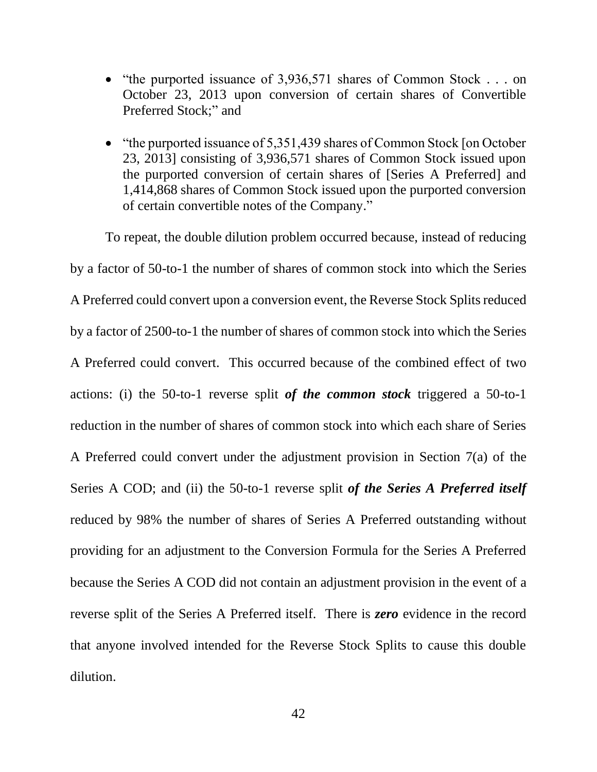- "the purported issuance of 3,936,571 shares of Common Stock  $\ldots$  on October 23, 2013 upon conversion of certain shares of Convertible Preferred Stock;" and
- "the purported issuance of 5,351,439 shares of Common Stock [on October 23, 2013] consisting of 3,936,571 shares of Common Stock issued upon the purported conversion of certain shares of [Series A Preferred] and 1,414,868 shares of Common Stock issued upon the purported conversion of certain convertible notes of the Company."

To repeat, the double dilution problem occurred because, instead of reducing by a factor of 50-to-1 the number of shares of common stock into which the Series A Preferred could convert upon a conversion event, the Reverse Stock Splits reduced by a factor of 2500-to-1 the number of shares of common stock into which the Series A Preferred could convert. This occurred because of the combined effect of two actions: (i) the 50-to-1 reverse split *of the common stock* triggered a 50-to-1 reduction in the number of shares of common stock into which each share of Series A Preferred could convert under the adjustment provision in Section 7(a) of the Series A COD; and (ii) the 50-to-1 reverse split *of the Series A Preferred itself* reduced by 98% the number of shares of Series A Preferred outstanding without providing for an adjustment to the Conversion Formula for the Series A Preferred because the Series A COD did not contain an adjustment provision in the event of a reverse split of the Series A Preferred itself. There is *zero* evidence in the record that anyone involved intended for the Reverse Stock Splits to cause this double dilution.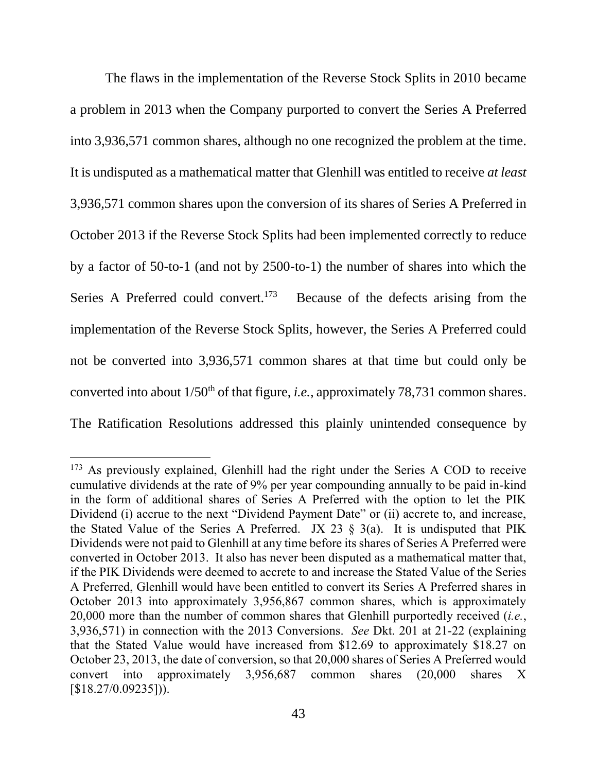The flaws in the implementation of the Reverse Stock Splits in 2010 became a problem in 2013 when the Company purported to convert the Series A Preferred into 3,936,571 common shares, although no one recognized the problem at the time. It is undisputed as a mathematical matter that Glenhill was entitled to receive *at least* 3,936,571 common shares upon the conversion of its shares of Series A Preferred in October 2013 if the Reverse Stock Splits had been implemented correctly to reduce by a factor of 50-to-1 (and not by 2500-to-1) the number of shares into which the Series A Preferred could convert.<sup>173</sup> Because of the defects arising from the implementation of the Reverse Stock Splits, however, the Series A Preferred could not be converted into 3,936,571 common shares at that time but could only be converted into about 1/50<sup>th</sup> of that figure, *i.e.*, approximately 78,731 common shares. The Ratification Resolutions addressed this plainly unintended consequence by

<sup>&</sup>lt;sup>173</sup> As previously explained, Glenhill had the right under the Series A COD to receive cumulative dividends at the rate of 9% per year compounding annually to be paid in-kind in the form of additional shares of Series A Preferred with the option to let the PIK Dividend (i) accrue to the next "Dividend Payment Date" or (ii) accrete to, and increase, the Stated Value of the Series A Preferred. JX 23  $\S$  3(a). It is undisputed that PIK Dividends were not paid to Glenhill at any time before its shares of Series A Preferred were converted in October 2013. It also has never been disputed as a mathematical matter that, if the PIK Dividends were deemed to accrete to and increase the Stated Value of the Series A Preferred, Glenhill would have been entitled to convert its Series A Preferred shares in October 2013 into approximately 3,956,867 common shares, which is approximately 20,000 more than the number of common shares that Glenhill purportedly received (*i.e.*, 3,936,571) in connection with the 2013 Conversions. *See* Dkt. 201 at 21-22 (explaining that the Stated Value would have increased from \$12.69 to approximately \$18.27 on October 23, 2013, the date of conversion, so that 20,000 shares of Series A Preferred would convert into approximately 3,956,687 common shares (20,000 shares X  $[$18.27/0.09235]$ ).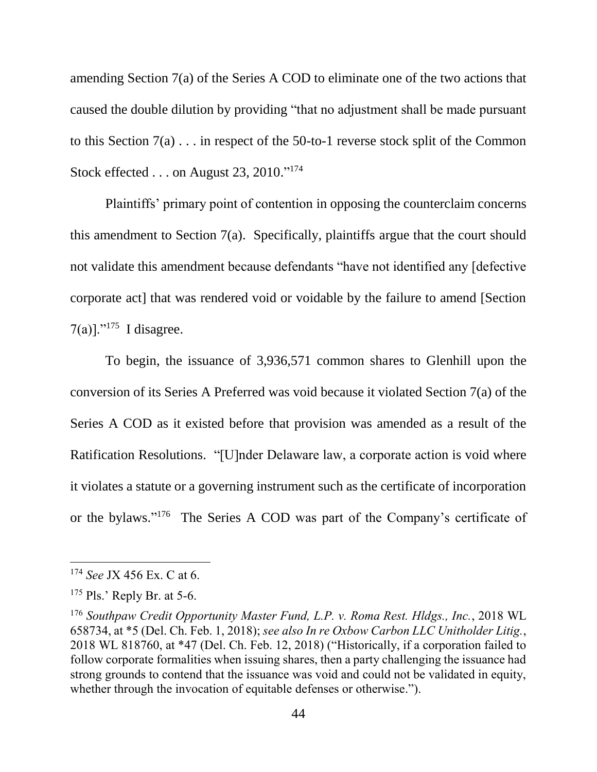amending Section 7(a) of the Series A COD to eliminate one of the two actions that caused the double dilution by providing "that no adjustment shall be made pursuant to this Section 7(a) . . . in respect of the 50-to-1 reverse stock split of the Common Stock effected . . . on August 23, 2010."<sup>174</sup>

Plaintiffs' primary point of contention in opposing the counterclaim concerns this amendment to Section 7(a). Specifically, plaintiffs argue that the court should not validate this amendment because defendants "have not identified any [defective corporate act] that was rendered void or voidable by the failure to amend [Section  $7(a)$ ]."<sup>175</sup> I disagree.

To begin, the issuance of 3,936,571 common shares to Glenhill upon the conversion of its Series A Preferred was void because it violated Section 7(a) of the Series A COD as it existed before that provision was amended as a result of the Ratification Resolutions. "[U]nder Delaware law, a corporate action is void where it violates a statute or a governing instrument such as the certificate of incorporation or the bylaws." <sup>176</sup> The Series A COD was part of the Company's certificate of

<sup>174</sup> *See* JX 456 Ex. C at 6.

<sup>&</sup>lt;sup>175</sup> Pls.' Reply Br. at 5-6.

<sup>176</sup> *Southpaw Credit Opportunity Master Fund, L.P. v. Roma Rest. Hldgs., Inc.*, 2018 WL 658734, at \*5 (Del. Ch. Feb. 1, 2018); *see also In re Oxbow Carbon LLC Unitholder Litig.*, 2018 WL 818760, at \*47 (Del. Ch. Feb. 12, 2018) ("Historically, if a corporation failed to follow corporate formalities when issuing shares, then a party challenging the issuance had strong grounds to contend that the issuance was void and could not be validated in equity, whether through the invocation of equitable defenses or otherwise.").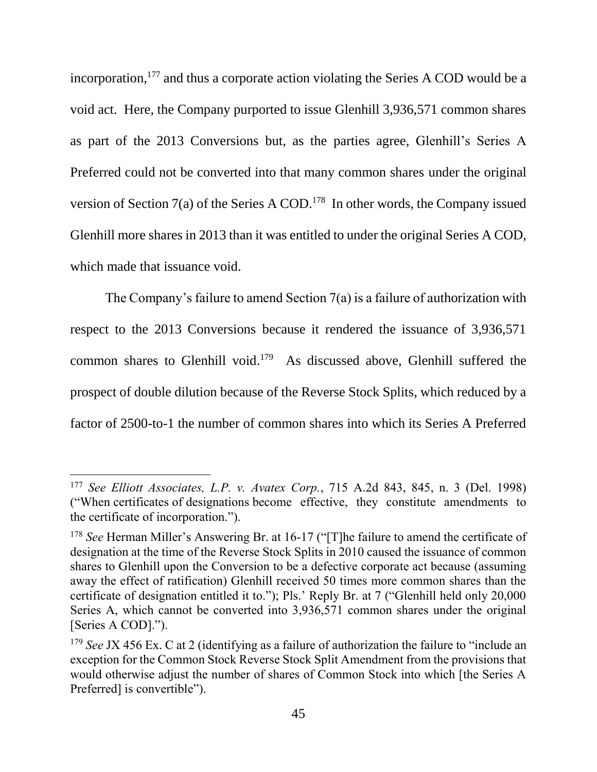incorporation, $177$  and thus a corporate action violating the Series A COD would be a void act. Here, the Company purported to issue Glenhill 3,936,571 common shares as part of the 2013 Conversions but, as the parties agree, Glenhill's Series A Preferred could not be converted into that many common shares under the original version of Section 7(a) of the Series A COD. 178 In other words, the Company issued Glenhill more shares in 2013 than it was entitled to under the original Series A COD, which made that issuance void.

The Company's failure to amend Section 7(a) is a failure of authorization with respect to the 2013 Conversions because it rendered the issuance of 3,936,571 common shares to Glenhill void. <sup>179</sup> As discussed above, Glenhill suffered the prospect of double dilution because of the Reverse Stock Splits, which reduced by a factor of 2500-to-1 the number of common shares into which its Series A Preferred

<sup>177</sup> *See Elliott Associates, L.P. v. Avatex Corp.*, 715 A.2d 843, 845, n. 3 (Del. 1998) ("When certificates of designations become effective, they constitute amendments to the certificate of incorporation.").

<sup>&</sup>lt;sup>178</sup> See Herman Miller's Answering Br. at 16-17 ("[T]he failure to amend the certificate of designation at the time of the Reverse Stock Splits in 2010 caused the issuance of common shares to Glenhill upon the Conversion to be a defective corporate act because (assuming away the effect of ratification) Glenhill received 50 times more common shares than the certificate of designation entitled it to."); Pls.' Reply Br. at 7 ("Glenhill held only 20,000 Series A, which cannot be converted into 3,936,571 common shares under the original [Series A COD].").

<sup>179</sup> *See* JX 456 Ex. C at 2 (identifying as a failure of authorization the failure to "include an exception for the Common Stock Reverse Stock Split Amendment from the provisions that would otherwise adjust the number of shares of Common Stock into which [the Series A Preferred] is convertible").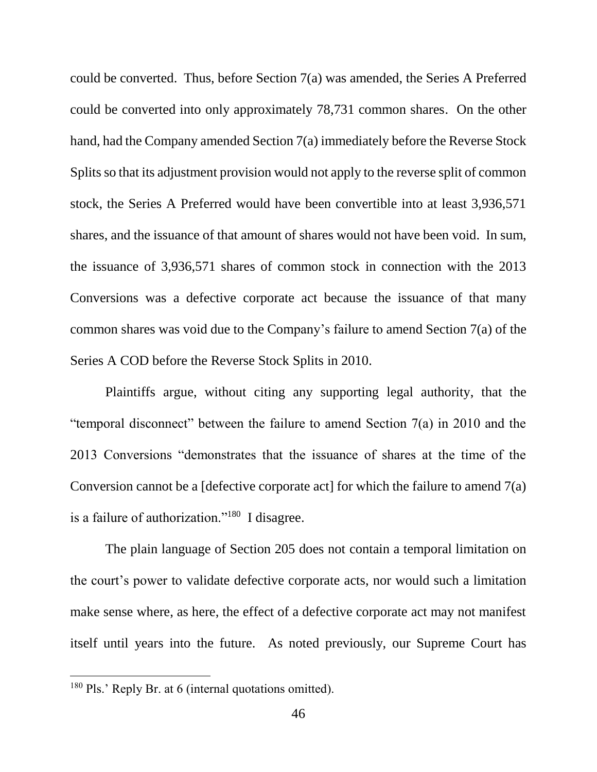could be converted. Thus, before Section 7(a) was amended, the Series A Preferred could be converted into only approximately 78,731 common shares. On the other hand, had the Company amended Section 7(a) immediately before the Reverse Stock Splits so that its adjustment provision would not apply to the reverse split of common stock, the Series A Preferred would have been convertible into at least 3,936,571 shares, and the issuance of that amount of shares would not have been void. In sum, the issuance of 3,936,571 shares of common stock in connection with the 2013 Conversions was a defective corporate act because the issuance of that many common shares was void due to the Company's failure to amend Section 7(a) of the Series A COD before the Reverse Stock Splits in 2010.

Plaintiffs argue, without citing any supporting legal authority, that the "temporal disconnect" between the failure to amend Section 7(a) in 2010 and the 2013 Conversions "demonstrates that the issuance of shares at the time of the Conversion cannot be a [defective corporate act] for which the failure to amend  $7(a)$ is a failure of authorization."<sup>180</sup> I disagree.

The plain language of Section 205 does not contain a temporal limitation on the court's power to validate defective corporate acts, nor would such a limitation make sense where, as here, the effect of a defective corporate act may not manifest itself until years into the future. As noted previously, our Supreme Court has

<sup>&</sup>lt;sup>180</sup> Pls.' Reply Br. at 6 (internal quotations omitted).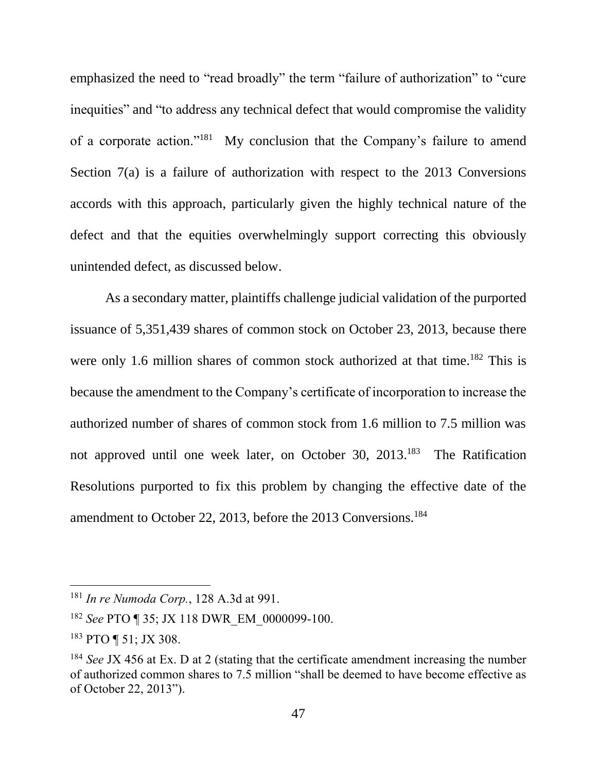emphasized the need to "read broadly" the term "failure of authorization" to "cure inequities" and "to address any technical defect that would compromise the validity of a corporate action."<sup>181</sup> My conclusion that the Company's failure to amend Section 7(a) is a failure of authorization with respect to the 2013 Conversions accords with this approach, particularly given the highly technical nature of the defect and that the equities overwhelmingly support correcting this obviously unintended defect, as discussed below.

As a secondary matter, plaintiffs challenge judicial validation of the purported issuance of 5,351,439 shares of common stock on October 23, 2013, because there were only 1.6 million shares of common stock authorized at that time.<sup>182</sup> This is because the amendment to the Company's certificate of incorporation to increase the authorized number of shares of common stock from 1.6 million to 7.5 million was not approved until one week later, on October 30, 2013.<sup>183</sup> The Ratification Resolutions purported to fix this problem by changing the effective date of the amendment to October 22, 2013, before the 2013 Conversions.<sup>184</sup>

<sup>181</sup> *In re Numoda Corp.*, 128 A.3d at 991.

<sup>182</sup> *See* PTO ¶ 35; JX 118 DWR\_EM\_0000099-100.

<sup>183</sup> PTO ¶ 51; JX 308.

<sup>184</sup> *See* JX 456 at Ex. D at 2 (stating that the certificate amendment increasing the number of authorized common shares to 7.5 million "shall be deemed to have become effective as of October 22, 2013").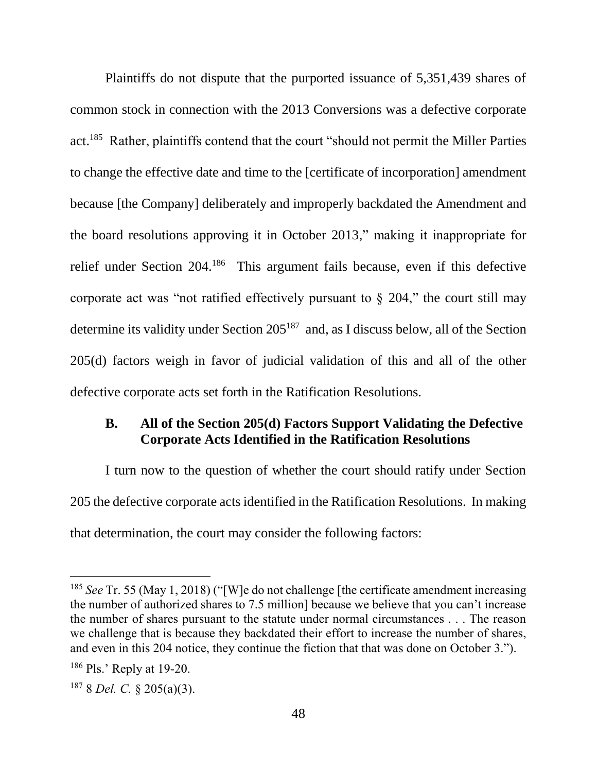Plaintiffs do not dispute that the purported issuance of 5,351,439 shares of common stock in connection with the 2013 Conversions was a defective corporate act.<sup>185</sup> Rather, plaintiffs contend that the court "should not permit the Miller Parties to change the effective date and time to the [certificate of incorporation] amendment because [the Company] deliberately and improperly backdated the Amendment and the board resolutions approving it in October 2013," making it inappropriate for relief under Section 204.<sup>186</sup> This argument fails because, even if this defective corporate act was "not ratified effectively pursuant to  $\S$  204," the court still may determine its validity under Section 205<sup>187</sup> and, as I discuss below, all of the Section 205(d) factors weigh in favor of judicial validation of this and all of the other defective corporate acts set forth in the Ratification Resolutions.

### **B. All of the Section 205(d) Factors Support Validating the Defective Corporate Acts Identified in the Ratification Resolutions**

I turn now to the question of whether the court should ratify under Section 205 the defective corporate acts identified in the Ratification Resolutions. In making that determination, the court may consider the following factors:

<sup>185</sup> *See* Tr. 55 (May 1, 2018) ("[W]e do not challenge [the certificate amendment increasing the number of authorized shares to 7.5 million] because we believe that you can't increase the number of shares pursuant to the statute under normal circumstances . . . The reason we challenge that is because they backdated their effort to increase the number of shares, and even in this 204 notice, they continue the fiction that that was done on October 3.").

<sup>&</sup>lt;sup>186</sup> Pls.' Reply at 19-20.

<sup>187</sup> 8 *Del. C.* § 205(a)(3).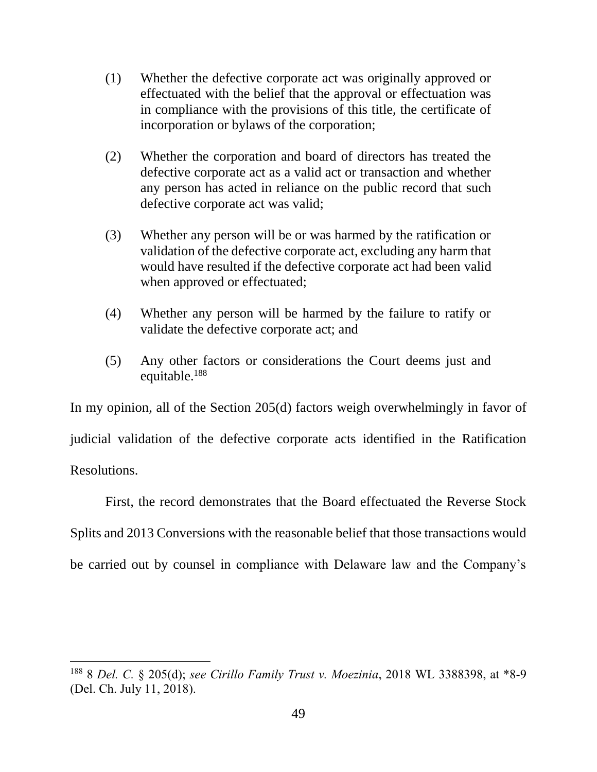- (1) Whether the defective corporate act was originally approved or effectuated with the belief that the approval or effectuation was in compliance with the provisions of this title, the certificate of incorporation or bylaws of the corporation;
- (2) Whether the corporation and board of directors has treated the defective corporate act as a valid act or transaction and whether any person has acted in reliance on the public record that such defective corporate act was valid;
- (3) Whether any person will be or was harmed by the ratification or validation of the defective corporate act, excluding any harm that would have resulted if the defective corporate act had been valid when approved or effectuated;
- (4) Whether any person will be harmed by the failure to ratify or validate the defective corporate act; and
- (5) Any other factors or considerations the Court deems just and equitable.<sup>188</sup>

In my opinion, all of the Section 205(d) factors weigh overwhelmingly in favor of judicial validation of the defective corporate acts identified in the Ratification Resolutions.

First*,* the record demonstrates that the Board effectuated the Reverse Stock Splits and 2013 Conversions with the reasonable belief that those transactions would be carried out by counsel in compliance with Delaware law and the Company's

<sup>188</sup> 8 *Del. C.* § 205(d); *see Cirillo Family Trust v. Moezinia*, 2018 WL 3388398, at \*8-9 (Del. Ch. July 11, 2018).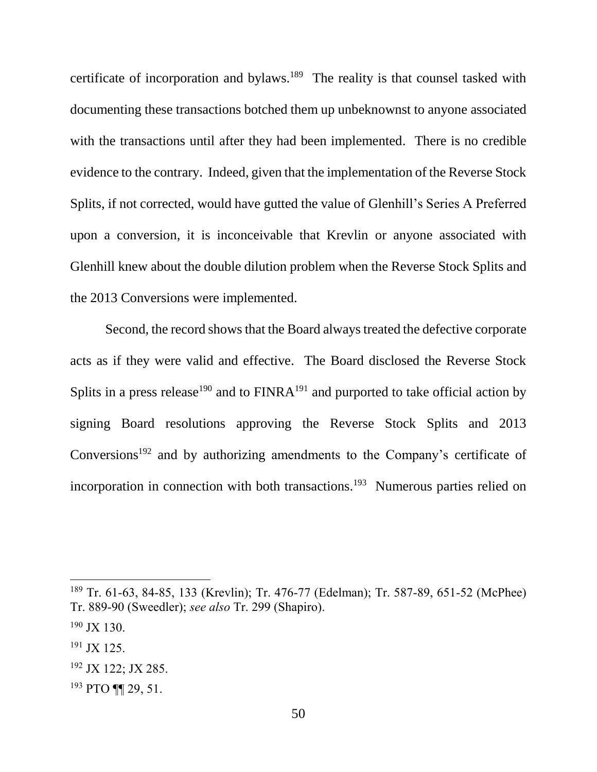certificate of incorporation and bylaws.<sup>189</sup> The reality is that counsel tasked with documenting these transactions botched them up unbeknownst to anyone associated with the transactions until after they had been implemented. There is no credible evidence to the contrary. Indeed, given that the implementation of the Reverse Stock Splits, if not corrected, would have gutted the value of Glenhill's Series A Preferred upon a conversion, it is inconceivable that Krevlin or anyone associated with Glenhill knew about the double dilution problem when the Reverse Stock Splits and the 2013 Conversions were implemented.

Second, the record shows that the Board always treated the defective corporate acts as if they were valid and effective. The Board disclosed the Reverse Stock Splits in a press release<sup>190</sup> and to  $FINRA<sup>191</sup>$  and purported to take official action by signing Board resolutions approving the Reverse Stock Splits and 2013 Conversions<sup>192</sup> and by authorizing amendments to the Company's certificate of incorporation in connection with both transactions.<sup>193</sup> Numerous parties relied on

<sup>189</sup> Tr. 61-63, 84-85, 133 (Krevlin); Tr. 476-77 (Edelman); Tr. 587-89, 651-52 (McPhee) Tr. 889-90 (Sweedler); *see also* Tr. 299 (Shapiro).

 $190$  JX 130.

 $191$  JX 125.

<sup>192</sup> JX 122; JX 285.

<sup>193</sup> PTO ¶¶ 29, 51.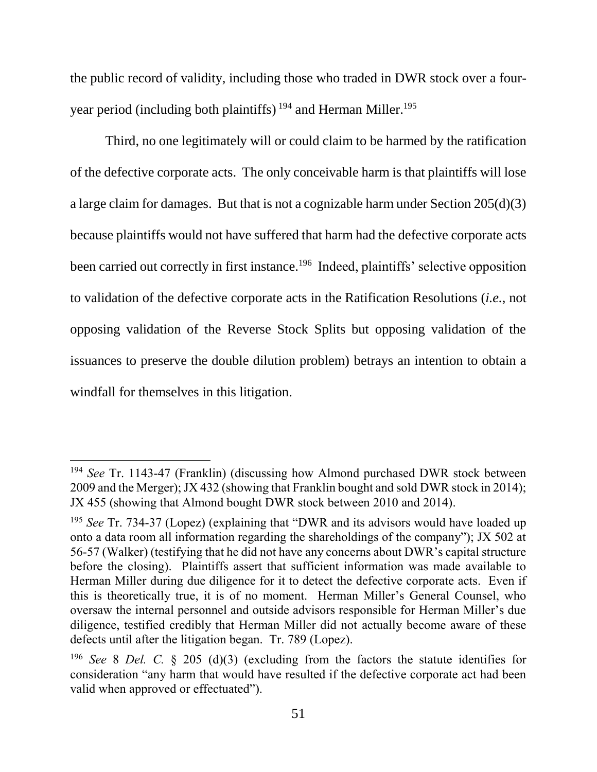the public record of validity, including those who traded in DWR stock over a fouryear period (including both plaintiffs)<sup>194</sup> and Herman Miller.<sup>195</sup>

Third*,* no one legitimately will or could claim to be harmed by the ratification of the defective corporate acts. The only conceivable harm is that plaintiffs will lose a large claim for damages. But that is not a cognizable harm under Section 205(d)(3) because plaintiffs would not have suffered that harm had the defective corporate acts been carried out correctly in first instance.<sup>196</sup> Indeed, plaintiffs' selective opposition to validation of the defective corporate acts in the Ratification Resolutions (*i.e.*, not opposing validation of the Reverse Stock Splits but opposing validation of the issuances to preserve the double dilution problem) betrays an intention to obtain a windfall for themselves in this litigation.

<sup>194</sup> *See* Tr. 1143-47 (Franklin) (discussing how Almond purchased DWR stock between 2009 and the Merger); JX 432 (showing that Franklin bought and sold DWR stock in 2014); JX 455 (showing that Almond bought DWR stock between 2010 and 2014).

<sup>&</sup>lt;sup>195</sup> See Tr. 734-37 (Lopez) (explaining that "DWR and its advisors would have loaded up onto a data room all information regarding the shareholdings of the company"); JX 502 at 56-57 (Walker) (testifying that he did not have any concerns about DWR's capital structure before the closing). Plaintiffs assert that sufficient information was made available to Herman Miller during due diligence for it to detect the defective corporate acts. Even if this is theoretically true, it is of no moment. Herman Miller's General Counsel, who oversaw the internal personnel and outside advisors responsible for Herman Miller's due diligence, testified credibly that Herman Miller did not actually become aware of these defects until after the litigation began. Tr. 789 (Lopez).

<sup>196</sup> *See* 8 *Del. C.* § 205 (d)(3) (excluding from the factors the statute identifies for consideration "any harm that would have resulted if the defective corporate act had been valid when approved or effectuated").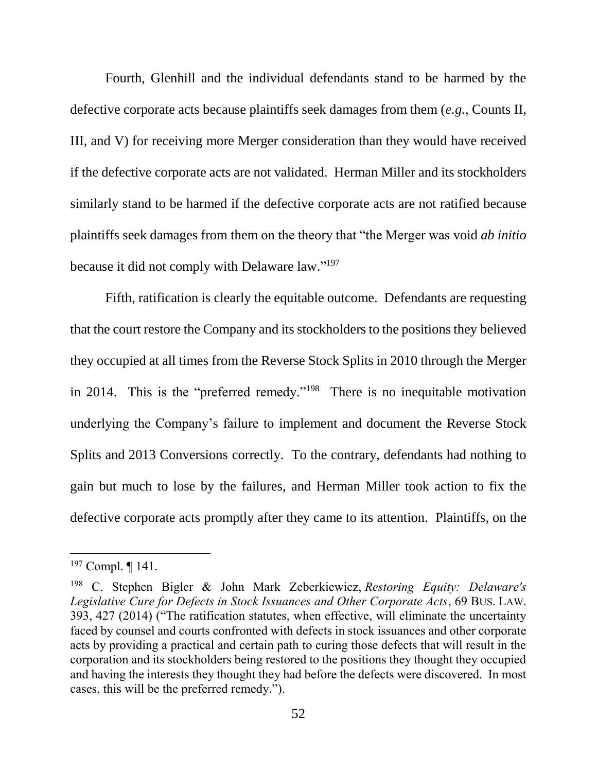Fourth, Glenhill and the individual defendants stand to be harmed by the defective corporate acts because plaintiffs seek damages from them (*e.g.*, Counts II, III, and V) for receiving more Merger consideration than they would have received if the defective corporate acts are not validated. Herman Miller and its stockholders similarly stand to be harmed if the defective corporate acts are not ratified because plaintiffs seek damages from them on the theory that "the Merger was void *ab initio* because it did not comply with Delaware law."<sup>197</sup>

Fifth, ratification is clearly the equitable outcome. Defendants are requesting that the court restore the Company and its stockholders to the positions they believed they occupied at all times from the Reverse Stock Splits in 2010 through the Merger in 2014. This is the "preferred remedy."<sup>198</sup> There is no inequitable motivation underlying the Company's failure to implement and document the Reverse Stock Splits and 2013 Conversions correctly. To the contrary, defendants had nothing to gain but much to lose by the failures, and Herman Miller took action to fix the defective corporate acts promptly after they came to its attention. Plaintiffs, on the

 $197$  Compl.  $\P$  141.

<sup>198</sup> C. Stephen Bigler & John Mark Zeberkiewicz, *Restoring Equity: Delaware's Legislative Cure for Defects in Stock Issuances and Other Corporate Acts*, 69 BUS. LAW. 393, 427 (2014) ("The ratification statutes, when effective, will eliminate the uncertainty faced by counsel and courts confronted with defects in stock issuances and other corporate acts by providing a practical and certain path to curing those defects that will result in the corporation and its stockholders being restored to the positions they thought they occupied and having the interests they thought they had before the defects were discovered. In most cases, this will be the preferred remedy.").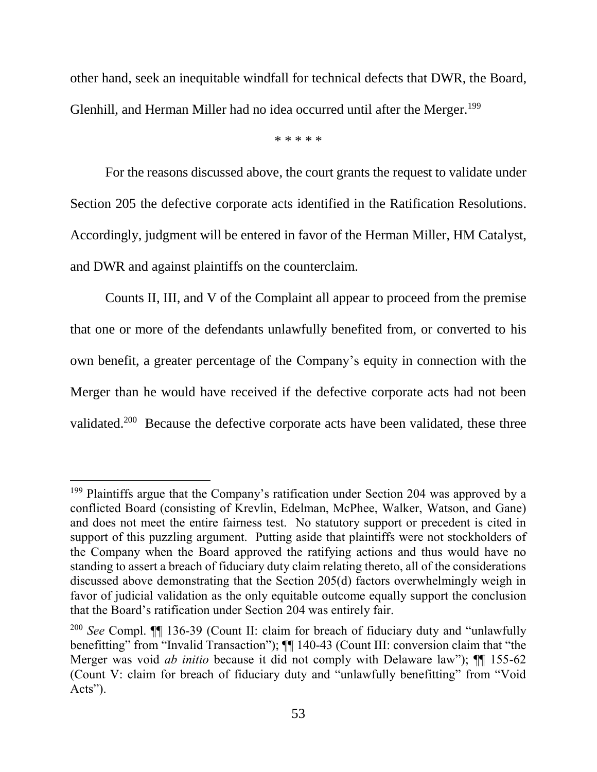other hand, seek an inequitable windfall for technical defects that DWR, the Board, Glenhill, and Herman Miller had no idea occurred until after the Merger.<sup>199</sup>

\* \* \* \* \*

For the reasons discussed above, the court grants the request to validate under Section 205 the defective corporate acts identified in the Ratification Resolutions. Accordingly, judgment will be entered in favor of the Herman Miller, HM Catalyst, and DWR and against plaintiffs on the counterclaim.

Counts II, III, and V of the Complaint all appear to proceed from the premise that one or more of the defendants unlawfully benefited from, or converted to his own benefit, a greater percentage of the Company's equity in connection with the Merger than he would have received if the defective corporate acts had not been validated.<sup>200</sup> Because the defective corporate acts have been validated, these three

<sup>&</sup>lt;sup>199</sup> Plaintiffs argue that the Company's ratification under Section 204 was approved by a conflicted Board (consisting of Krevlin, Edelman, McPhee, Walker, Watson, and Gane) and does not meet the entire fairness test. No statutory support or precedent is cited in support of this puzzling argument. Putting aside that plaintiffs were not stockholders of the Company when the Board approved the ratifying actions and thus would have no standing to assert a breach of fiduciary duty claim relating thereto, all of the considerations discussed above demonstrating that the Section 205(d) factors overwhelmingly weigh in favor of judicial validation as the only equitable outcome equally support the conclusion that the Board's ratification under Section 204 was entirely fair.

<sup>200</sup> *See* Compl. ¶¶ 136-39 (Count II: claim for breach of fiduciary duty and "unlawfully benefitting" from "Invalid Transaction");  $\P\P$  140-43 (Count III: conversion claim that "the Merger was void *ab initio* because it did not comply with Delaware law"); ¶¶ 155-62 (Count V: claim for breach of fiduciary duty and "unlawfully benefitting" from "Void Acts").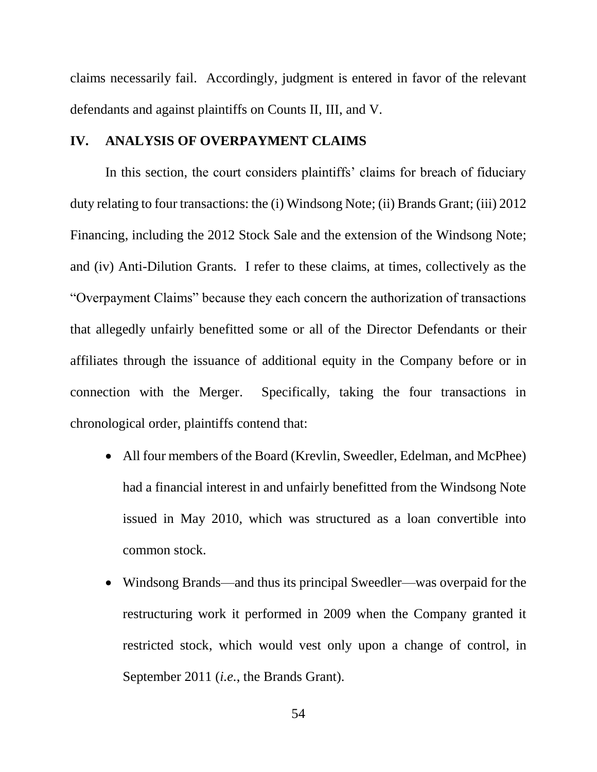claims necessarily fail. Accordingly, judgment is entered in favor of the relevant defendants and against plaintiffs on Counts II, III, and V.

#### **IV. ANALYSIS OF OVERPAYMENT CLAIMS**

In this section, the court considers plaintiffs' claims for breach of fiduciary duty relating to four transactions: the (i) Windsong Note; (ii) Brands Grant; (iii) 2012 Financing, including the 2012 Stock Sale and the extension of the Windsong Note; and (iv) Anti-Dilution Grants. I refer to these claims, at times, collectively as the "Overpayment Claims" because they each concern the authorization of transactions that allegedly unfairly benefitted some or all of the Director Defendants or their affiliates through the issuance of additional equity in the Company before or in connection with the Merger. Specifically, taking the four transactions in chronological order, plaintiffs contend that:

- All four members of the Board (Krevlin, Sweedler, Edelman, and McPhee) had a financial interest in and unfairly benefitted from the Windsong Note issued in May 2010, which was structured as a loan convertible into common stock.
- Windsong Brands—and thus its principal Sweedler—was overpaid for the restructuring work it performed in 2009 when the Company granted it restricted stock, which would vest only upon a change of control, in September 2011 (*i.e.*, the Brands Grant).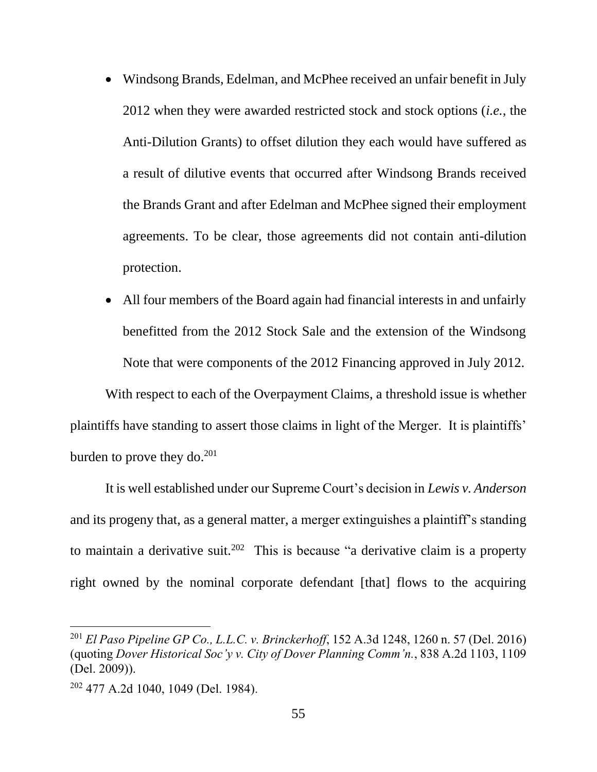- Windsong Brands, Edelman, and McPhee received an unfair benefit in July 2012 when they were awarded restricted stock and stock options (*i.e.*, the Anti-Dilution Grants) to offset dilution they each would have suffered as a result of dilutive events that occurred after Windsong Brands received the Brands Grant and after Edelman and McPhee signed their employment agreements. To be clear, those agreements did not contain anti-dilution protection.
- All four members of the Board again had financial interests in and unfairly benefitted from the 2012 Stock Sale and the extension of the Windsong Note that were components of the 2012 Financing approved in July 2012.

With respect to each of the Overpayment Claims, a threshold issue is whether plaintiffs have standing to assert those claims in light of the Merger. It is plaintiffs' burden to prove they do. $^{201}$ 

It is well established under our Supreme Court's decision in *Lewis v. Anderson* and its progeny that, as a general matter, a merger extinguishes a plaintiff's standing to maintain a derivative suit.<sup>202</sup> This is because "a derivative claim is a property right owned by the nominal corporate defendant [that] flows to the acquiring

<sup>201</sup> *El Paso Pipeline GP Co., L.L.C. v. Brinckerhoff*, 152 A.3d 1248, 1260 n. 57 (Del. 2016) (quoting *Dover Historical Soc'y v. City of Dover Planning Comm'n.*, 838 A.2d 1103, 1109 (Del. 2009)).

<sup>202</sup> 477 A.2d 1040, 1049 (Del. 1984).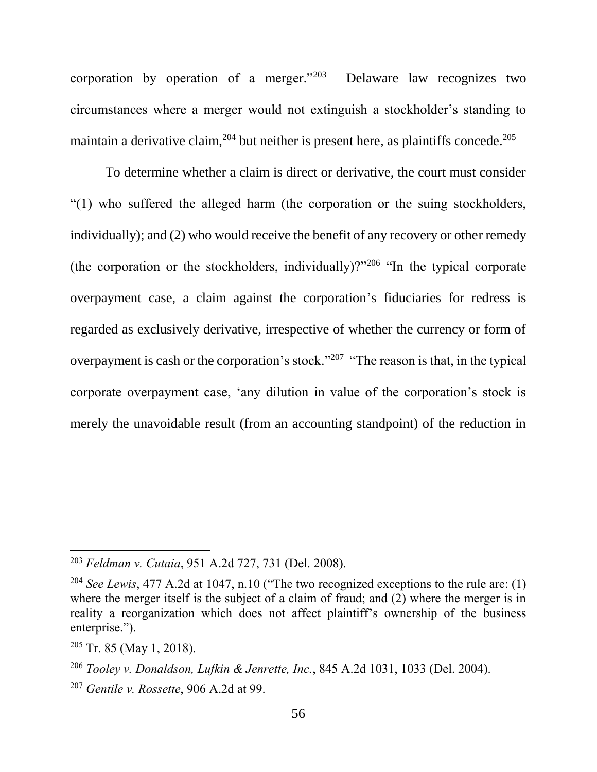corporation by operation of a merger."<sup>203</sup> Delaware law recognizes two circumstances where a merger would not extinguish a stockholder's standing to maintain a derivative claim,  $204$  but neither is present here, as plaintiffs concede.  $205$ 

To determine whether a claim is direct or derivative, the court must consider "(1) who suffered the alleged harm (the corporation or the suing stockholders, individually); and (2) who would receive the benefit of any recovery or other remedy (the corporation or the stockholders, individually)?"<sup>206</sup> "In the typical corporate overpayment case, a claim against the corporation's fiduciaries for redress is regarded as exclusively derivative, irrespective of whether the currency or form of overpayment is cash or the corporation's stock."<sup>207</sup> "The reason is that, in the typical corporate overpayment case, 'any dilution in value of the corporation's stock is merely the unavoidable result (from an accounting standpoint) of the reduction in

<sup>203</sup> *Feldman v. Cutaia*, 951 A.2d 727, 731 (Del. 2008).

<sup>204</sup> *See Lewis*, 477 A.2d at 1047, n.10 ("The two recognized exceptions to the rule are: (1) where the merger itself is the subject of a claim of fraud; and  $(2)$  where the merger is in reality a reorganization which does not affect plaintiff's ownership of the business enterprise.").

 $205$  Tr. 85 (May 1, 2018).

<sup>206</sup> *Tooley v. Donaldson, Lufkin & Jenrette, Inc.*, 845 A.2d 1031, 1033 (Del. 2004).

<sup>207</sup> *Gentile v. Rossette*, 906 A.2d at 99.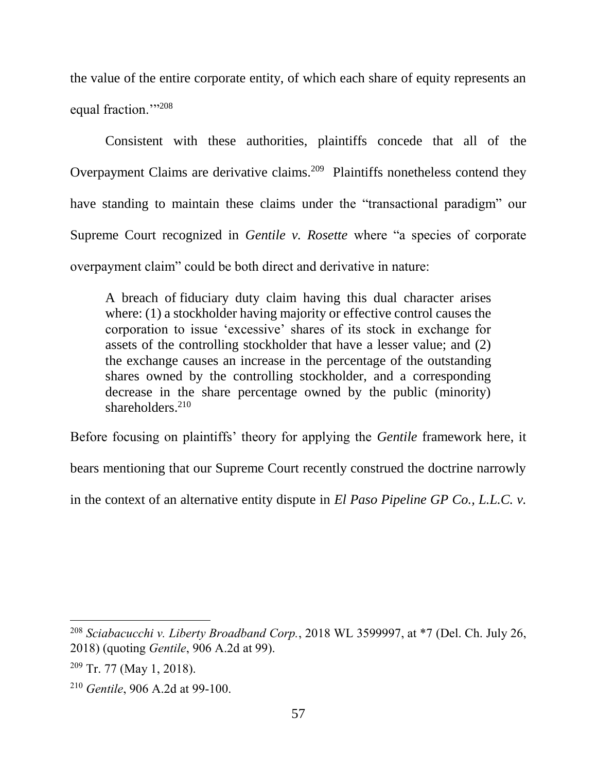the value of the entire corporate entity, of which each share of equity represents an equal fraction."<sup>208</sup>

Consistent with these authorities, plaintiffs concede that all of the Overpayment Claims are derivative claims.<sup>209</sup> Plaintiffs nonetheless contend they have standing to maintain these claims under the "transactional paradigm" our Supreme Court recognized in *Gentile v. Rosette* where "a species of corporate overpayment claim" could be both direct and derivative in nature:

A breach of fiduciary duty claim having this dual character arises where: (1) a stockholder having majority or effective control causes the corporation to issue 'excessive' shares of its stock in exchange for assets of the controlling stockholder that have a lesser value; and (2) the exchange causes an increase in the percentage of the outstanding shares owned by the controlling stockholder, and a corresponding decrease in the share percentage owned by the public (minority) shareholders. $210$ 

Before focusing on plaintiffs' theory for applying the *Gentile* framework here, it

bears mentioning that our Supreme Court recently construed the doctrine narrowly

in the context of an alternative entity dispute in *El Paso Pipeline GP Co., L.L.C. v.* 

<sup>208</sup> *Sciabacucchi v. Liberty Broadband Corp.*, 2018 WL 3599997, at \*7 (Del. Ch. July 26, 2018) (quoting *Gentile*, 906 A.2d at 99).

<sup>209</sup> Tr. 77 (May 1, 2018).

<sup>210</sup> *Gentile*, 906 A.2d at 99-100.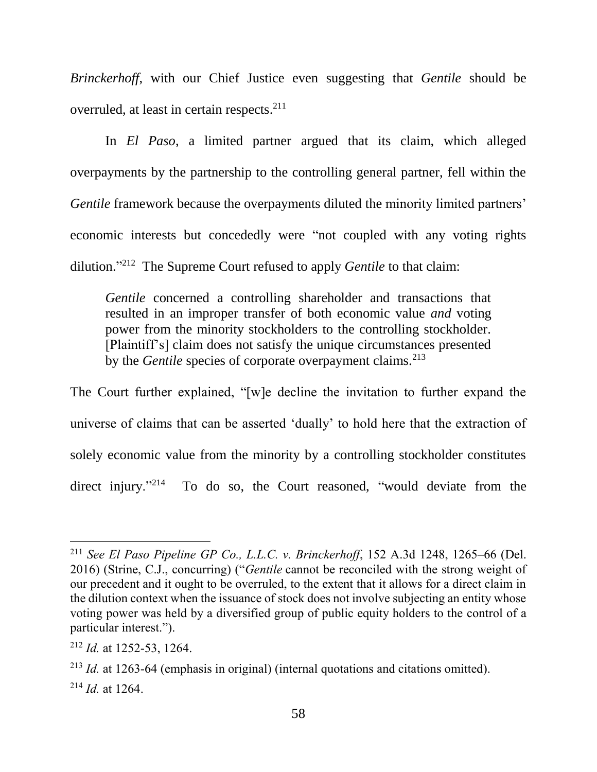*Brinckerhoff*, with our Chief Justice even suggesting that *Gentile* should be overruled, at least in certain respects.<sup>211</sup>

In *El Paso*, a limited partner argued that its claim, which alleged overpayments by the partnership to the controlling general partner, fell within the *Gentile* framework because the overpayments diluted the minority limited partners' economic interests but concededly were "not coupled with any voting rights dilution." <sup>212</sup> The Supreme Court refused to apply *Gentile* to that claim:

*Gentile* concerned a controlling shareholder and transactions that resulted in an improper transfer of both economic value *and* voting power from the minority stockholders to the controlling stockholder. [Plaintiff's] claim does not satisfy the unique circumstances presented by the *Gentile* species of corporate overpayment claims.<sup>213</sup>

The Court further explained, "[w]e decline the invitation to further expand the universe of claims that can be asserted 'dually' to hold here that the extraction of solely economic value from the minority by a controlling stockholder constitutes direct injury."<sup>214</sup> To do so, the Court reasoned, "would deviate from the

<sup>211</sup> *See El Paso Pipeline GP Co., L.L.C. v. Brinckerhoff*, 152 A.3d 1248, 1265–66 (Del. 2016) (Strine, C.J., concurring) ("*Gentile* cannot be reconciled with the strong weight of our precedent and it ought to be overruled, to the extent that it allows for a direct claim in the dilution context when the issuance of stock does not involve subjecting an entity whose voting power was held by a diversified group of public equity holders to the control of a particular interest.").

<sup>212</sup> *Id.* at 1252-53, 1264.

<sup>213</sup> *Id.* at 1263-64 (emphasis in original) (internal quotations and citations omitted). <sup>214</sup> *Id.* at 1264.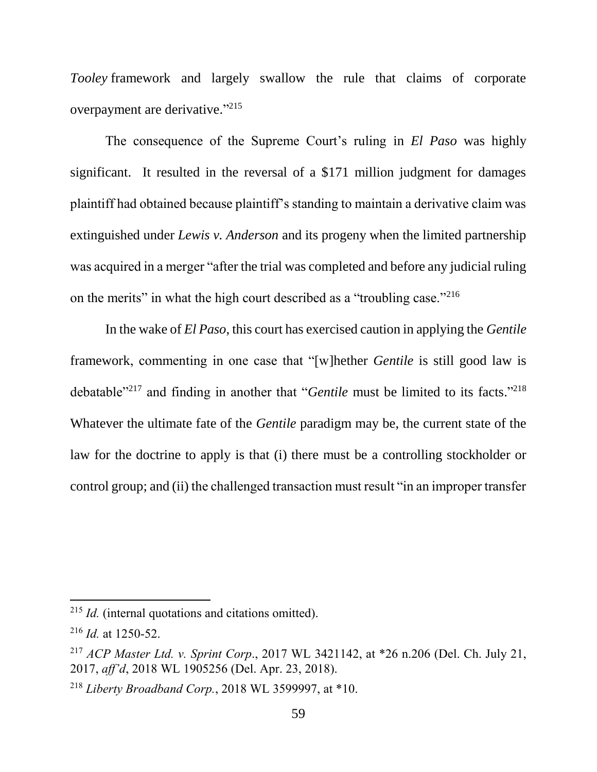*Tooley* framework and largely swallow the rule that claims of corporate overpayment are derivative."<sup>215</sup>

The consequence of the Supreme Court's ruling in *El Paso* was highly significant. It resulted in the reversal of a \$171 million judgment for damages plaintiff had obtained because plaintiff's standing to maintain a derivative claim was extinguished under *Lewis v. Anderson* and its progeny when the limited partnership was acquired in a merger "after the trial was completed and before any judicial ruling on the merits" in what the high court described as a "troubling case."<sup>216</sup>

In the wake of *El Paso*, this court has exercised caution in applying the *Gentile*  framework, commenting in one case that "[w]hether *Gentile* is still good law is debatable<sup>"217</sup> and finding in another that "*Gentile* must be limited to its facts."<sup>218</sup> Whatever the ultimate fate of the *Gentile* paradigm may be, the current state of the law for the doctrine to apply is that (i) there must be a controlling stockholder or control group; and (ii) the challenged transaction must result "in an improper transfer

<sup>215</sup> *Id.* (internal quotations and citations omitted).

<sup>216</sup> *Id.* at 1250-52.

<sup>217</sup> *ACP Master Ltd. v. Sprint Corp*., 2017 WL 3421142, at \*26 n.206 (Del. Ch. July 21, 2017, *aff'd*, 2018 WL 1905256 (Del. Apr. 23, 2018).

<sup>218</sup> *Liberty Broadband Corp.*, 2018 WL 3599997, at \*10.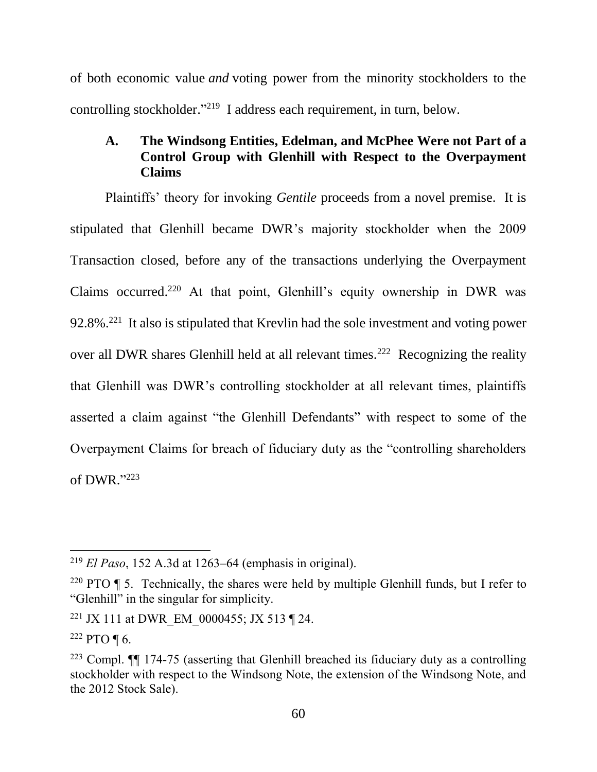of both economic value *and* voting power from the minority stockholders to the controlling stockholder."<sup>219</sup> I address each requirement, in turn, below.

## **A. The Windsong Entities, Edelman, and McPhee Were not Part of a Control Group with Glenhill with Respect to the Overpayment Claims**

Plaintiffs' theory for invoking *Gentile* proceeds from a novel premise. It is stipulated that Glenhill became DWR's majority stockholder when the 2009 Transaction closed, before any of the transactions underlying the Overpayment Claims occurred.<sup>220</sup> At that point, Glenhill's equity ownership in DWR was  $92.8\%$ <sup>221</sup> It also is stipulated that Krevlin had the sole investment and voting power over all DWR shares Glenhill held at all relevant times.<sup>222</sup> Recognizing the reality that Glenhill was DWR's controlling stockholder at all relevant times, plaintiffs asserted a claim against "the Glenhill Defendants" with respect to some of the Overpayment Claims for breach of fiduciary duty as the "controlling shareholders of DWR." 223

<sup>219</sup> *El Paso*, 152 A.3d at 1263–64 (emphasis in original).

<sup>&</sup>lt;sup>220</sup> PTO  $\parallel$  5. Technically, the shares were held by multiple Glenhill funds, but I refer to "Glenhill" in the singular for simplicity.

<sup>&</sup>lt;sup>221</sup> JX 111 at DWR EM 0000455; JX 513 ¶ 24.

 $222$  PTO ¶ 6.

 $223$  Compl.  $\P\P$  174-75 (asserting that Glenhill breached its fiduciary duty as a controlling stockholder with respect to the Windsong Note, the extension of the Windsong Note, and the 2012 Stock Sale).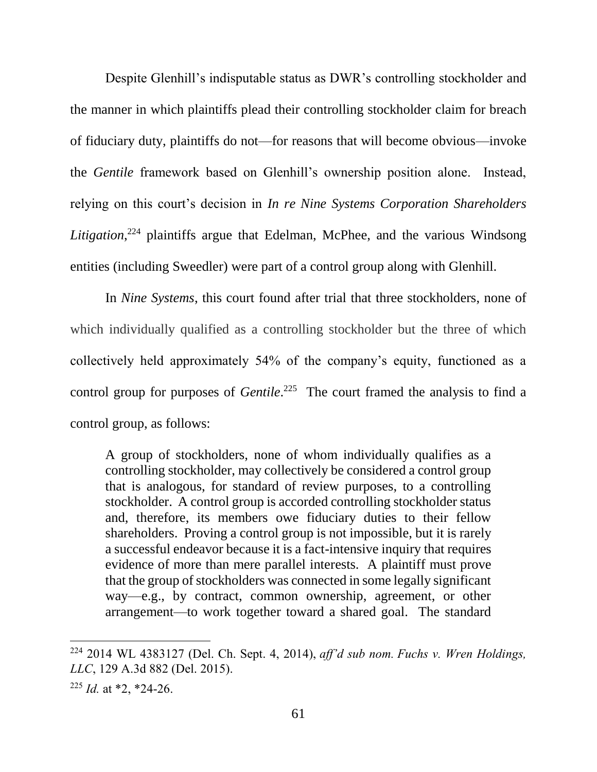Despite Glenhill's indisputable status as DWR's controlling stockholder and the manner in which plaintiffs plead their controlling stockholder claim for breach of fiduciary duty, plaintiffs do not—for reasons that will become obvious—invoke the *Gentile* framework based on Glenhill's ownership position alone. Instead, relying on this court's decision in *In re Nine Systems Corporation Shareholders Litigation*, <sup>224</sup> plaintiffs argue that Edelman, McPhee, and the various Windsong entities (including Sweedler) were part of a control group along with Glenhill*.*

In *Nine Systems*, this court found after trial that three stockholders, none of which individually qualified as a controlling stockholder but the three of which collectively held approximately 54% of the company's equity, functioned as a control group for purposes of *Gentile*.<sup>225</sup> The court framed the analysis to find a control group, as follows:

A group of stockholders, none of whom individually qualifies as a controlling stockholder, may collectively be considered a control group that is analogous, for standard of review purposes, to a controlling stockholder. A control group is accorded controlling stockholder status and, therefore, its members owe fiduciary duties to their fellow shareholders. Proving a control group is not impossible, but it is rarely a successful endeavor because it is a fact-intensive inquiry that requires evidence of more than mere parallel interests. A plaintiff must prove that the group of stockholders was connected in some legally significant way—e.g., by contract, common ownership, agreement, or other arrangement—to work together toward a shared goal. The standard

<sup>224</sup> 2014 WL 4383127 (Del. Ch. Sept. 4, 2014), *aff'd sub nom. Fuchs v. Wren Holdings, LLC*, 129 A.3d 882 (Del. 2015).

<sup>225</sup> *Id.* at \*2, \*24-26.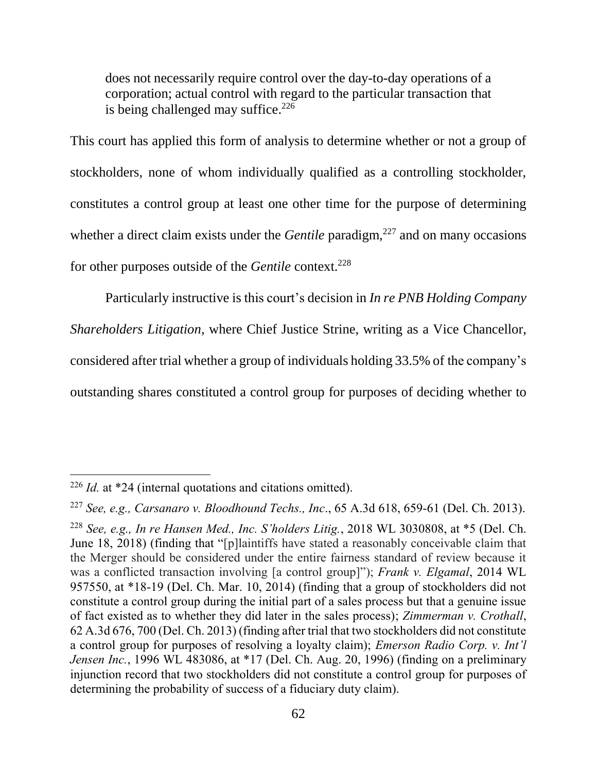does not necessarily require control over the day-to-day operations of a corporation; actual control with regard to the particular transaction that is being challenged may suffice.  $226$ 

This court has applied this form of analysis to determine whether or not a group of stockholders, none of whom individually qualified as a controlling stockholder, constitutes a control group at least one other time for the purpose of determining whether a direct claim exists under the *Gentile* paradigm,<sup>227</sup> and on many occasions for other purposes outside of the *Gentile* context.<sup>228</sup>

Particularly instructive is this court's decision in *In re PNB Holding Company Shareholders Litigation*, where Chief Justice Strine, writing as a Vice Chancellor, considered after trial whether a group of individuals holding 33.5% of the company's outstanding shares constituted a control group for purposes of deciding whether to

<sup>226</sup> *Id.* at \*24 (internal quotations and citations omitted).

<sup>227</sup> *See, e.g., Carsanaro v. Bloodhound Techs., Inc*., 65 A.3d 618, 659-61 (Del. Ch. 2013).

<sup>228</sup> *See, e.g., In re Hansen Med., Inc. S'holders Litig.*, 2018 WL 3030808, at \*5 (Del. Ch. June 18, 2018) (finding that "[p]laintiffs have stated a reasonably conceivable claim that the Merger should be considered under the entire fairness standard of review because it was a conflicted transaction involving [a control group]"); *Frank v. Elgamal*, 2014 WL 957550, at \*18-19 (Del. Ch. Mar. 10, 2014) (finding that a group of stockholders did not constitute a control group during the initial part of a sales process but that a genuine issue of fact existed as to whether they did later in the sales process); *Zimmerman v. Crothall*, 62 A.3d 676, 700 (Del. Ch. 2013) (finding after trial that two stockholders did not constitute a control group for purposes of resolving a loyalty claim); *Emerson Radio Corp. v. Int'l Jensen Inc.*, 1996 WL 483086, at \*17 (Del. Ch. Aug. 20, 1996) (finding on a preliminary injunction record that two stockholders did not constitute a control group for purposes of determining the probability of success of a fiduciary duty claim).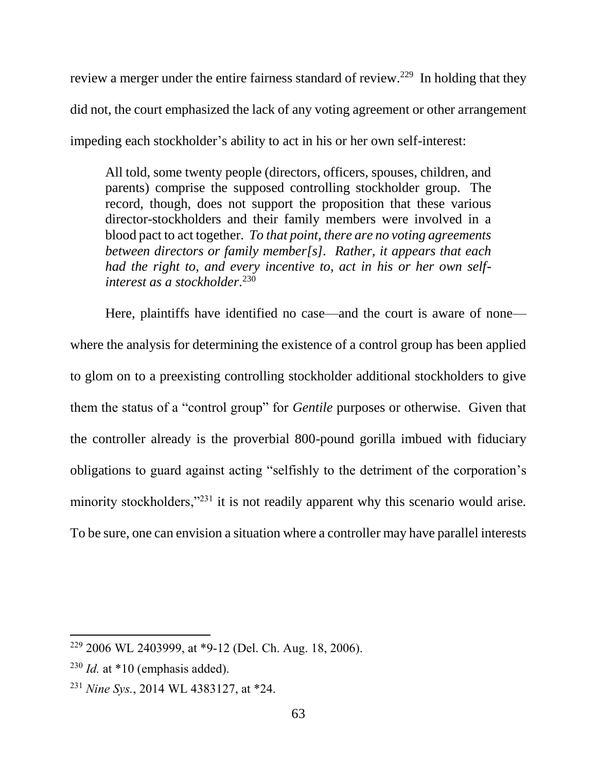review a merger under the entire fairness standard of review.<sup>229</sup> In holding that they did not, the court emphasized the lack of any voting agreement or other arrangement impeding each stockholder's ability to act in his or her own self-interest:

All told, some twenty people (directors, officers, spouses, children, and parents) comprise the supposed controlling stockholder group. The record, though, does not support the proposition that these various director-stockholders and their family members were involved in a blood pact to act together. *To that point, there are no voting agreements between directors or family member[s]. Rather, it appears that each had the right to, and every incentive to, act in his or her own selfinterest as a stockholder.* 230

Here, plaintiffs have identified no case—and the court is aware of none where the analysis for determining the existence of a control group has been applied to glom on to a preexisting controlling stockholder additional stockholders to give them the status of a "control group" for *Gentile* purposes or otherwise. Given that the controller already is the proverbial 800-pound gorilla imbued with fiduciary obligations to guard against acting "selfishly to the detriment of the corporation's minority stockholders,"<sup>231</sup> it is not readily apparent why this scenario would arise. To be sure, one can envision a situation where a controller may have parallel interests

<sup>229</sup> 2006 WL 2403999, at \*9-12 (Del. Ch. Aug. 18, 2006).

 $^{230}$  *Id.* at  $*10$  (emphasis added).

<sup>231</sup> *Nine Sys.*, 2014 WL 4383127, at \*24.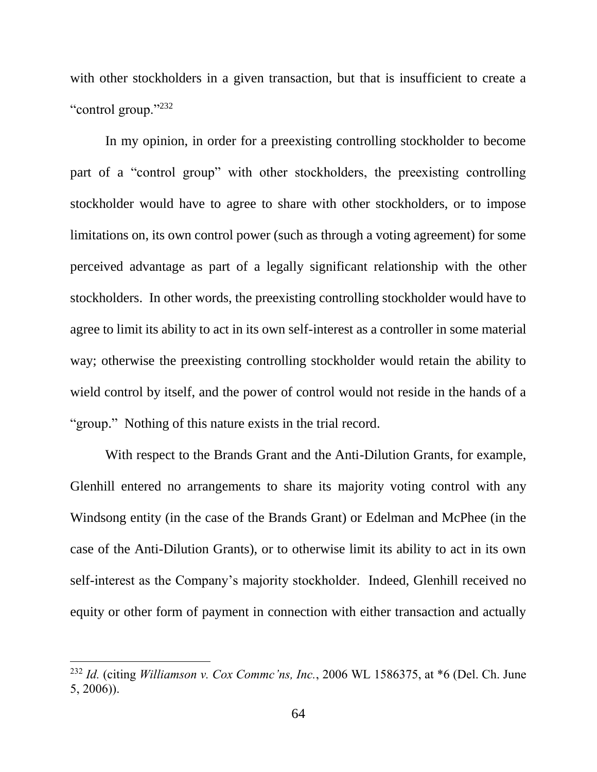with other stockholders in a given transaction, but that is insufficient to create a "control group."232

In my opinion, in order for a preexisting controlling stockholder to become part of a "control group" with other stockholders, the preexisting controlling stockholder would have to agree to share with other stockholders, or to impose limitations on, its own control power (such as through a voting agreement) for some perceived advantage as part of a legally significant relationship with the other stockholders. In other words, the preexisting controlling stockholder would have to agree to limit its ability to act in its own self-interest as a controller in some material way; otherwise the preexisting controlling stockholder would retain the ability to wield control by itself, and the power of control would not reside in the hands of a "group." Nothing of this nature exists in the trial record.

With respect to the Brands Grant and the Anti-Dilution Grants, for example, Glenhill entered no arrangements to share its majority voting control with any Windsong entity (in the case of the Brands Grant) or Edelman and McPhee (in the case of the Anti-Dilution Grants), or to otherwise limit its ability to act in its own self-interest as the Company's majority stockholder. Indeed, Glenhill received no equity or other form of payment in connection with either transaction and actually

<sup>232</sup> *Id.* (citing *Williamson v. Cox Commc'ns, Inc.*, 2006 WL 1586375, at \*6 (Del. Ch. June 5, 2006)).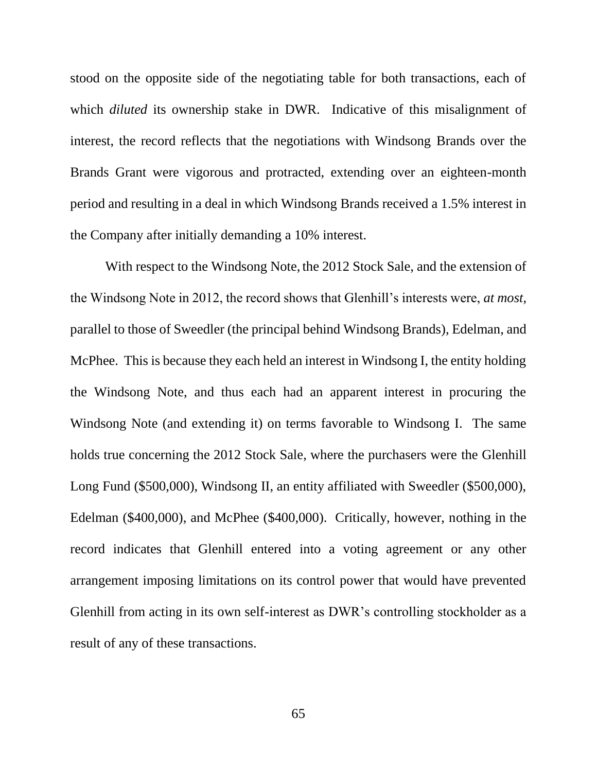stood on the opposite side of the negotiating table for both transactions, each of which *diluted* its ownership stake in DWR. Indicative of this misalignment of interest, the record reflects that the negotiations with Windsong Brands over the Brands Grant were vigorous and protracted, extending over an eighteen-month period and resulting in a deal in which Windsong Brands received a 1.5% interest in the Company after initially demanding a 10% interest.

With respect to the Windsong Note, the 2012 Stock Sale, and the extension of the Windsong Note in 2012, the record shows that Glenhill's interests were, *at most*, parallel to those of Sweedler (the principal behind Windsong Brands), Edelman, and McPhee. This is because they each held an interest in Windsong I, the entity holding the Windsong Note, and thus each had an apparent interest in procuring the Windsong Note (and extending it) on terms favorable to Windsong I. The same holds true concerning the 2012 Stock Sale, where the purchasers were the Glenhill Long Fund (\$500,000), Windsong II, an entity affiliated with Sweedler (\$500,000), Edelman (\$400,000), and McPhee (\$400,000). Critically, however, nothing in the record indicates that Glenhill entered into a voting agreement or any other arrangement imposing limitations on its control power that would have prevented Glenhill from acting in its own self-interest as DWR's controlling stockholder as a result of any of these transactions.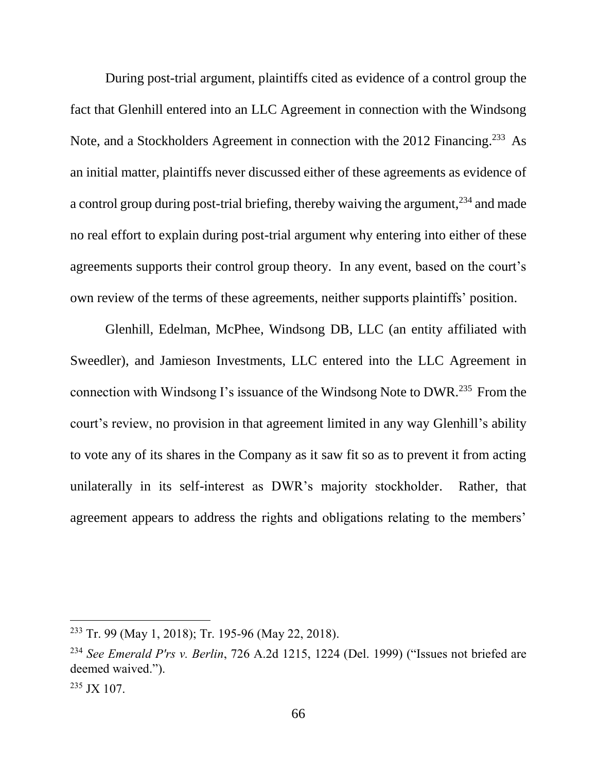During post-trial argument, plaintiffs cited as evidence of a control group the fact that Glenhill entered into an LLC Agreement in connection with the Windsong Note, and a Stockholders Agreement in connection with the 2012 Financing.<sup>233</sup> As an initial matter, plaintiffs never discussed either of these agreements as evidence of a control group during post-trial briefing, thereby waiving the argument,<sup>234</sup> and made no real effort to explain during post-trial argument why entering into either of these agreements supports their control group theory. In any event, based on the court's own review of the terms of these agreements, neither supports plaintiffs' position.

Glenhill, Edelman, McPhee, Windsong DB, LLC (an entity affiliated with Sweedler), and Jamieson Investments, LLC entered into the LLC Agreement in connection with Windsong I's issuance of the Windsong Note to DWR.<sup>235</sup> From the court's review, no provision in that agreement limited in any way Glenhill's ability to vote any of its shares in the Company as it saw fit so as to prevent it from acting unilaterally in its self-interest as DWR's majority stockholder. Rather, that agreement appears to address the rights and obligations relating to the members'

<sup>233</sup> Tr. 99 (May 1, 2018); Tr. 195-96 (May 22, 2018).

<sup>234</sup> *See Emerald P'rs v. Berlin*, 726 A.2d 1215, 1224 (Del. 1999) ("Issues not briefed are deemed waived.").

 $235$  JX 107.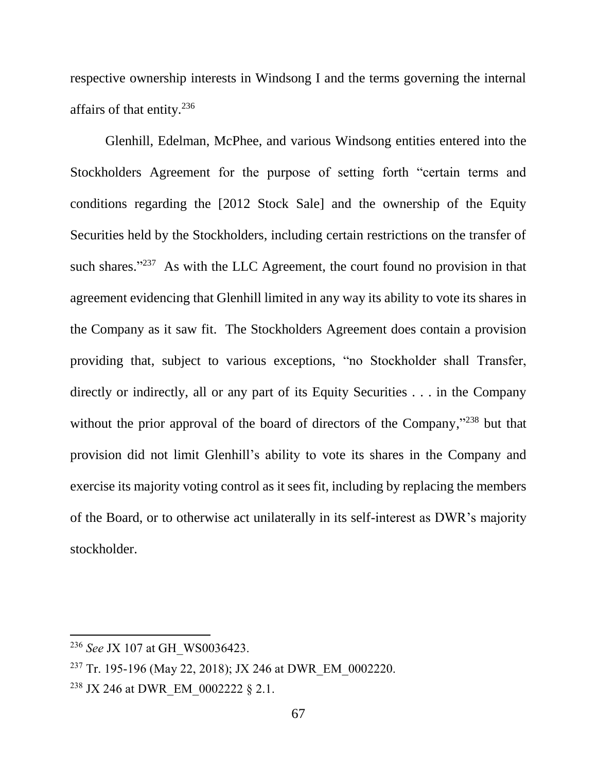respective ownership interests in Windsong I and the terms governing the internal affairs of that entity.<sup>236</sup>

Glenhill, Edelman, McPhee, and various Windsong entities entered into the Stockholders Agreement for the purpose of setting forth "certain terms and conditions regarding the [2012 Stock Sale] and the ownership of the Equity Securities held by the Stockholders, including certain restrictions on the transfer of such shares. $1237$  As with the LLC Agreement, the court found no provision in that agreement evidencing that Glenhill limited in any way its ability to vote its shares in the Company as it saw fit. The Stockholders Agreement does contain a provision providing that, subject to various exceptions, "no Stockholder shall Transfer, directly or indirectly, all or any part of its Equity Securities . . . in the Company without the prior approval of the board of directors of the Company,"<sup>238</sup> but that provision did not limit Glenhill's ability to vote its shares in the Company and exercise its majority voting control as it sees fit, including by replacing the members of the Board, or to otherwise act unilaterally in its self-interest as DWR's majority stockholder.

<sup>236</sup> *See* JX 107 at GH\_WS0036423.

<sup>&</sup>lt;sup>237</sup> Tr. 195-196 (May 22, 2018); JX 246 at DWR EM 0002220.

<sup>&</sup>lt;sup>238</sup> JX 246 at DWR EM 0002222 § 2.1.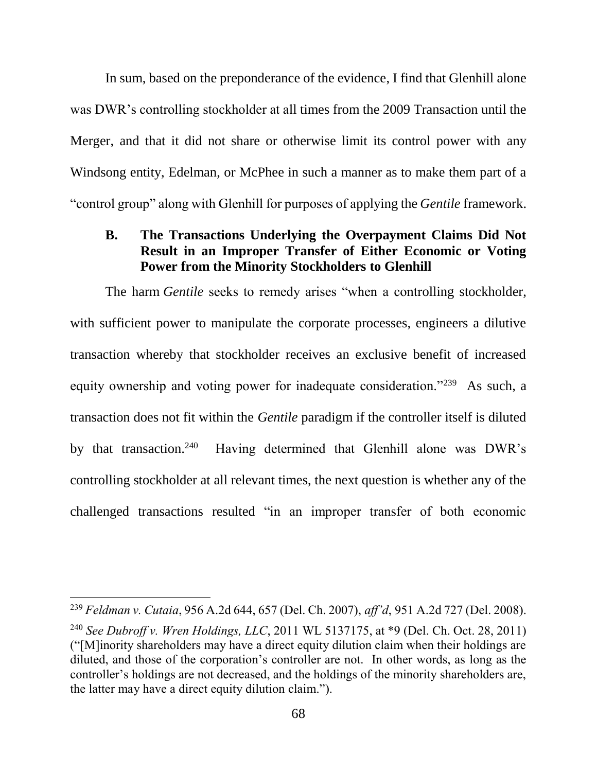In sum, based on the preponderance of the evidence, I find that Glenhill alone was DWR's controlling stockholder at all times from the 2009 Transaction until the Merger, and that it did not share or otherwise limit its control power with any Windsong entity, Edelman, or McPhee in such a manner as to make them part of a "control group" along with Glenhill for purposes of applying the *Gentile* framework.

### **B. The Transactions Underlying the Overpayment Claims Did Not Result in an Improper Transfer of Either Economic or Voting Power from the Minority Stockholders to Glenhill**

The harm *Gentile* seeks to remedy arises "when a controlling stockholder, with sufficient power to manipulate the corporate processes, engineers a dilutive transaction whereby that stockholder receives an exclusive benefit of increased equity ownership and voting power for inadequate consideration."<sup>239</sup> As such, a transaction does not fit within the *Gentile* paradigm if the controller itself is diluted by that transaction. $240$  Having determined that Glenhill alone was DWR's controlling stockholder at all relevant times, the next question is whether any of the challenged transactions resulted "in an improper transfer of both economic

<sup>239</sup> *Feldman v. Cutaia*, 956 A.2d 644, 657 (Del. Ch. 2007), *aff'd*, 951 A.2d 727 (Del. 2008). <sup>240</sup> *See Dubroff v. Wren Holdings, LLC*, 2011 WL 5137175, at \*9 (Del. Ch. Oct. 28, 2011) ("[M]inority shareholders may have a direct equity dilution claim when their holdings are diluted, and those of the corporation's controller are not. In other words, as long as the controller's holdings are not decreased, and the holdings of the minority shareholders are, the latter may have a direct equity dilution claim.").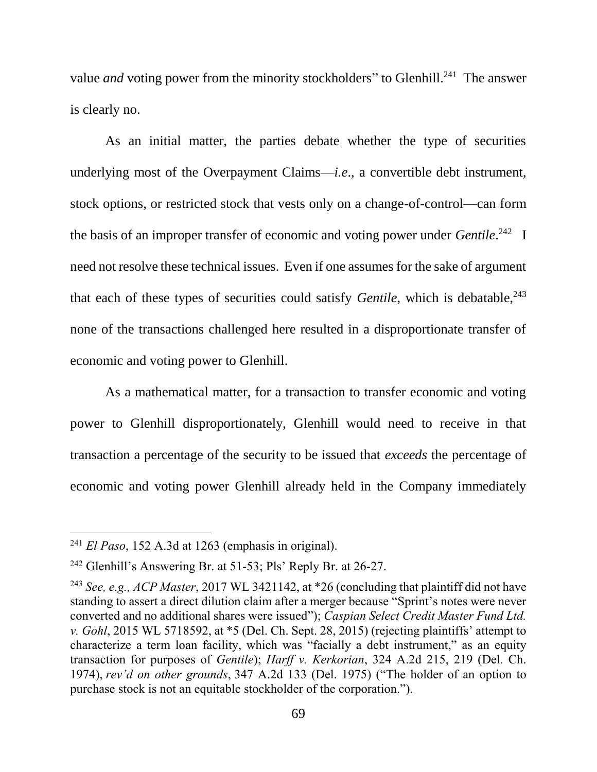value *and* voting power from the minority stockholders" to Glenhill.<sup>241</sup> The answer is clearly no.

As an initial matter, the parties debate whether the type of securities underlying most of the Overpayment Claims—*i.e*., a convertible debt instrument, stock options, or restricted stock that vests only on a change-of-control—can form the basis of an improper transfer of economic and voting power under *Gentile*. 242 I need not resolve these technical issues. Even if one assumes for the sake of argument that each of these types of securities could satisfy *Gentile*, which is debatable,<sup>243</sup> none of the transactions challenged here resulted in a disproportionate transfer of economic and voting power to Glenhill.

As a mathematical matter, for a transaction to transfer economic and voting power to Glenhill disproportionately, Glenhill would need to receive in that transaction a percentage of the security to be issued that *exceeds* the percentage of economic and voting power Glenhill already held in the Company immediately

<sup>241</sup> *El Paso*, 152 A.3d at 1263 (emphasis in original).

<sup>242</sup> Glenhill's Answering Br. at 51-53; Pls' Reply Br. at 26-27.

<sup>243</sup> *See, e.g., ACP Master*, 2017 WL 3421142, at \*26 (concluding that plaintiff did not have standing to assert a direct dilution claim after a merger because "Sprint's notes were never converted and no additional shares were issued"); *Caspian Select Credit Master Fund Ltd. v. Gohl*, 2015 WL 5718592, at \*5 (Del. Ch. Sept. 28, 2015) (rejecting plaintiffs' attempt to characterize a term loan facility, which was "facially a debt instrument," as an equity transaction for purposes of *Gentile*); *Harff v. Kerkorian*, 324 A.2d 215, 219 (Del. Ch. 1974), *rev'd on other grounds*, 347 A.2d 133 (Del. 1975) ("The holder of an option to purchase stock is not an equitable stockholder of the corporation.").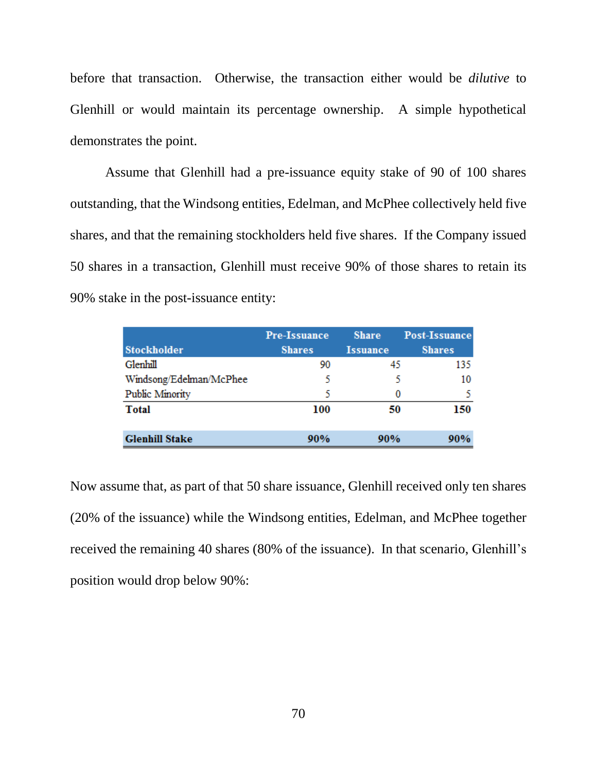before that transaction. Otherwise, the transaction either would be *dilutive* to Glenhill or would maintain its percentage ownership. A simple hypothetical demonstrates the point.

Assume that Glenhill had a pre-issuance equity stake of 90 of 100 shares outstanding, that the Windsong entities, Edelman, and McPhee collectively held five shares, and that the remaining stockholders held five shares. If the Company issued 50 shares in a transaction, Glenhill must receive 90% of those shares to retain its 90% stake in the post-issuance entity:

|                         | <b>Pre-Issuance</b> | <b>Share</b>    | <b>Post-Issuance</b> |
|-------------------------|---------------------|-----------------|----------------------|
| <b>Stockholder</b>      | <b>Shares</b>       | <b>Issuance</b> | <b>Shares</b>        |
| Glenhill                | 90                  | 45              | 135                  |
| Windsong/Edelman/McPhee |                     |                 | 10                   |
| <b>Public Minority</b>  | ς                   | 0               |                      |
| <b>Total</b>            | 100                 | 50              | 150                  |
| <b>Glenhill Stake</b>   | 90%                 | 90%             | 90%                  |

Now assume that, as part of that 50 share issuance, Glenhill received only ten shares (20% of the issuance) while the Windsong entities, Edelman, and McPhee together received the remaining 40 shares (80% of the issuance). In that scenario, Glenhill's position would drop below 90%: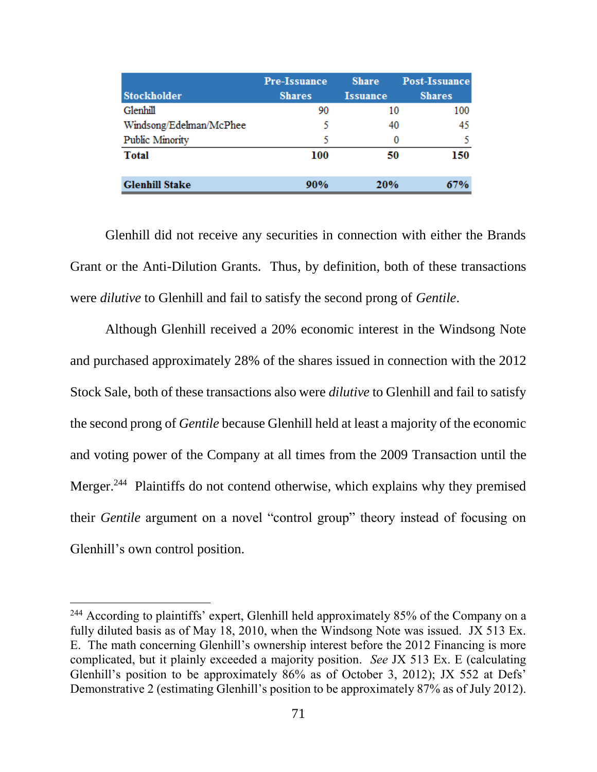|                         | <b>Pre-Issuance</b> | <b>Share</b>    | <b>Post-Issuance</b> |
|-------------------------|---------------------|-----------------|----------------------|
| <b>Stockholder</b>      | <b>Shares</b>       | <b>Issuance</b> | <b>Shares</b>        |
| Glenhill                | 90                  | 10              | 100                  |
| Windsong/Edelman/McPhee | 5                   | 40              | 45                   |
| Public Minority         |                     | 0               | 5                    |
| <b>Total</b>            | 100                 | 50              | 150                  |
| <b>Glenhill Stake</b>   | 90%                 | 20%             | 67%                  |

Glenhill did not receive any securities in connection with either the Brands Grant or the Anti-Dilution Grants. Thus, by definition, both of these transactions were *dilutive* to Glenhill and fail to satisfy the second prong of *Gentile*.

Although Glenhill received a 20% economic interest in the Windsong Note and purchased approximately 28% of the shares issued in connection with the 2012 Stock Sale, both of these transactions also were *dilutive* to Glenhill and fail to satisfy the second prong of *Gentile* because Glenhill held at least a majority of the economic and voting power of the Company at all times from the 2009 Transaction until the Merger.<sup>244</sup> Plaintiffs do not contend otherwise, which explains why they premised their *Gentile* argument on a novel "control group" theory instead of focusing on Glenhill's own control position.

<sup>&</sup>lt;sup>244</sup> According to plaintiffs' expert, Glenhill held approximately 85% of the Company on a fully diluted basis as of May 18, 2010, when the Windsong Note was issued. JX 513 Ex. E. The math concerning Glenhill's ownership interest before the 2012 Financing is more complicated, but it plainly exceeded a majority position. *See* JX 513 Ex. E (calculating Glenhill's position to be approximately 86% as of October 3, 2012); JX 552 at Defs' Demonstrative 2 (estimating Glenhill's position to be approximately 87% as of July 2012).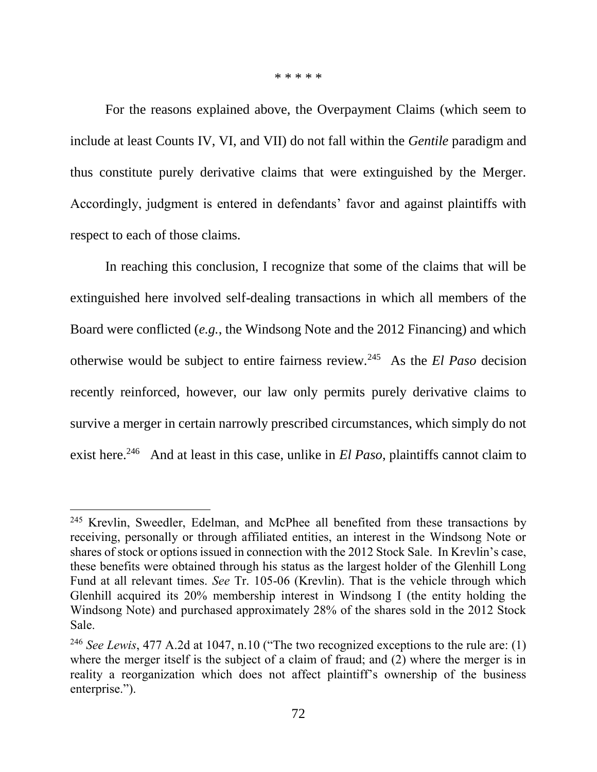\* \* \* \* \*

For the reasons explained above, the Overpayment Claims (which seem to include at least Counts IV, VI, and VII) do not fall within the *Gentile* paradigm and thus constitute purely derivative claims that were extinguished by the Merger. Accordingly, judgment is entered in defendants' favor and against plaintiffs with respect to each of those claims.

In reaching this conclusion, I recognize that some of the claims that will be extinguished here involved self-dealing transactions in which all members of the Board were conflicted (*e.g.*, the Windsong Note and the 2012 Financing) and which otherwise would be subject to entire fairness review.<sup>245</sup> As the *El Paso* decision recently reinforced, however, our law only permits purely derivative claims to survive a merger in certain narrowly prescribed circumstances, which simply do not exist here.<sup>246</sup> And at least in this case, unlike in *El Paso*, plaintiffs cannot claim to

<sup>&</sup>lt;sup>245</sup> Krevlin, Sweedler, Edelman, and McPhee all benefited from these transactions by receiving, personally or through affiliated entities, an interest in the Windsong Note or shares of stock or options issued in connection with the 2012 Stock Sale. In Krevlin's case, these benefits were obtained through his status as the largest holder of the Glenhill Long Fund at all relevant times. *See* Tr. 105-06 (Krevlin). That is the vehicle through which Glenhill acquired its 20% membership interest in Windsong I (the entity holding the Windsong Note) and purchased approximately 28% of the shares sold in the 2012 Stock Sale.

<sup>246</sup> *See Lewis*, 477 A.2d at 1047, n.10 ("The two recognized exceptions to the rule are: (1) where the merger itself is the subject of a claim of fraud; and (2) where the merger is in reality a reorganization which does not affect plaintiff's ownership of the business enterprise.").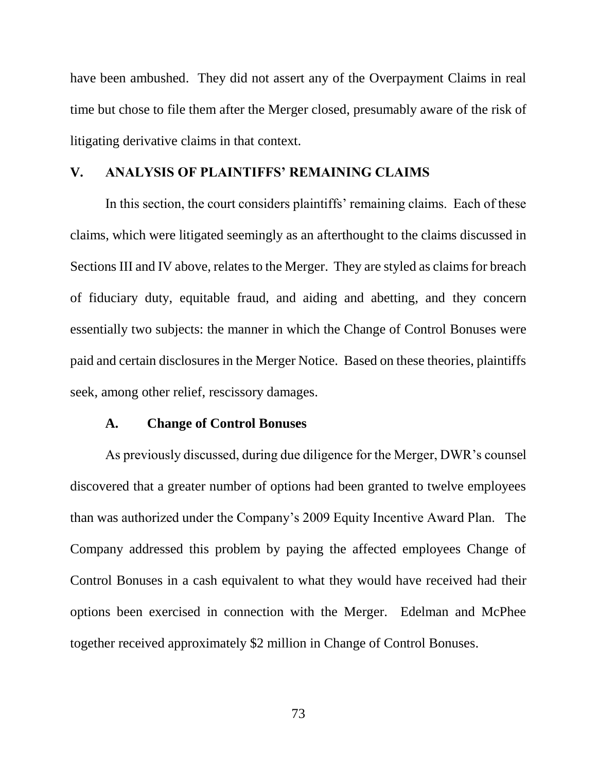have been ambushed. They did not assert any of the Overpayment Claims in real time but chose to file them after the Merger closed, presumably aware of the risk of litigating derivative claims in that context.

### **V. ANALYSIS OF PLAINTIFFS' REMAINING CLAIMS**

In this section, the court considers plaintiffs' remaining claims. Each of these claims, which were litigated seemingly as an afterthought to the claims discussed in Sections III and IV above, relates to the Merger. They are styled as claims for breach of fiduciary duty, equitable fraud, and aiding and abetting, and they concern essentially two subjects: the manner in which the Change of Control Bonuses were paid and certain disclosures in the Merger Notice. Based on these theories, plaintiffs seek, among other relief, rescissory damages.

### **A. Change of Control Bonuses**

As previously discussed, during due diligence for the Merger, DWR's counsel discovered that a greater number of options had been granted to twelve employees than was authorized under the Company's 2009 Equity Incentive Award Plan. The Company addressed this problem by paying the affected employees Change of Control Bonuses in a cash equivalent to what they would have received had their options been exercised in connection with the Merger. Edelman and McPhee together received approximately \$2 million in Change of Control Bonuses.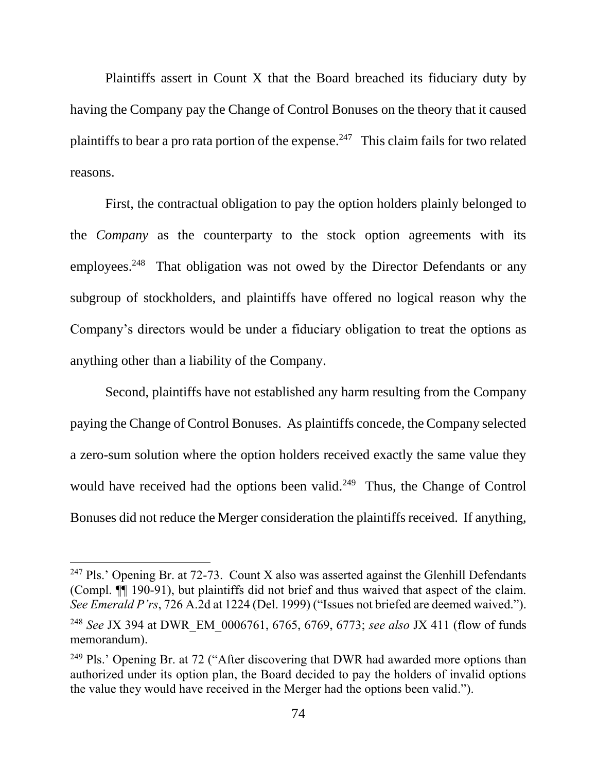Plaintiffs assert in Count X that the Board breached its fiduciary duty by having the Company pay the Change of Control Bonuses on the theory that it caused plaintiffs to bear a pro rata portion of the expense.<sup>247</sup> This claim fails for two related reasons.

First, the contractual obligation to pay the option holders plainly belonged to the *Company* as the counterparty to the stock option agreements with its employees.<sup>248</sup> That obligation was not owed by the Director Defendants or any subgroup of stockholders, and plaintiffs have offered no logical reason why the Company's directors would be under a fiduciary obligation to treat the options as anything other than a liability of the Company.

Second, plaintiffs have not established any harm resulting from the Company paying the Change of Control Bonuses. As plaintiffs concede, the Company selected a zero-sum solution where the option holders received exactly the same value they would have received had the options been valid.<sup>249</sup> Thus, the Change of Control Bonuses did not reduce the Merger consideration the plaintiffs received. If anything,

<sup>&</sup>lt;sup>247</sup> Pls.' Opening Br. at  $72-73$ . Count X also was asserted against the Glenhill Defendants (Compl. ¶¶ 190-91), but plaintiffs did not brief and thus waived that aspect of the claim. *See Emerald P'rs*, 726 A.2d at 1224 (Del. 1999) ("Issues not briefed are deemed waived.").

<sup>248</sup> *See* JX 394 at DWR\_EM\_0006761, 6765, 6769, 6773; *see also* JX 411 (flow of funds memorandum).

<sup>&</sup>lt;sup>249</sup> Pls.' Opening Br. at 72 ("After discovering that DWR had awarded more options than authorized under its option plan, the Board decided to pay the holders of invalid options the value they would have received in the Merger had the options been valid.").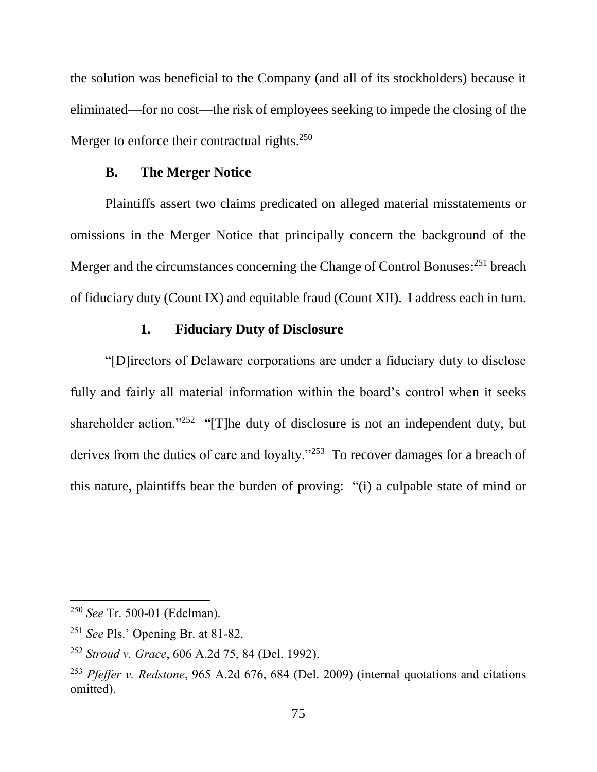the solution was beneficial to the Company (and all of its stockholders) because it eliminated—for no cost—the risk of employees seeking to impede the closing of the Merger to enforce their contractual rights.<sup>250</sup>

#### **B. The Merger Notice**

Plaintiffs assert two claims predicated on alleged material misstatements or omissions in the Merger Notice that principally concern the background of the Merger and the circumstances concerning the Change of Control Bonuses:<sup>251</sup> breach of fiduciary duty (Count IX) and equitable fraud (Count XII). I address each in turn.

# **1. Fiduciary Duty of Disclosure**

"[D]irectors of Delaware corporations are under a fiduciary duty to disclose fully and fairly all material information within the board's control when it seeks shareholder action."<sup>252</sup> "[T]he duty of disclosure is not an independent duty, but derives from the duties of care and loyalty."<sup>253</sup> To recover damages for a breach of this nature, plaintiffs bear the burden of proving: "(i) a culpable state of mind or

<sup>250</sup> *See* Tr. 500-01 (Edelman).

<sup>251</sup> *See* Pls.' Opening Br. at 81-82.

<sup>252</sup> *Stroud v. Grace*, 606 A.2d 75, 84 (Del. 1992).

<sup>253</sup> *Pfeffer v. Redstone*, 965 A.2d 676, 684 (Del. 2009) (internal quotations and citations omitted).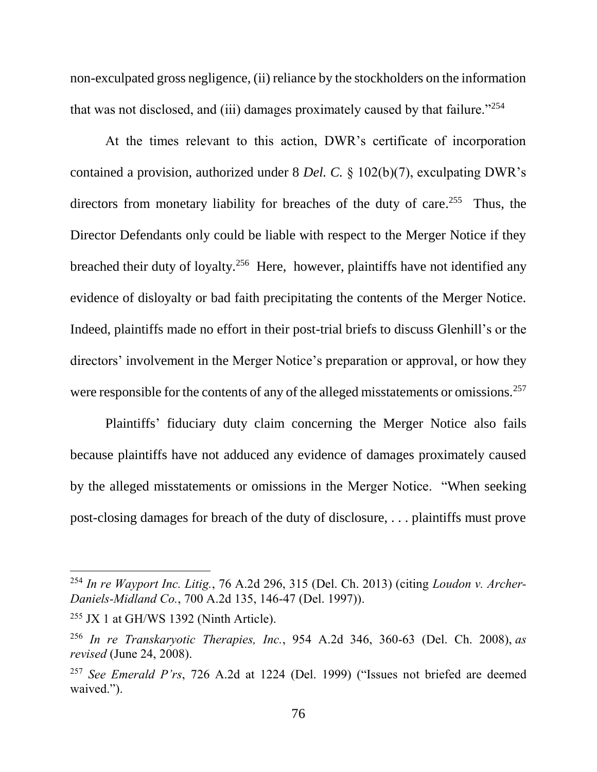non-exculpated gross negligence, (ii) reliance by the stockholders on the information that was not disclosed, and (iii) damages proximately caused by that failure." $254$ 

At the times relevant to this action, DWR's certificate of incorporation contained a provision, authorized under 8 *Del. C.* § 102(b)(7), exculpating DWR's directors from monetary liability for breaches of the duty of care.<sup>255</sup> Thus, the Director Defendants only could be liable with respect to the Merger Notice if they breached their duty of loyalty.<sup>256</sup> Here, however, plaintiffs have not identified any evidence of disloyalty or bad faith precipitating the contents of the Merger Notice. Indeed, plaintiffs made no effort in their post-trial briefs to discuss Glenhill's or the directors' involvement in the Merger Notice's preparation or approval, or how they were responsible for the contents of any of the alleged misstatements or omissions.<sup>257</sup>

Plaintiffs' fiduciary duty claim concerning the Merger Notice also fails because plaintiffs have not adduced any evidence of damages proximately caused by the alleged misstatements or omissions in the Merger Notice. "When seeking post-closing damages for breach of the duty of disclosure, . . . plaintiffs must prove

<sup>254</sup> *In re Wayport Inc. Litig.*, 76 A.2d 296, 315 (Del. Ch. 2013) (citing *Loudon v. Archer-Daniels-Midland Co.*, 700 A.2d 135, 146-47 (Del. 1997)).

 $255$  JX 1 at GH/WS 1392 (Ninth Article).

<sup>256</sup> *In re Transkaryotic Therapies, Inc.*, 954 A.2d 346, 360-63 (Del. Ch. 2008), *as revised* (June 24, 2008).

<sup>257</sup> *See Emerald P'rs*, 726 A.2d at 1224 (Del. 1999) ("Issues not briefed are deemed waived.").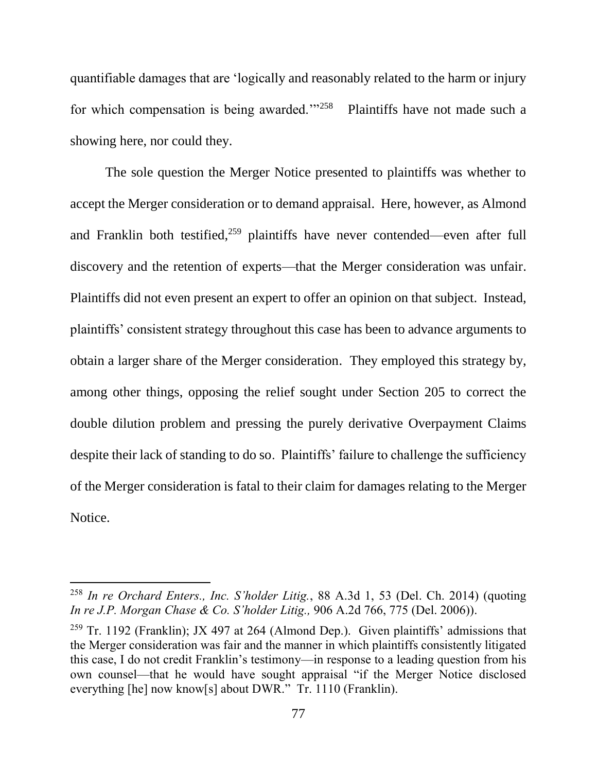quantifiable damages that are 'logically and reasonably related to the harm or injury for which compensation is being awarded.'"<sup>258</sup> Plaintiffs have not made such a showing here, nor could they.

The sole question the Merger Notice presented to plaintiffs was whether to accept the Merger consideration or to demand appraisal. Here, however, as Almond and Franklin both testified, <sup>259</sup> plaintiffs have never contended—even after full discovery and the retention of experts—that the Merger consideration was unfair. Plaintiffs did not even present an expert to offer an opinion on that subject. Instead, plaintiffs' consistent strategy throughout this case has been to advance arguments to obtain a larger share of the Merger consideration. They employed this strategy by, among other things, opposing the relief sought under Section 205 to correct the double dilution problem and pressing the purely derivative Overpayment Claims despite their lack of standing to do so. Plaintiffs' failure to challenge the sufficiency of the Merger consideration is fatal to their claim for damages relating to the Merger Notice.

<sup>258</sup> *In re Orchard Enters., Inc. S'holder Litig.*, 88 A.3d 1, 53 (Del. Ch. 2014) (quoting *In re J.P. Morgan Chase & Co. S'holder Litig.,* 906 A.2d 766, 775 (Del. 2006)).

<sup>&</sup>lt;sup>259</sup> Tr. 1192 (Franklin); JX 497 at 264 (Almond Dep.). Given plaintiffs' admissions that the Merger consideration was fair and the manner in which plaintiffs consistently litigated this case, I do not credit Franklin's testimony—in response to a leading question from his own counsel—that he would have sought appraisal "if the Merger Notice disclosed everything [he] now know[s] about DWR." Tr. 1110 (Franklin).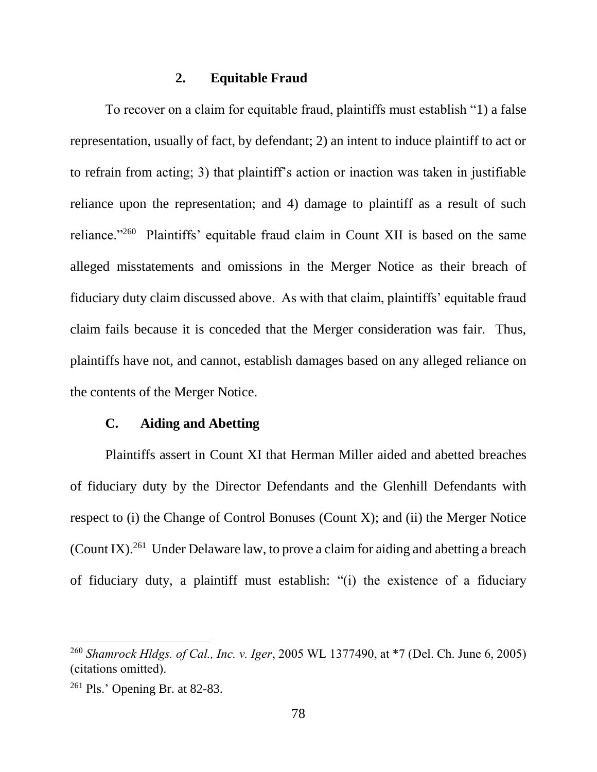## **2. Equitable Fraud**

To recover on a claim for equitable fraud, plaintiffs must establish "1) a false representation, usually of fact, by defendant; 2) an intent to induce plaintiff to act or to refrain from acting; 3) that plaintiff's action or inaction was taken in justifiable reliance upon the representation; and 4) damage to plaintiff as a result of such reliance."<sup>260</sup> Plaintiffs' equitable fraud claim in Count XII is based on the same alleged misstatements and omissions in the Merger Notice as their breach of fiduciary duty claim discussed above. As with that claim, plaintiffs' equitable fraud claim fails because it is conceded that the Merger consideration was fair. Thus, plaintiffs have not, and cannot, establish damages based on any alleged reliance on the contents of the Merger Notice.

### **C. Aiding and Abetting**

Plaintiffs assert in Count XI that Herman Miller aided and abetted breaches of fiduciary duty by the Director Defendants and the Glenhill Defendants with respect to (i) the Change of Control Bonuses (Count X); and (ii) the Merger Notice (Count IX).<sup>261</sup> Under Delaware law, to prove a claim for aiding and abetting a breach of fiduciary duty, a plaintiff must establish: "(i) the existence of a fiduciary

<sup>260</sup> *Shamrock Hldgs. of Cal., Inc. v. Iger*, 2005 WL 1377490, at \*7 (Del. Ch. June 6, 2005) (citations omitted).

<sup>261</sup> Pls.' Opening Br. at 82-83.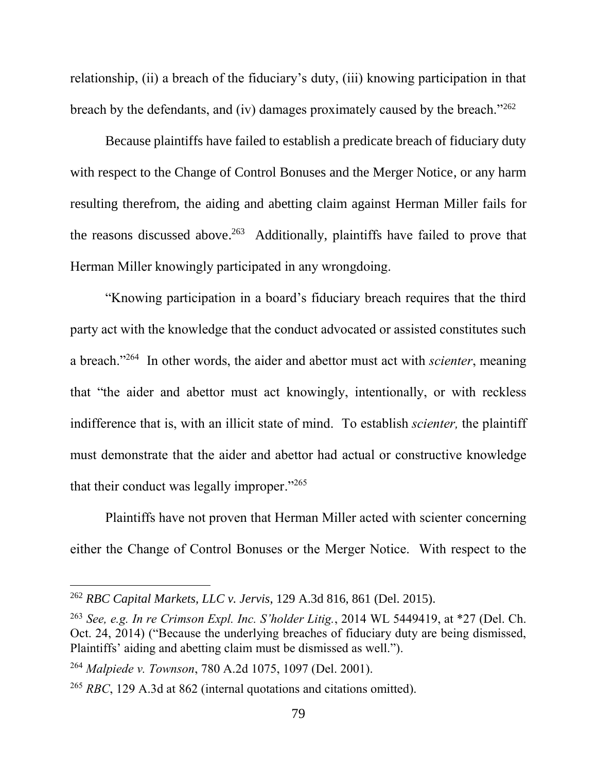relationship, (ii) a breach of the fiduciary's duty, (iii) knowing participation in that breach by the defendants, and (iv) damages proximately caused by the breach."<sup>262</sup>

Because plaintiffs have failed to establish a predicate breach of fiduciary duty with respect to the Change of Control Bonuses and the Merger Notice, or any harm resulting therefrom, the aiding and abetting claim against Herman Miller fails for the reasons discussed above. 263 Additionally, plaintiffs have failed to prove that Herman Miller knowingly participated in any wrongdoing.

"Knowing participation in a board's fiduciary breach requires that the third party act with the knowledge that the conduct advocated or assisted constitutes such a breach."<sup>264</sup> In other words, the aider and abettor must act with *scienter*, meaning that "the aider and abettor must act knowingly, intentionally, or with reckless indifference that is, with an illicit state of mind. To establish *scienter,* the plaintiff must demonstrate that the aider and abettor had actual or constructive knowledge that their conduct was legally improper." 265

Plaintiffs have not proven that Herman Miller acted with scienter concerning either the Change of Control Bonuses or the Merger Notice. With respect to the

<sup>262</sup> *RBC Capital Markets, LLC v. Jervis*, 129 A.3d 816, 861 (Del. 2015).

<sup>263</sup> *See, e.g. In re Crimson Expl. Inc. S'holder Litig.*, 2014 WL 5449419, at \*27 (Del. Ch. Oct. 24, 2014) ("Because the underlying breaches of fiduciary duty are being dismissed, Plaintiffs' aiding and abetting claim must be dismissed as well.").

<sup>264</sup> *Malpiede v. Townson*, 780 A.2d 1075, 1097 (Del. 2001).

<sup>265</sup> *RBC*, 129 A.3d at 862 (internal quotations and citations omitted).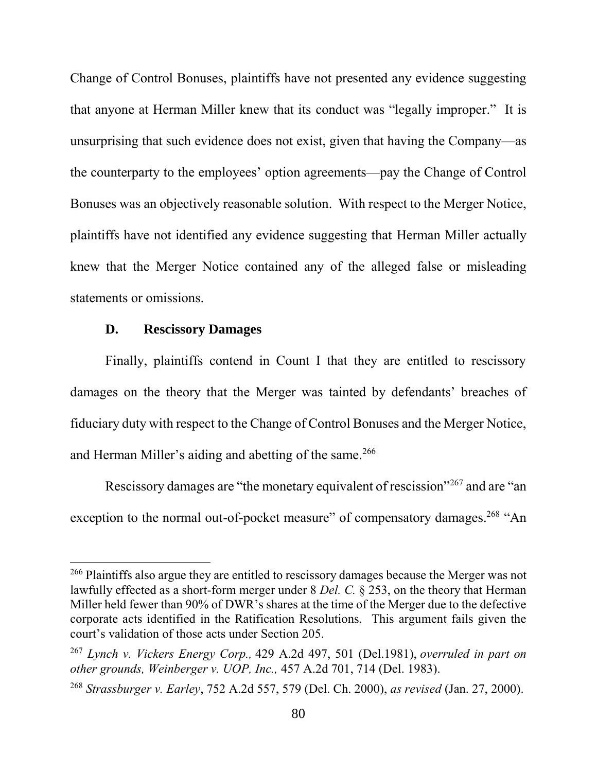Change of Control Bonuses, plaintiffs have not presented any evidence suggesting that anyone at Herman Miller knew that its conduct was "legally improper." It is unsurprising that such evidence does not exist, given that having the Company—as the counterparty to the employees' option agreements—pay the Change of Control Bonuses was an objectively reasonable solution. With respect to the Merger Notice, plaintiffs have not identified any evidence suggesting that Herman Miller actually knew that the Merger Notice contained any of the alleged false or misleading statements or omissions.

# **D. Rescissory Damages**

 $\overline{a}$ 

Finally, plaintiffs contend in Count I that they are entitled to rescissory damages on the theory that the Merger was tainted by defendants' breaches of fiduciary duty with respect to the Change of Control Bonuses and the Merger Notice, and Herman Miller's aiding and abetting of the same.<sup>266</sup>

Rescissory damages are "the monetary equivalent of rescission"<sup>267</sup> and are "an exception to the normal out-of-pocket measure" of compensatory damages.<sup>268</sup> "An

<sup>&</sup>lt;sup>266</sup> Plaintiffs also argue they are entitled to rescissory damages because the Merger was not lawfully effected as a short-form merger under 8 *Del. C.* § 253, on the theory that Herman Miller held fewer than 90% of DWR's shares at the time of the Merger due to the defective corporate acts identified in the Ratification Resolutions. This argument fails given the court's validation of those acts under Section 205.

<sup>267</sup> *Lynch v. Vickers Energy Corp.,* 429 A.2d 497, 501 (Del.1981), *overruled in part on other grounds, Weinberger v. UOP, Inc.,* 457 A.2d 701, 714 (Del. 1983).

<sup>268</sup> *Strassburger v. Earley*, 752 A.2d 557, 579 (Del. Ch. 2000), *as revised* (Jan. 27, 2000).